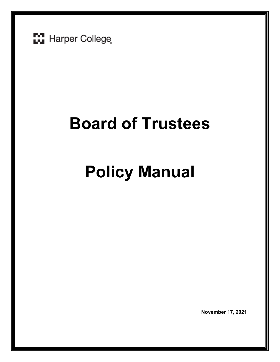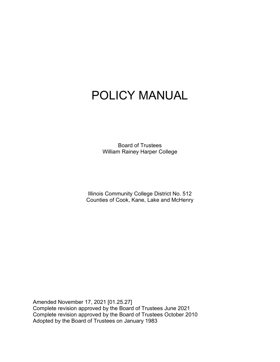# POLICY MANUAL

Board of Trustees William Rainey Harper College

Illinois Community College District No. 512 Counties of Cook, Kane, Lake and McHenry

Amended November 17, 2021 [01.25.27] Complete revision approved by the Board of Trustees June 2021 Complete revision approved by the Board of Trustees October 2010 Adopted by the Board of Trustees on January 1983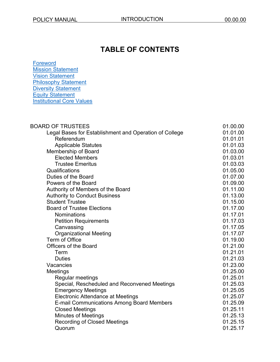## **TABLE OF CONTENTS**

[Foreword](#page-8-0) [Mission Statement](#page-9-0) [Vision Statement](#page-9-1) **[Philosophy Statement](#page-9-2) [Diversity Statement](#page-9-3)** Equity [Statement](#page-10-0) Institutional [Core Values](#page-10-1)

| <b>BOARD OF TRUSTEES</b>                               | 01.00.00 |
|--------------------------------------------------------|----------|
| Legal Bases for Establishment and Operation of College | 01.01.00 |
| Referendum                                             | 01.01.01 |
| <b>Applicable Statutes</b>                             | 01.01.03 |
| Membership of Board                                    | 01.03.00 |
| <b>Elected Members</b>                                 | 01.03.01 |
| <b>Trustee Emeritus</b>                                | 01.03.03 |
| Qualifications                                         | 01.05.00 |
| Duties of the Board                                    | 01.07.00 |
| Powers of the Board                                    | 01.09.00 |
| Authority of Members of the Board                      | 01.11.00 |
| <b>Authority to Conduct Business</b>                   | 01.13.00 |
| <b>Student Trustee</b>                                 | 01.15.00 |
| <b>Board of Trustee Elections</b>                      | 01.17.00 |
| Nominations                                            | 01.17.01 |
| <b>Petition Requirements</b>                           | 01.17.03 |
| Canvassing                                             | 01.17.05 |
| <b>Organizational Meeting</b>                          | 01.17.07 |
| <b>Term of Office</b>                                  | 01.19.00 |
| <b>Officers of the Board</b>                           | 01.21.00 |
| Term                                                   | 01.21.01 |
| <b>Duties</b>                                          | 01.21.03 |
| Vacancies                                              | 01.23.00 |
| Meetings                                               | 01.25.00 |
| Regular meetings                                       | 01.25.01 |
| Special, Rescheduled and Reconvened Meetings           | 01.25.03 |
| <b>Emergency Meetings</b>                              | 01.25.05 |
| <b>Electronic Attendance at Meetings</b>               | 01.25.07 |
| <b>E-mail Communications Among Board Members</b>       | 01.25.09 |
| <b>Closed Meetings</b>                                 | 01.25.11 |
| Minutes of Meetings                                    | 01.25.13 |
| <b>Recording of Closed Meetings</b>                    | 01.25.15 |
| Quorum                                                 | 01.25.17 |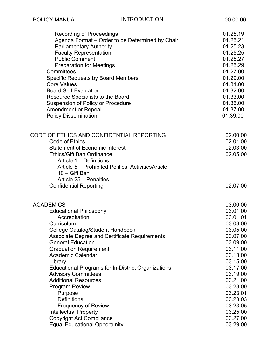| <b>Recording of Proceedings</b>                                                                                                                                                                                                                                                                          | 01.25.19                                                 |
|----------------------------------------------------------------------------------------------------------------------------------------------------------------------------------------------------------------------------------------------------------------------------------------------------------|----------------------------------------------------------|
| Agenda Format - Order to be Determined by Chair                                                                                                                                                                                                                                                          | 01.25.21                                                 |
| <b>Parliamentary Authority</b>                                                                                                                                                                                                                                                                           | 01.25.23                                                 |
| <b>Faculty Representation</b>                                                                                                                                                                                                                                                                            | 01.25.25                                                 |
| <b>Public Comment</b>                                                                                                                                                                                                                                                                                    | 01.25.27                                                 |
| <b>Preparation for Meetings</b>                                                                                                                                                                                                                                                                          | 01.25.29                                                 |
| Committees                                                                                                                                                                                                                                                                                               | 01.27.00                                                 |
| <b>Specific Requests by Board Members</b>                                                                                                                                                                                                                                                                | 01.29.00                                                 |
| <b>Core Values</b>                                                                                                                                                                                                                                                                                       | 01.31.00                                                 |
| <b>Board Self-Evaluation</b>                                                                                                                                                                                                                                                                             | 01.32.00                                                 |
| Resource Specialists to the Board                                                                                                                                                                                                                                                                        | 01.33.00                                                 |
| <b>Suspension of Policy or Procedure</b>                                                                                                                                                                                                                                                                 | 01.35.00                                                 |
| <b>Amendment or Repeal</b>                                                                                                                                                                                                                                                                               | 01.37.00                                                 |
| <b>Policy Dissemination</b>                                                                                                                                                                                                                                                                              | 01.39.00                                                 |
| CODE OF ETHICS AND CONFIDENTIAL REPORTING<br>Code of Ethics<br><b>Statement of Economic Interest</b><br><b>Ethics/Gift Ban Ordinance</b><br>Article 1 - Definitions<br>Article 5 - Prohibited Political Activities Article<br>$10 -$ Gift Ban<br>Article 25 - Penalties<br><b>Confidential Reporting</b> | 02.00.00<br>02.01.00<br>02.03.00<br>02.05.00<br>02.07.00 |
| <b>ACADEMICS</b>                                                                                                                                                                                                                                                                                         | 03.00.00                                                 |
| <b>Educational Philosophy</b>                                                                                                                                                                                                                                                                            | 03.01.00                                                 |
| Accreditation                                                                                                                                                                                                                                                                                            | 03.01.01                                                 |
| Curriculum                                                                                                                                                                                                                                                                                               | 03.03.00                                                 |
| College Catalog/Student Handbook                                                                                                                                                                                                                                                                         | 03.05.00                                                 |
| <b>Associate Degree and Certificate Requirements</b>                                                                                                                                                                                                                                                     | 03.07.00                                                 |
| <b>General Education</b>                                                                                                                                                                                                                                                                                 | 03.09.00                                                 |
| <b>Graduation Requirement</b>                                                                                                                                                                                                                                                                            | 03.11.00                                                 |
| <b>Academic Calendar</b>                                                                                                                                                                                                                                                                                 | 03.13.00                                                 |
| Library                                                                                                                                                                                                                                                                                                  | 03.15.00                                                 |
| <b>Educational Programs for In-District Organizations</b>                                                                                                                                                                                                                                                | 03.17.00                                                 |
| <b>Advisory Committees</b>                                                                                                                                                                                                                                                                               | 03.19.00                                                 |
| <b>Additional Resources</b>                                                                                                                                                                                                                                                                              | 03.21.00                                                 |
| <b>Program Review</b>                                                                                                                                                                                                                                                                                    | 03.23.00                                                 |
| Purpose                                                                                                                                                                                                                                                                                                  | 03.23.01                                                 |
| <b>Definitions</b>                                                                                                                                                                                                                                                                                       | 03.23.03                                                 |
| <b>Frequency of Review</b>                                                                                                                                                                                                                                                                               | 03.23.05                                                 |
| <b>Intellectual Property</b>                                                                                                                                                                                                                                                                             | 03.25.00                                                 |
| <b>Copyright Act Compliance</b>                                                                                                                                                                                                                                                                          | 03.27.00                                                 |
| <b>Equal Educational Opportunity</b>                                                                                                                                                                                                                                                                     | 03.29.00                                                 |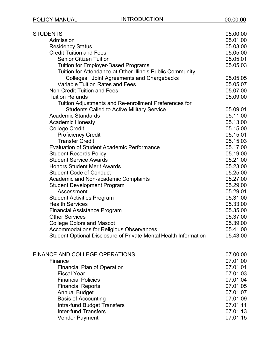| STUDENTS                                                         | 05.00.00 |
|------------------------------------------------------------------|----------|
| Admission                                                        | 05.01.00 |
| <b>Residency Status</b>                                          | 05.03.00 |
| <b>Credit Tuition and Fees</b>                                   | 05.05.00 |
| <b>Senior Citizen Tuition</b>                                    | 05.05.01 |
| <b>Tuition for Employer-Based Programs</b>                       | 05.05.03 |
| Tuition for Attendance at Other Illinois Public Community        |          |
| Colleges: Joint Agreements and Chargebacks                       | 05.05.05 |
| Variable Tuition Rates and Fees                                  | 05.05.07 |
| <b>Non-Credit Tuition and Fees</b>                               | 05.07.00 |
| <b>Tuition Refunds</b>                                           | 05.09.00 |
| Tuition Adjustments and Re-enrollment Preferences for            |          |
| <b>Students Called to Active Military Service</b>                | 05.09.01 |
| <b>Academic Standards</b>                                        | 05.11.00 |
| <b>Academic Honesty</b>                                          | 05.13.00 |
| <b>College Credit</b>                                            | 05.15.00 |
| <b>Proficiency Credit</b>                                        | 05.15.01 |
| <b>Transfer Credit</b>                                           | 05.15.03 |
| <b>Evaluation of Student Academic Performance</b>                | 05.17.00 |
| <b>Student Records Policy</b>                                    | 05.19.00 |
| <b>Student Service Awards</b>                                    | 05.21.00 |
| <b>Honors Student Merit Awards</b>                               | 05.23.00 |
| <b>Student Code of Conduct</b>                                   | 05.25.00 |
| Academic and Non-academic Complaints                             | 05.27.00 |
| <b>Student Development Program</b>                               | 05.29.00 |
| Assessment                                                       | 05.29.01 |
| <b>Student Activities Program</b>                                | 05.31.00 |
| <b>Health Services</b>                                           | 05.33.00 |
| <b>Financial Assistance Program</b>                              | 05.35.00 |
| <b>Other Services</b>                                            | 05.37.00 |
| <b>College Colors and Mascot</b>                                 | 05.39.00 |
| Accommodations for Religious Observances                         | 05.41.00 |
| Student Optional Disclosure of Private Mental Health Information | 05.43.00 |
| FINANCE AND COLLEGE OPERATIONS                                   | 07.00.00 |
| Finance                                                          | 07.01.00 |
| <b>Financial Plan of Operation</b>                               | 07.01.01 |
| <b>Fiscal Year</b>                                               | 07.01.03 |
| <b>Financial Policies</b>                                        | 07.01.04 |
| <b>Financial Reports</b>                                         | 07.01.05 |
| <b>Annual Budget</b>                                             | 07.01.07 |
| <b>Basis of Accounting</b>                                       | 07.01.09 |
| Intra-fund Budget Transfers                                      | 07.01.11 |
| <b>Inter-fund Transfers</b>                                      | 07.01.13 |
| <b>Vendor Payment</b>                                            | 07.01.15 |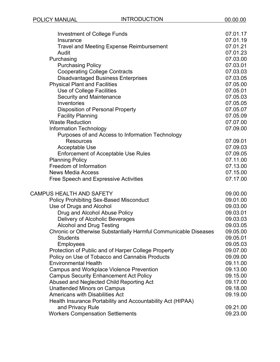| <b>Investment of College Funds</b>                               | 07.01.17             |
|------------------------------------------------------------------|----------------------|
| Insurance                                                        | 07.01.19             |
| <b>Travel and Meeting Expense Reimbursement</b>                  | 07.01.21             |
| Audit                                                            | 07.01.23             |
| Purchasing                                                       | 07.03.00             |
| <b>Purchasing Policy</b>                                         | 07.03.01             |
| <b>Cooperating College Contracts</b>                             | 07.03.03             |
| <b>Disadvantaged Business Enterprises</b>                        | 07.03.05             |
| <b>Physical Plant and Facilities</b>                             | 07.05.00             |
| Use of College Facilities                                        | 07.05.01             |
| <b>Security and Maintenance</b>                                  | 07.05.03             |
| Inventories                                                      | 07.05.05             |
| <b>Disposition of Personal Property</b>                          | 07.05.07             |
| <b>Facility Planning</b>                                         | 07.05.09             |
| <b>Waste Reduction</b>                                           | 07.07.00             |
| Information Technology                                           | 07.09.00             |
| Purposes of and Access to Information Technology                 |                      |
| <b>Resources</b>                                                 | 07.09.01             |
| Acceptable Use                                                   | 07.09.03             |
| <b>Enforcement of Acceptable Use Rules</b>                       | 07.09.05             |
| <b>Planning Policy</b><br>Freedom of Information                 | 07.11.00             |
|                                                                  | 07.13.00             |
| <b>News Media Access</b>                                         | 07.15.00<br>07.17.00 |
| <b>Free Speech and Expressive Activities</b>                     |                      |
| <b>CAMPUS HEALTH AND SAFETY</b>                                  | 09.00.00             |
| <b>Policy Prohibiting Sex-Based Misconduct</b>                   | 09.01.00             |
| Use of Drugs and Alcohol                                         | 09.03.00             |
| Drug and Alcohol Abuse Policy                                    | 09.03.01             |
| Delivery of Alcoholic Beverages                                  | 09.03.03             |
| <b>Alcohol and Drug Testing</b>                                  | 09.03.05             |
| Chronic or Otherwise Substantially Harmful Communicable Diseases | 09.05.00             |
| <b>Students</b>                                                  | 09.05.01             |
| <b>Employees</b>                                                 | 09.05.03             |
| Protection of Public and of Harper College Property              | 09.07.00             |
| Policy on Use of Tobacco and Cannabis Products                   | 09.09.00             |
| <b>Environmental Health</b>                                      | 09.11.00             |
| <b>Campus and Workplace Violence Prevention</b>                  | 09.13.00             |
| <b>Campus Security Enhancement Act Policy</b>                    | 09.15.00             |
| Abused and Neglected Child Reporting Act                         | 09.17.00             |
| <b>Unattended Minors on Campus</b>                               | 09.18.00             |
| <b>Americans with Disabilities Act</b>                           | 09.19.00             |
| Health Insurance Portability and Accountability Act (HIPAA)      |                      |
| and Privacy Rule                                                 | 09.21.00             |
| <b>Workers Compensation Settlements</b>                          | 09.23.00             |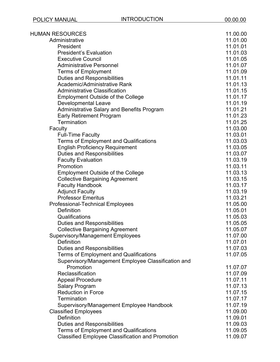| <b>HUMAN RESOURCES</b>                                  | 11.00.00 |
|---------------------------------------------------------|----------|
| Administrative                                          | 11.01.00 |
| President                                               | 11.01.01 |
| <b>President's Evaluation</b>                           | 11.01.03 |
| <b>Executive Council</b>                                | 11.01.05 |
| <b>Administrative Personnel</b>                         | 11.01.07 |
| <b>Terms of Employment</b>                              | 11.01.09 |
| <b>Duties and Responsibilities</b>                      | 11.01.11 |
| Academic/Administrative Rank                            | 11.01.13 |
| <b>Administrative Classification</b>                    | 11.01.15 |
| <b>Employment Outside of the College</b>                | 11.01.17 |
| <b>Developmental Leave</b>                              | 11.01.19 |
| Administrative Salary and Benefits Program              | 11.01.21 |
| <b>Early Retirement Program</b>                         | 11.01.23 |
| Termination                                             | 11.01.25 |
| Faculty                                                 | 11.03.00 |
| <b>Full-Time Faculty</b>                                | 11.03.01 |
| <b>Terms of Employment and Qualifications</b>           | 11.03.03 |
| <b>English Proficiency Requirement</b>                  | 11.03.05 |
| <b>Duties and Responsibilities</b>                      | 11.03.07 |
| <b>Faculty Evaluation</b>                               | 11.03.19 |
| Promotion                                               | 11.03.11 |
| <b>Employment Outside of the College</b>                | 11.03.13 |
| <b>Collective Bargaining Agreement</b>                  | 11.03.15 |
| <b>Faculty Handbook</b>                                 | 11.03.17 |
| <b>Adjunct Faculty</b>                                  | 11.03.19 |
| <b>Professor Emeritus</b>                               | 11.03.21 |
| <b>Professional-Technical Employees</b>                 | 11.05.00 |
| <b>Definition</b>                                       | 11.05.01 |
| Qualifications                                          | 11.05.03 |
| <b>Duties and Responsibilities</b>                      | 11.05.05 |
| <b>Collective Bargaining Agreement</b>                  | 11.05.07 |
| <b>Supervisory/Management Employees</b>                 | 11.07.00 |
| Definition                                              | 11.07.01 |
| <b>Duties and Responsibilities</b>                      | 11.07.03 |
| <b>Terms of Employment and Qualifications</b>           | 11.07.05 |
| Supervisory/Management Employee Classification and      |          |
| Promotion                                               | 11.07.07 |
| Reclassification                                        | 11.07.09 |
| <b>Appeal Procedure</b>                                 | 11.07.11 |
| <b>Salary Program</b>                                   | 11.07.13 |
| <b>Reduction in Force</b>                               | 11.07.15 |
| Termination                                             | 11.07.17 |
| Supervisory/Management Employee Handbook                | 11.07.19 |
| <b>Classified Employees</b>                             | 11.09.00 |
| <b>Definition</b>                                       | 11.09.01 |
| <b>Duties and Responsibilities</b>                      | 11.09.03 |
| <b>Terms of Employment and Qualifications</b>           | 11.09.05 |
| <b>Classified Employee Classification and Promotion</b> | 11.09.07 |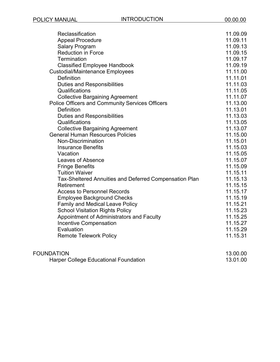| Reclassification<br><b>Appeal Procedure</b><br><b>Salary Program</b><br><b>Reduction in Force</b> | 11.09.09<br>11.09.11<br>11.09.13<br>11.09.15 |
|---------------------------------------------------------------------------------------------------|----------------------------------------------|
| Termination                                                                                       | 11.09.17                                     |
| <b>Classified Employee Handbook</b>                                                               | 11.09.19                                     |
| <b>Custodial/Maintenance Employees</b>                                                            | 11.11.00                                     |
| <b>Definition</b>                                                                                 | 11.11.01                                     |
| <b>Duties and Responsibilities</b>                                                                | 11.11.03                                     |
| Qualifications                                                                                    | 11.11.05                                     |
| <b>Collective Bargaining Agreement</b>                                                            | 11.11.07                                     |
| Police Officers and Community Services Officers                                                   | 11.13.00                                     |
| <b>Definition</b>                                                                                 | 11.13.01                                     |
| <b>Duties and Responsibilities</b>                                                                | 11.13.03                                     |
| Qualifications                                                                                    | 11.13.05                                     |
| <b>Collective Bargaining Agreement</b>                                                            | 11.13.07                                     |
| <b>General Human Resources Policies</b>                                                           | 11.15.00                                     |
| Non-Discrimination                                                                                | 11.15.01                                     |
| <b>Insurance Benefits</b>                                                                         | 11.15.03                                     |
| Vacation                                                                                          | 11.15.05                                     |
| <b>Leaves of Absence</b>                                                                          | 11.15.07                                     |
| <b>Fringe Benefits</b>                                                                            | 11.15.09                                     |
| <b>Tuition Waiver</b>                                                                             | 11.15.11                                     |
| Tax-Sheltered Annuities and Deferred Compensation Plan                                            | 11.15.13                                     |
| Retirement                                                                                        | 11.15.15                                     |
| <b>Access to Personnel Records</b>                                                                | 11.15.17                                     |
| <b>Employee Background Checks</b>                                                                 | 11.15.19                                     |
| <b>Family and Medical Leave Policy</b>                                                            | 11.15.21                                     |
| <b>School Visitation Rights Policy</b>                                                            | 11.15.23                                     |
| Appointment of Administrators and Faculty                                                         | 11.15.25                                     |
| <b>Incentive Compensation</b>                                                                     | 11.15.27                                     |
| Evaluation                                                                                        | 11.15.29                                     |
| <b>Remote Telework Policy</b>                                                                     | 11.15.31                                     |
|                                                                                                   |                                              |

| <b>FOUNDATION</b>                     | 13.00.00 |
|---------------------------------------|----------|
| Harper College Educational Foundation | 13.01.00 |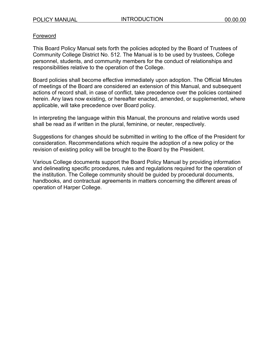## <span id="page-8-0"></span>Foreword

This Board Policy Manual sets forth the policies adopted by the Board of Trustees of Community College District No. 512. The Manual is to be used by trustees, College personnel, students, and community members for the conduct of relationships and responsibilities relative to the operation of the College.

Board policies shall become effective immediately upon adoption. The Official Minutes of meetings of the Board are considered an extension of this Manual, and subsequent actions of record shall, in case of conflict, take precedence over the policies contained herein. Any laws now existing, or hereafter enacted, amended, or supplemented, where applicable, will take precedence over Board policy.

In interpreting the language within this Manual, the pronouns and relative words used shall be read as if written in the plural, feminine, or neuter, respectively.

Suggestions for changes should be submitted in writing to the office of the President for consideration. Recommendations which require the adoption of a new policy or the revision of existing policy will be brought to the Board by the President.

Various College documents support the Board Policy Manual by providing information and delineating specific procedures, rules and regulations required for the operation of the institution. The College community should be guided by procedural documents, handbooks, and contractual agreements in matters concerning the different areas of operation of Harper College.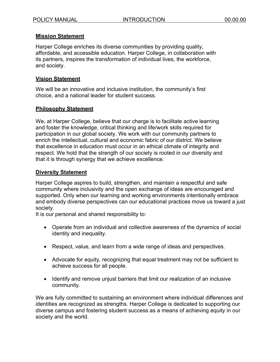## <span id="page-9-0"></span>**Mission Statement**

Harper College enriches its diverse communities by providing quality, affordable, and accessible education. Harper College, in collaboration with its partners, inspires the transformation of individual lives, the workforce, and society.

## <span id="page-9-1"></span>**Vision Statement**

We will be an innovative and inclusive institution, the community's first choice, and a national leader for student success.

#### <span id="page-9-2"></span>**Philosophy Statement**

We, at Harper College, believe that our charge is to facilitate active learning and foster the knowledge, critical thinking and life/work skills required for participation in our global society. We work with our community partners to enrich the intellectual, cultural and economic fabric of our district. We believe that excellence in education must occur in an ethical climate of integrity and respect. We hold that the strength of our society is rooted in our diversity and that it is through synergy that we achieve excellence.

#### <span id="page-9-3"></span>**Diversity Statement**

Harper College aspires to build, strengthen, and maintain a respectful and safe community where inclusivity and the open exchange of ideas are encouraged and supported. Only when our learning and working environments intentionally embrace and embody diverse perspectives can our educational practices move us toward a just society.

It is our personal and shared responsibility to:

- Operate from an individual and collective awareness of the dynamics of social identity and inequality.
- Respect, value, and learn from a wide range of ideas and perspectives.
- Advocate for equity, recognizing that equal treatment may not be sufficient to achieve success for all people.
- Identify and remove unjust barriers that limit our realization of an inclusive community.

We are fully committed to sustaining an environment where individual differences and identities are recognized as strengths. Harper College is dedicated to supporting our diverse campus and fostering student success as a means of achieving equity in our society and the world.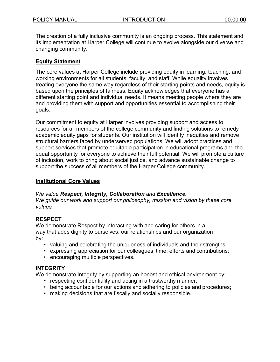The creation of a fully inclusive community is an ongoing process. This statement and its implementation at Harper College will continue to evolve alongside our diverse and changing community.

## <span id="page-10-0"></span>**Equity Statement**

The core values at Harper College include providing equity in learning, teaching, and working environments for all students, faculty, and staff. While equality involves treating everyone the same way regardless of their starting points and needs, equity is based upon the principles of fairness. Equity acknowledges that everyone has a different starting point and individual needs. It means meeting people where they are and providing them with support and opportunities essential to accomplishing their goals.

Our commitment to equity at Harper involves providing support and access to resources for all members of the college community and finding solutions to remedy academic equity gaps for students. Our institution will identify inequities and remove structural barriers faced by underserved populations. We will adopt practices and support services that promote equitable participation in educational programs and the equal opportunity for everyone to achieve their full potential. We will promote a culture of inclusion, work to bring about social justice, and advance sustainable change to support the success of all members of the Harper College community.

## <span id="page-10-1"></span>**Institutional Core Values**

## *We value Respect, Integrity, Collaboration and Excellence.*

*We guide our work and support our philosophy, mission and vision by these core values.*

## **RESPECT**

We demonstrate Respect by interacting with and caring for others in a way that adds dignity to ourselves, our relationships and our organization by:

- valuing and celebrating the uniqueness of individuals and their strengths;
- expressing appreciation for our colleagues' time, efforts and contributions;
- encouraging multiple perspectives.

## **INTEGRITY**

We demonstrate Integrity by supporting an honest and ethical environment by:

- respecting confidentiality and acting in a trustworthy manner;
- being accountable for our actions and adhering to policies and procedures;
- making decisions that are fiscally and socially responsible.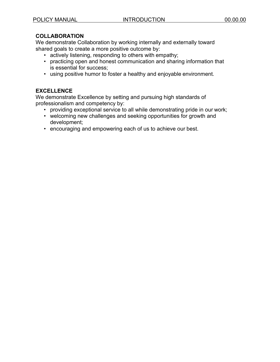## **COLLABORATION**

We demonstrate Collaboration by working internally and externally toward shared goals to create a more positive outcome by:

- actively listening, responding to others with empathy;
- practicing open and honest communication and sharing information that is essential for success;
- using positive humor to foster a healthy and enjoyable environment.

## **EXCELLENCE**

We demonstrate Excellence by setting and pursuing high standards of professionalism and competency by:

- providing exceptional service to all while demonstrating pride in our work;
- welcoming new challenges and seeking opportunities for growth and development;
- encouraging and empowering each of us to achieve our best.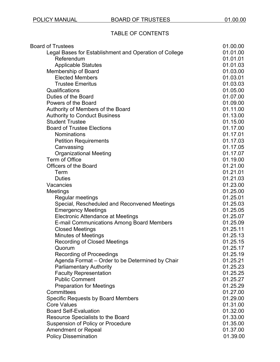## TABLE OF CONTENTS

| <b>Board of Trustees</b>                               | 01.00.00 |
|--------------------------------------------------------|----------|
| Legal Bases for Establishment and Operation of College | 01.01.00 |
| Referendum                                             | 01.01.01 |
| <b>Applicable Statutes</b>                             | 01.01.03 |
| Membership of Board                                    | 01.03.00 |
| <b>Elected Members</b>                                 | 01.03.01 |
| <b>Trustee Emeritus</b>                                | 01.03.03 |
| Qualifications                                         | 01.05.00 |
| Duties of the Board                                    | 01.07.00 |
| Powers of the Board                                    | 01.09.00 |
| Authority of Members of the Board                      | 01.11.00 |
| <b>Authority to Conduct Business</b>                   | 01.13.00 |
| <b>Student Trustee</b>                                 | 01.15.00 |
| <b>Board of Trustee Elections</b>                      | 01.17.00 |
| <b>Nominations</b>                                     | 01.17.01 |
| <b>Petition Requirements</b>                           | 01.17.03 |
| Canvassing                                             | 01.17.05 |
| <b>Organizational Meeting</b>                          | 01.17.07 |
| Term of Office                                         | 01.19.00 |
| <b>Officers of the Board</b>                           | 01.21.00 |
| Term                                                   | 01.21.01 |
| <b>Duties</b>                                          | 01.21.03 |
| Vacancies                                              | 01.23.00 |
| Meetings                                               | 01.25.00 |
| Regular meetings                                       | 01.25.01 |
| Special, Rescheduled and Reconvened Meetings           | 01.25.03 |
| <b>Emergency Meetings</b>                              | 01.25.05 |
| Electronic Attendance at Meetings                      | 01.25.07 |
| <b>E-mail Communications Among Board Members</b>       | 01.25.09 |
| <b>Closed Meetings</b>                                 | 01.25.11 |
| <b>Minutes of Meetings</b>                             | 01.25.13 |
| <b>Recording of Closed Meetings</b>                    | 01.25.15 |
| Quorum                                                 | 01.25.17 |
| <b>Recording of Proceedings</b>                        | 01.25.19 |
| Agenda Format - Order to be Determined by Chair        | 01.25.21 |
| <b>Parliamentary Authority</b>                         | 01.25.23 |
| <b>Faculty Representation</b>                          | 01.25.25 |
| <b>Public Comment</b>                                  | 01.25.27 |
| <b>Preparation for Meetings</b>                        | 01.25.29 |
| Committees                                             | 01.27.00 |
| <b>Specific Requests by Board Members</b>              | 01.29.00 |
| <b>Core Values</b>                                     | 01.31.00 |
| <b>Board Self-Evaluation</b>                           | 01.32.00 |
| Resource Specialists to the Board                      | 01.33.00 |
| <b>Suspension of Policy or Procedure</b>               | 01.35.00 |
| <b>Amendment or Repeal</b>                             | 01.37.00 |
| <b>Policy Dissemination</b>                            | 01.39.00 |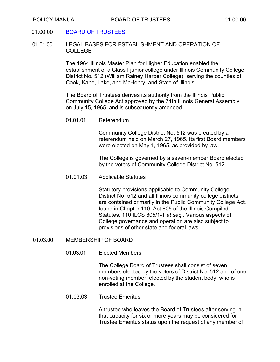## 01.00.00 [BOARD OF TRUSTEES](https://www.harpercollege.edu/leadership/board/index.php)

01.01.00 LEGAL BASES FOR ESTABLISHMENT AND OPERATION OF COLLEGE

> The 1964 Illinois Master Plan for Higher Education enabled the establishment of a Class I junior college under Illinois Community College District No. 512 (William Rainey Harper College), serving the counties of Cook, Kane, Lake, and McHenry, and State of Illinois.

The Board of Trustees derives its authority from the Illinois Public Community College Act approved by the 74th Illinois General Assembly on July 15, 1965, and is subsequently amended.

01.01 Referendum

Community College District No. 512 was created by a referendum held on March 27, 1965. Its first Board members were elected on May 1, 1965, as provided by law.

The College is governed by a seven-member Board elected by the voters of Community College District No. 512.

01.01.03 Applicable Statutes

Statutory provisions applicable to Community College District No. 512 and all Illinois community college districts are contained primarily in the Public Community College Act, found in Chapter 110, Act 805 of the Illinois Compiled Statutes, 110 ILCS 805/1-1 *et seq.*. Various aspects of College governance and operation are also subject to provisions of other state and federal laws.

#### 01.03.00 MEMBERSHIP OF BOARD

01.03.01 Elected Members

The College Board of Trustees shall consist of seven members elected by the voters of District No. 512 and of one non-voting member, elected by the student body, who is enrolled at the College.

01.03.03 Trustee Emeritus

A trustee who leaves the Board of Trustees after serving in that capacity for six or more years may be considered for Trustee Emeritus status upon the request of any member of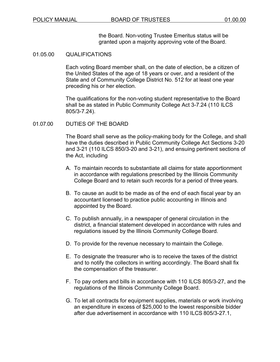the Board. Non-voting Trustee Emeritus status will be granted upon a majority approving vote of the Board.

#### 01.05.00 QUALIFICATIONS

Each voting Board member shall, on the date of election, be a citizen of the United States of the age of 18 years or over, and a resident of the State and of Community College District No. 512 for at least one year preceding his or her election.

The qualifications for the non-voting student representative to the Board shall be as stated in Public Community College Act 3-7.24 (110 ILCS 805/3-7.24).

#### 01.07.00 DUTIES OF THE BOARD

The Board shall serve as the policy-making body for the College, and shall have the duties described in Public Community College Act Sections 3-20 and 3-21 (110 ILCS 850/3-20 and 3-21), and ensuing pertinent sections of the Act, including

- A. To maintain records to substantiate all claims for state apportionment in accordance with regulations prescribed by the Illinois Community College Board and to retain such records for a period of three years.
- B. To cause an audit to be made as of the end of each fiscal year by an accountant licensed to practice public accounting in Illinois and appointed by the Board.
- C. To publish annually, in a newspaper of general circulation in the district, a financial statement developed in accordance with rules and regulations issued by the Illinois Community College Board.
- D. To provide for the revenue necessary to maintain the College.
- E. To designate the treasurer who is to receive the taxes of the district and to notify the collectors in writing accordingly. The Board shall fix the compensation of the treasurer.
- F. To pay orders and bills in accordance with 110 ILCS 805/3-27, and the regulations of the Illinois Community College Board.
- G. To let all contracts for equipment supplies, materials or work involving an expenditure in excess of \$25,000 to the lowest responsible bidder after due advertisement in accordance with 110 ILCS 805/3-27.1,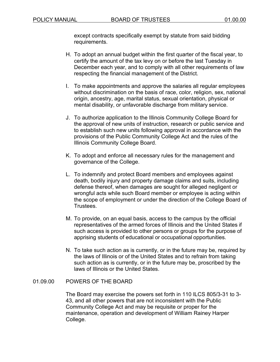except contracts specifically exempt by statute from said bidding requirements.

- H. To adopt an annual budget within the first quarter of the fiscal year, to certify the amount of the tax levy on or before the last Tuesday in December each year, and to comply with all other requirements of law respecting the financial management of the District.
- I. To make appointments and approve the salaries all regular employees without discrimination on the basis of race, color, religion, sex, national origin, ancestry, age, marital status, sexual orientation, physical or mental disability, or unfavorable discharge from military service.
- J. To authorize application to the Illinois Community College Board for the approval of new units of instruction, research or public service and to establish such new units following approval in accordance with the provisions of the Public Community College Act and the rules of the Illinois Community College Board.
- K. To adopt and enforce all necessary rules for the management and governance of the College.
- L. To indemnify and protect Board members and employees against death, bodily injury and property damage claims and suits, including defense thereof, when damages are sought for alleged negligent or wrongful acts while such Board member or employee is acting within the scope of employment or under the direction of the College Board of Trustees.
- M. To provide, on an equal basis, access to the campus by the official representatives of the armed forces of Illinois and the United States if such access is provided to other persons or groups for the purpose of apprising students of educational or occupational opportunities.
- N. To take such action as is currently, or in the future may be, required by the laws of Illinois or of the United States and to refrain from taking such action as is currently, or in the future may be, proscribed by the laws of Illinois or the United States.

## 01.09.00 POWERS OF THE BOARD

The Board may exercise the powers set forth in 110 ILCS 805/3-31 to 3- 43, and all other powers that are not inconsistent with the Public Community College Act and may be requisite or proper for the maintenance, operation and development of William Rainey Harper College.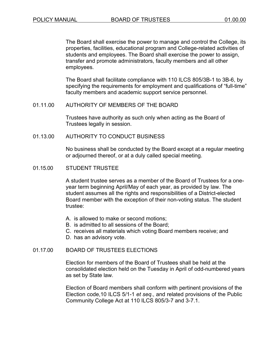The Board shall exercise the power to manage and control the College, its properties, facilities, educational program and College-related activities of students and employees. The Board shall exercise the power to assign, transfer and promote administrators, faculty members and all other employees.

The Board shall facilitate compliance with 110 ILCS 805/3B-1 to 3B-6, by specifying the requirements for employment and qualifications of "full-time" faculty members and academic support service personnel.

#### 01.11.00 AUTHORITY OF MEMBERS OF THE BOARD

Trustees have authority as such only when acting as the Board of Trustees legally in session.

#### 01.13.00 AUTHORITY TO CONDUCT BUSINESS

No business shall be conducted by the Board except at a regular meeting or adjourned thereof, or at a duly called special meeting.

#### 01.15.00 STUDENT TRUSTEE

A student trustee serves as a member of the Board of Trustees for a oneyear term beginning April/May of each year, as provided by law. The student assumes all the rights and responsibilities of a District-elected Board member with the exception of their non-voting status. The student trustee:

- A. is allowed to make or second motions;
- B. is admitted to all sessions of the Board;
- C. receives all materials which voting Board members receive; and
- D. has an advisory vote.

#### 01.17.00 BOARD OF TRUSTEES ELECTIONS

Election for members of the Board of Trustees shall be held at the consolidated election held on the Tuesday in April of odd-numbered years as set by State law.

Election of Board members shall conform with pertinent provisions of the Election code,10 ILCS 5/1-1 *et seq*., and related provisions of the Public Community College Act at 110 ILCS 805/3-7 and 3-7.1.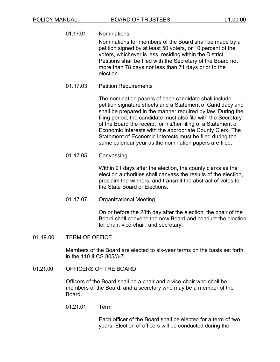01.17.01 Nominations

Nominations for members of the Board shall be made by a petition signed by at least 50 voters, or 10 percent of the voters, whichever is less, residing within the District. Petitions shall be filed with the Secretary of the Board not more than 78 days nor less than 71 days prior to the election.

01.17.03 Petition Requirements

The nomination papers of each candidate shall include petition signature sheets and a Statement of Candidacy and shall be prepared in the manner required by law. During the filing period, the candidate must also file with the Secretary of the Board the receipt for his/her filing of a Statement of Economic Interests with the appropriate County Clerk. The Statement of Economic Interests must be filed during the same calendar year as the nomination papers are filed.

01.17.05 Canvassing

Within 21 days after the election, the county clerks as the election authorities shall canvass the results of the election, proclaim the winners, and transmit the abstract of votes to the State Board of Elections.

01.17.07 Organizational Meeting

On or before the 28th day after the election, the chair of the Board shall convene the new Board and conduct the election for chair, vice-chair, and secretary.

01.19.00 TERM OF OFFICE

Members of the Board are elected to six-year terms on the basis set forth in the 110 ILCS 805/3-7.

01.21.00 OFFICERS OF THE BOARD

Officers of the Board shall be a chair and a vice-chair who shall be members of the Board, and a secretary who may be a member of the Board.

01.21.01 Term

Each officer of the Board shall be elected for a term of two years. Election of officers will be conducted during the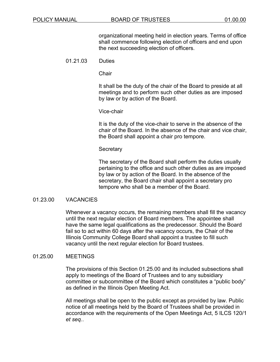organizational meeting held in election years. Terms of office shall commence following election of officers and end upon the next succeeding election of officers.

## 01.21.03 Duties

**Chair** 

It shall be the duty of the chair of the Board to preside at all meetings and to perform such other duties as are imposed by law or by action of the Board.

Vice-chair

It is the duty of the vice-chair to serve in the absence of the chair of the Board. In the absence of the chair and vice chair, the Board shall appoint a chair pro tempore.

#### Secretary

The secretary of the Board shall perform the duties usually pertaining to the office and such other duties as are imposed by law or by action of the Board. In the absence of the secretary, the Board chair shall appoint a secretary pro tempore who shall be a member of the Board.

#### 01.23.00 VACANCIES

Whenever a vacancy occurs, the remaining members shall fill the vacancy until the next regular election of Board members. The appointee shall have the same legal qualifications as the predecessor. Should the Board fail so to act within 60 days after the vacancy occurs, the Chair of the Illinois Community College Board shall appoint a trustee to fill such vacancy until the next regular election for Board trustees.

#### 01.25.00 MEETINGS

The provisions of this Section 01.25.00 and its included subsections shall apply to meetings of the Board of Trustees and to any subsidiary committee or subcommittee of the Board which constitutes a "public body" as defined in the Illinois Open Meeting Act.

All meetings shall be open to the public except as provided by law. Public notice of all meetings held by the Board of Trustees shall be provided in accordance with the requirements of the Open Meetings Act, 5 ILCS 120/1 *et seq.*.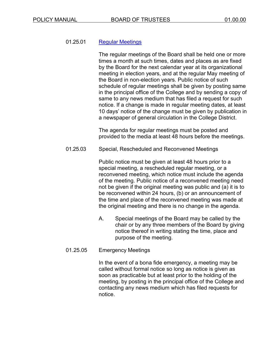## 01.25.01 Regular [Meetings](https://www.harpercollege.edu/leadership/board/meetings.php)

The regular meetings of the Board shall be held one or more times a month at such times, dates and places as are fixed by the Board for the next calendar year at its organizational meeting in election years, and at the regular May meeting of the Board in non-election years. Public notice of such schedule of regular meetings shall be given by posting same in the principal office of the College and by sending a copy of same to any news medium that has filed a request for such notice. If a change is made in regular meeting dates, at least 10 days' notice of the change must be given by publication in a newspaper of general circulation in the College District.

The agenda for regular meetings must be posted and provided to the media at least 48 hours before the meetings.

01.25.03 Special, Rescheduled and Reconvened Meetings

Public notice must be given at least 48 hours prior to a special meeting, a rescheduled regular meeting, or a reconvened meeting, which notice must include the agenda of the meeting. Public notice of a reconvened meeting need not be given if the original meeting was public and (a) it is to be reconvened within 24 hours, (b) or an announcement of the time and place of the reconvened meeting was made at the original meeting and there is no change in the agenda.

A. Special meetings of the Board may be called by the chair or by any three members of the Board by giving notice thereof in writing stating the time, place and purpose of the meeting.

## 01.25.05 Emergency Meetings

In the event of a bona fide emergency, a meeting may be called without formal notice so long as notice is given as soon as practicable but at least prior to the holding of the meeting, by posting in the principal office of the College and contacting any news medium which has filed requests for notice.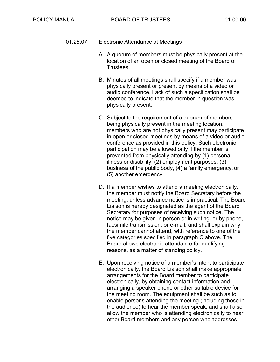- 01.25.07 Electronic Attendance at Meetings
	- A. A quorum of members must be physically present at the location of an open or closed meeting of the Board of **Trustees**
	- B. Minutes of all meetings shall specify if a member was physically present or present by means of a video or audio conference. Lack of such a specification shall be deemed to indicate that the member in question was physically present.
	- C. Subject to the requirement of a quorum of members being physically present in the meeting location, members who are not physically present may participate in open or closed meetings by means of a video or audio conference as provided in this policy. Such electronic participation may be allowed only if the member is prevented from physically attending by (1) personal illness or disability, (2) employment purposes, (3) business of the public body, (4) a family emergency, or (5) another emergency.
	- D. If a member wishes to attend a meeting electronically, the member must notify the Board Secretary before the meeting, unless advance notice is impractical. The Board Liaison is hereby designated as the agent of the Board Secretary for purposes of receiving such notice. The notice may be given in person or in writing, or by phone, facsimile transmission, or e-mail, and shall explain why the member cannot attend, with reference to one of the five categories specified in paragraph C above. The Board allows electronic attendance for qualifying reasons, as a matter of standing policy.
	- E. Upon receiving notice of a member's intent to participate electronically, the Board Liaison shall make appropriate arrangements for the Board member to participate electronically, by obtaining contact information and arranging a speaker phone or other suitable device for the meeting room. The equipment shall be such as to enable persons attending the meeting (including those in the audience) to hear the member speak, and shall also allow the member who is attending electronically to hear other Board members and any person who addresses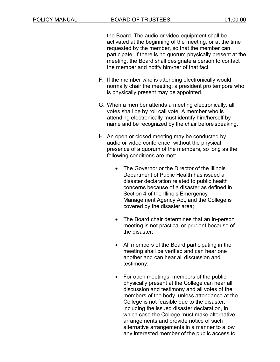the Board. The audio or video equipment shall be activated at the beginning of the meeting, or at the time requested by the member, so that the member can participate. If there is no quorum physically present at the meeting, the Board shall designate a person to contact the member and notify him/her of that fact.

- F. If the member who is attending electronically would normally chair the meeting, a president pro tempore who is physically present may be appointed.
- G. When a member attends a meeting electronically, all votes shall be by roll call vote. A member who is attending electronically must identify him/herself by name and be recognized by the chair before speaking.
- H. An open or closed meeting may be conducted by audio or video conference, without the physical presence of a quorum of the members, so long as the following conditions are met:
	- The Governor or the Director of the Illinois Department of Public Health has issued a disaster declaration related to public health concerns because of a disaster as defined in Section 4 of the Illinois Emergency Management Agency Act, and the College is covered by the disaster area;
	- The Board chair determines that an in-person meeting is not practical or prudent because of the disaster;
	- All members of the Board participating in the meeting shall be verified and can hear one another and can hear all discussion and testimony;
	- For open meetings, members of the public physically present at the College can hear all discussion and testimony and all votes of the members of the body, unless attendance at the College is not feasible due to the disaster, including the issued disaster declaration, in which case the College must make alternative arrangements and provide notice of such alternative arrangements in a manner to allow any interested member of the public access to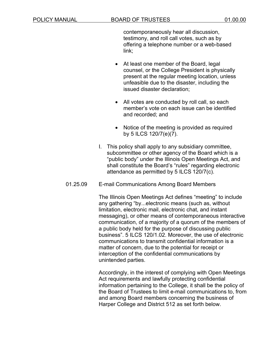contemporaneously hear all discussion, testimony, and roll call votes, such as by offering a telephone number or a web-based link;

- At least one member of the Board, legal counsel, or the College President is physically present at the regular meeting location, unless unfeasible due to the disaster, including the issued disaster declaration;
- All votes are conducted by roll call, so each member's vote on each issue can be identified and recorded; and
- Notice of the meeting is provided as required by 5 ILCS 120/7(e)(7).
- I. This policy shall apply to any subsidiary committee, subcommittee or other agency of the Board which is a "public body" under the Illinois Open Meetings Act, and shall constitute the Board's "rules" regarding electronic attendance as permitted by 5 ILCS 120/7(c).
- 01.25.09 E-mail Communications Among Board Members

The Illinois Open Meetings Act defines "meeting" to include any gathering "by...electronic means (such as, without limitation, electronic mail, electronic chat, and instant messaging), or other means of contemporaneous interactive communication, of a majority of a quorum of the members of a public body held for the purpose of discussing public business". 5 ILCS 120/1.02. Moreover, the use of electronic communications to transmit confidential information is a matter of concern, due to the potential for receipt or interception of the confidential communications by unintended parties.

Accordingly, in the interest of complying with Open Meetings Act requirements and lawfully protecting confidential information pertaining to the College, it shall be the policy of the Board of Trustees to limit e-mail communications to, from and among Board members concerning the business of Harper College and District 512 as set forth below.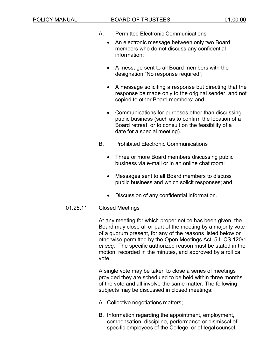#### POLICY MANUAL BOARD OF TRUSTEES 01.00.00

- A. Permitted Electronic Communications
	- An electronic message between only two Board members who do not discuss any confidential information;
	- A message sent to all Board members with the designation "No response required";
	- A message soliciting a response but directing that the response be made only to the original sender, and not copied to other Board members; and
	- Communications for purposes other than discussing public business (such as to confirm the location of a Board retreat, or to consult on the feasibility of a date for a special meeting).
- B. Prohibited Electronic Communications
	- Three or more Board members discussing public business via e-mail or in an online chat room;
	- Messages sent to all Board members to discuss public business and which solicit responses; and
	- Discussion of any confidential information.
- 01.25.11 Closed Meetings

At any meeting for which proper notice has been given, the Board may close all or part of the meeting by a majority vote of a quorum present, for any of the reasons listed below or otherwise permitted by the Open Meetings Act, 5 ILCS 120/1 *et seq.*. The specific authorized reason must be stated in the motion, recorded in the minutes, and approved by a roll call vote.

A single vote may be taken to close a series of meetings provided they are scheduled to be held within three months of the vote and all involve the same matter. The following subjects may be discussed in closed meetings:

- A. Collective negotiations matters;
- B. Information regarding the appointment, employment, compensation, discipline, performance or dismissal of specific employees of the College, or of legal counsel,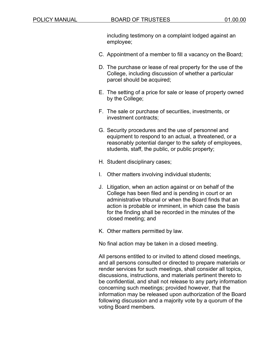including testimony on a complaint lodged against an employee;

- C. Appointment of a member to fill a vacancy on the Board;
- D. The purchase or lease of real property for the use of the College, including discussion of whether a particular parcel should be acquired;
- E. The setting of a price for sale or lease of property owned by the College;
- F. The sale or purchase of securities, investments, or investment contracts;
- G. Security procedures and the use of personnel and equipment to respond to an actual, a threatened, or a reasonably potential danger to the safety of employees, students, staff, the public, or public property;
- H. Student disciplinary cases;
- I. Other matters involving individual students;
- J. Litigation, when an action against or on behalf of the College has been filed and is pending in court or an administrative tribunal or when the Board finds that an action is probable or imminent, in which case the basis for the finding shall be recorded in the minutes of the closed meeting; and
- K. Other matters permitted by law.

No final action may be taken in a closed meeting.

All persons entitled to or invited to attend closed meetings, and all persons consulted or directed to prepare materials or render services for such meetings, shall consider all topics, discussions, instructions, and materials pertinent thereto to be confidential, and shall not release to any party information concerning such meetings; provided however, that the information may be released upon authorization of the Board following discussion and a majority vote by a quorum of the voting Board members.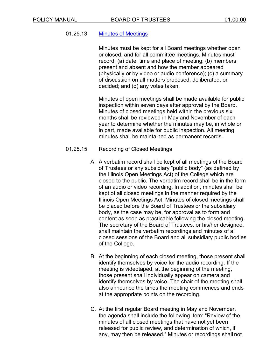## 01.25.13 Minutes of [Meetings](https://www.harpercollege.edu/leadership/board/meetings.php)

Minutes must be kept for all Board meetings whether open or closed, and for all committee meetings. Minutes must record: (a) date, time and place of meeting; (b) members present and absent and how the member appeared (physically or by video or audio conference); (c) a summary of discussion on all matters proposed, deliberated, or decided; and (d) any votes taken.

Minutes of open meetings shall be made available for public inspection within seven days after approval by the Board. Minutes of closed meetings held within the previous six months shall be reviewed in May and November of each year to determine whether the minutes may be, in whole or in part, made available for public inspection. All meeting minutes shall be maintained as permanent records.

#### 01.25.15 Recording of Closed Meetings

- A. A verbatim record shall be kept of all meetings of the Board of Trustees or any subsidiary "public body" (as defined by the Illinois Open Meetings Act) of the College which are closed to the public. The verbatim record shall be in the form of an audio or video recording. In addition, minutes shall be kept of all closed meetings in the manner required by the Illinois Open Meetings Act. Minutes of closed meetings shall be placed before the Board of Trustees or the subsidiary body, as the case may be, for approval as to form and content as soon as practicable following the closed meeting. The secretary of the Board of Trustees, or his/her designee, shall maintain the verbatim recordings and minutes of all closed sessions of the Board and all subsidiary public bodies of the College.
- B. At the beginning of each closed meeting, those present shall identify themselves by voice for the audio recording. If the meeting is videotaped, at the beginning of the meeting, those present shall individually appear on camera and identify themselves by voice. The chair of the meeting shall also announce the times the meeting commences and ends at the appropriate points on the recording.
- C. At the first regular Board meeting in May and November, the agenda shall include the following item: "Review of the minutes of all closed meetings that have not yet been released for public review, and determination of which, if any, may then be released." Minutes or recordings shall not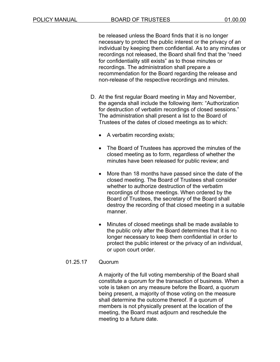be released unless the Board finds that it is no longer necessary to protect the public interest or the privacy of an individual by keeping them confidential. As to any minutes or recordings not released, the Board shall find that the "need for confidentiality still exists" as to those minutes or recordings. The administration shall prepare a recommendation for the Board regarding the release and non-release of the respective recordings and minutes.

- D. At the first regular Board meeting in May and November, the agenda shall include the following item: "Authorization for destruction of verbatim recordings of closed sessions." The administration shall present a list to the Board of Trustees of the dates of closed meetings as to which:
	- A verbatim recording exists;
	- The Board of Trustees has approved the minutes of the closed meeting as to form, regardless of whether the minutes have been released for public review; and
	- More than 18 months have passed since the date of the closed meeting. The Board of Trustees shall consider whether to authorize destruction of the verbatim recordings of those meetings. When ordered by the Board of Trustees, the secretary of the Board shall destroy the recording of that closed meeting in a suitable manner.
	- Minutes of closed meetings shall be made available to the public only after the Board determines that it is no longer necessary to keep them confidential in order to protect the public interest or the privacy of an individual, or upon court order.

#### 01.25.17 Quorum

A majority of the full voting membership of the Board shall constitute a quorum for the transaction of business. When a vote is taken on any measure before the Board, a quorum being present, a majority of those voting on the measure shall determine the outcome thereof. If a quorum of members is not physically present at the location of the meeting, the Board must adjourn and reschedule the meeting to a future date.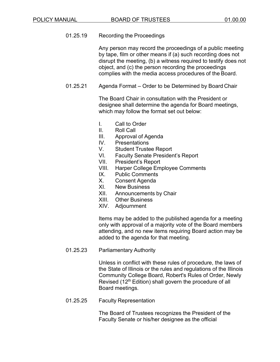## 01.25.19 Recording the Proceedings

Any person may record the proceedings of a public meeting by tape, film or other means if (a) such recording does not disrupt the meeting, (b) a witness required to testify does not object, and (c) the person recording the proceedings complies with the media access procedures of the Board.

01.25.21 Agenda Format – Order to be Determined by Board Chair

The Board Chair in consultation with the President or designee shall determine the agenda for Board meetings, which may follow the format set out below:

- I. Call to Order
- II. Roll Call
- III. Approval of Agenda
- IV. Presentations
- V. Student Trustee Report
- VI. Faculty Senate President's Report
- VII. President's Report
- VIII. Harper College Employee Comments
- IX. Public Comments
- X. Consent Agenda
- XI. New Business
- XII. Announcements by Chair
- XIII. Other Business
- XIV. Adjournment

Items may be added to the published agenda for a meeting only with approval of a majority vote of the Board members attending, and no new items requiring Board action may be added to the agenda for that meeting.

01.25.23 Parliamentary Authority

Unless in conflict with these rules of procedure, the laws of the State of Illinois or the rules and regulations of the Illinois Community College Board, Robert's Rules of Order, Newly Revised (12<sup>th</sup> Edition) shall govern the procedure of all Board meetings.

01.25.25 Faculty Representation

The Board of Trustees recognizes the President of the Faculty Senate or his/her designee as the official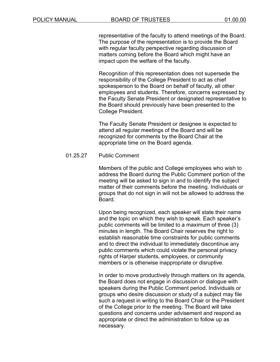representative of the faculty to attend meetings of the Board. The purpose of the representation is to provide the Board with regular faculty perspective regarding discussion of matters coming before the Board which might have an impact upon the welfare of the faculty.

Recognition of this representation does not supersede the responsibility of the College President to act as chief spokesperson to the Board on behalf of faculty, all other employees and students. Therefore, concerns expressed by the Faculty Senate President or designated representative to the Board should previously have been presented to the College President.

The Faculty Senate President or designee is expected to attend all regular meetings of the Board and will be recognized for comments by the Board Chair at the appropriate time on the Board agenda.

#### 01.25.27 Public Comment

Members of the public and College employees who wish to address the Board during the Public Comment portion of the meeting will be asked to sign in and to identify the subject matter of their comments before the meeting. Individuals or groups that do not sign in will not be allowed to address the Board.

Upon being recognized, each speaker will state their name and the topic on which they wish to speak. Each speaker's public comments will be limited to a maximum of three (3) minutes in length. The Board Chair reserves the right to establish reasonable time constraints for public comments and to direct the individual to immediately discontinue any public comments which could violate the personal privacy rights of Harper students, employees, or community members or is otherwise inappropriate or disruptive.

In order to move productively through matters on its agenda, the Board does not engage in discussion or dialogue with speakers during the Public Comment period. Individuals or groups who desire discussion or study of a subject may file such a request in writing to the Board Chair or the President of the College prior to the meeting. The Board will take questions and concerns under advisement and respond as appropriate or direct the administration to follow up as necessary.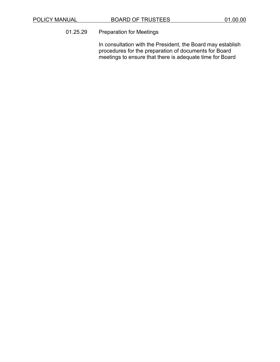## 01.25.29 Preparation for Meetings

In consultation with the President, the Board may establish procedures for the preparation of documents for Board meetings to ensure that there is adequate time for Board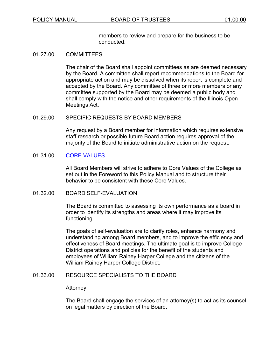members to review and prepare for the business to be conducted.

#### 01.27.00 COMMITTEES

The chair of the Board shall appoint committees as are deemed necessary by the Board. A committee shall report recommendations to the Board for appropriate action and may be dissolved when its report is complete and accepted by the Board. Any committee of three or more members or any committee supported by the Board may be deemed a public body and shall comply with the notice and other requirements of the Illinois Open Meetings Act.

#### 01.29.00 SPECIFIC REQUESTS BY BOARD MEMBERS

Any request by a Board member for information which requires extensive staff research or possible future Board action requires approval of the majority of the Board to initiate administrative action on the request.

## 01.31.00 CORE [VALUES](https://www.harpercollege.edu/catalog/handbook/a_handbook/mission.php)

All Board Members will strive to adhere to Core Values of the College as set out in the Foreword to this Policy Manual and to structure their behavior to be consistent with these Core Values.

#### 01.32.00 BOARD SELF-EVALUATION

The Board is committed to assessing its own performance as a board in order to identify its strengths and areas where it may improve its functioning.

The goals of self-evaluation are to clarify roles, enhance harmony and understanding among Board members, and to improve the efficiency and effectiveness of Board meetings. The ultimate goal is to improve College District operations and policies for the benefit of the students and employees of William Rainey Harper College and the citizens of the William Rainey Harper College District.

#### 01.33.00 RESOURCE SPECIALISTS TO THE BOARD

#### **Attorney**

The Board shall engage the services of an attorney(s) to act as its counsel on legal matters by direction of the Board.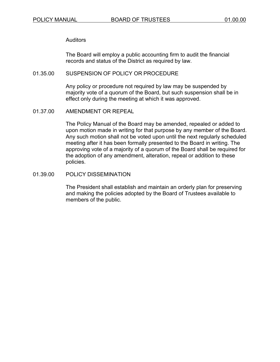Auditors

The Board will employ a public accounting firm to audit the financial records and status of the District as required by law.

#### 01.35.00 SUSPENSION OF POLICY OR PROCEDURE

Any policy or procedure not required by law may be suspended by majority vote of a quorum of the Board, but such suspension shall be in effect only during the meeting at which it was approved.

01.37.00 AMENDMENT OR REPEAL

The Policy Manual of the Board may be amended, repealed or added to upon motion made in writing for that purpose by any member of the Board. Any such motion shall not be voted upon until the next regularly scheduled meeting after it has been formally presented to the Board in writing. The approving vote of a majority of a quorum of the Board shall be required for the adoption of any amendment, alteration, repeal or addition to these policies.

01.39.00 POLICY DISSEMINATION

The President shall establish and maintain an orderly plan for preserving and making the policies adopted by the Board of Trustees available to members of the public.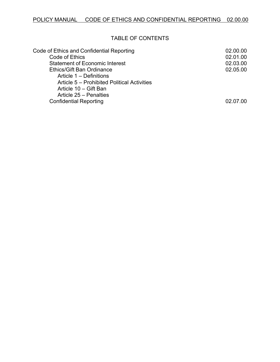## TABLE OF CONTENTS

| 02.00.00 |
|----------|
| 02.01.00 |
| 02.03.00 |
| 02.05.00 |
|          |
|          |
|          |
|          |
| 02 07 00 |
|          |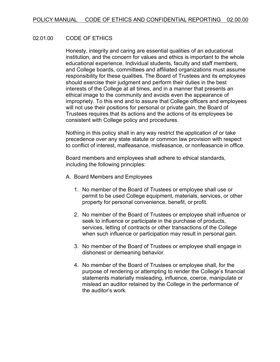## 02.01.00 CODE OF ETHICS

Honesty, integrity and caring are essential qualities of an educational institution, and the concern for values and ethics is important to the whole educational experience. Individual students, faculty and staff members, and College boards, committees and affiliated organizations must assume responsibility for these qualities. The Board of Trustees and its employees should exercise their judgment and perform their duties in the best interests of the College at all times, and in a manner that presents an ethical image to the community and avoids even the appearance of impropriety. To this end and to assure that College officers and employees will not use their positions for personal or private gain, the Board of Trustees requires that its actions and the actions of its employees be consistent with College policy and procedures.

Nothing in this policy shall in any way restrict the application of or take precedence over any state statute or common law provision with respect to conflict of interest, malfeasance, misfeasance, or nonfeasance in office.

Board members and employees shall adhere to ethical standards, including the following principles:

- A. Board Members and Employees
	- 1. No member of the Board of Trustees or employee shall use or permit to be used College equipment, materials, services, or other property for personal convenience, benefit, or profit.
	- 2. No member of the Board of Trustees or employee shall influence or seek to influence or participate in the purchase of products, services, letting of contracts or other transactions of the College when such influence or participation may result in personal gain.
	- 3. No member of the Board of Trustees or employee shall engage in dishonest or demeaning behavior.
	- 4. No member of the Board of Trustees or employee shall, for the purpose of rendering or attempting to render the College's financial statements materially misleading, influence, coerce, manipulate or mislead an auditor retained by the College in the performance of the auditor's work.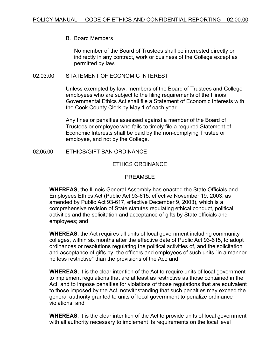#### B. Board Members

No member of the Board of Trustees shall be interested directly or indirectly in any contract, work or business of the College except as permitted by law.

#### 02.03.00 STATEMENT OF ECONOMIC INTEREST

Unless exempted by law, members of the Board of Trustees and College employees who are subject to the filing requirements of the Illinois Governmental Ethics Act shall file a Statement of Economic Interests with the Cook County Clerk by May 1 of each year.

Any fines or penalties assessed against a member of the Board of Trustees or employee who fails to timely file a required Statement of Economic Interests shall be paid by the non-complying Trustee or employee, and not by the College.

02.05.00 ETHICS/GIFT BAN ORDINANCE

#### ETHICS ORDINANCE

#### PREAMBLE

**WHEREAS**, the Illinois General Assembly has enacted the State Officials and Employees Ethics Act (Public Act 93-615, effective November 19, 2003, as amended by Public Act 93-617, effective December 9, 2003), which is a comprehensive revision of State statutes regulating ethical conduct, political activities and the solicitation and acceptance of gifts by State officials and employees; and

**WHEREAS**, the Act requires all units of local government including community colleges, within six months after the effective date of Public Act 93-615, to adopt ordinances or resolutions regulating the political activities of, and the solicitation and acceptance of gifts by, the officers and employees of such units "in a manner no less restrictive" than the provisions of the Act; and

**WHEREAS**, it is the clear intention of the Act to require units of local government to implement regulations that are at least as restrictive as those contained in the Act, and to impose penalties for violations of those regulations that are equivalent to those imposed by the Act, notwithstanding that such penalties may exceed the general authority granted to units of local government to penalize ordinance violations; and

**WHEREAS**, it is the clear intention of the Act to provide units of local government with all authority necessary to implement its requirements on the local level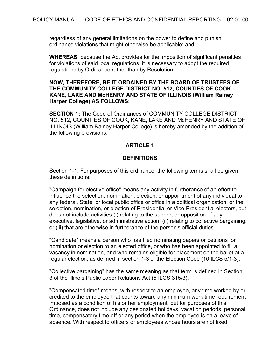regardless of any general limitations on the power to define and punish ordinance violations that might otherwise be applicable; and

**WHEREAS**, because the Act provides for the imposition of significant penalties for violations of said local regulations, it is necessary to adopt the required regulations by Ordinance rather than by Resolution;

## **NOW, THEREFORE, BE IT ORDAINED BY THE BOARD OF TRUSTEES OF THE COMMUNITY COLLEGE DISTRICT NO. 512, COUNTIES OF COOK, KANE, LAKE AND McHENRY AND STATE OF ILLINOIS (William Rainey Harper College) AS FOLLOWS:**

**SECTION 1:** The Code of Ordinances of COMMUNITY COLLEGE DISTRICT NO. 512, COUNTIES OF COOK, KANE, LAKE AND McHENRY AND STATE OF ILLINOIS (William Rainey Harper College) is hereby amended by the addition of the following provisions:

## **ARTICLE 1**

## **DEFINITIONS**

Section 1-1. For purposes of this ordinance, the following terms shall be given these definitions:

"Campaign for elective office" means any activity in furtherance of an effort to influence the selection, nomination, election, or appointment of any individual to any federal, State, or local public office or office in a political organization, or the selection, nomination, or election of Presidential or Vice-Presidential electors, but does not include activities (i) relating to the support or opposition of any executive, legislative, or administrative action, (ii) relating to collective bargaining, or (iii) that are otherwise in furtherance of the person's official duties.

"Candidate" means a person who has filed nominating papers or petitions for nomination or election to an elected office, or who has been appointed to fill a vacancy in nomination, and who remains eligible for placement on the ballot at a regular election, as defined in section 1-3 of the Election Code (10 ILCS 5/1-3).

"Collective bargaining" has the same meaning as that term is defined in Section 3 of the Illinois Public Labor Relations Act (5 ILCS 315/3).

"Compensated time" means, with respect to an employee, any time worked by or credited to the employee that counts toward any minimum work time requirement imposed as a condition of his or her employment, but for purposes of this Ordinance, does not include any designated holidays, vacation periods, personal time, compensatory time off or any period when the employee is on a leave of absence. With respect to officers or employees whose hours are not fixed,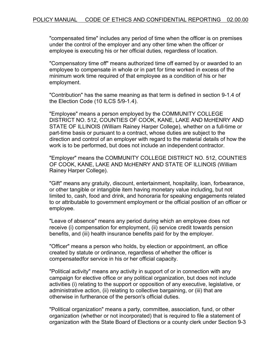"compensated time" includes any period of time when the officer is on premises under the control of the employer and any other time when the officer or employee is executing his or her official duties, regardless of location.

"Compensatory time off" means authorized time off earned by or awarded to an employee to compensate in whole or in part for time worked in excess of the minimum work time required of that employee as a condition of his or her employment.

"Contribution" has the same meaning as that term is defined in section 9-1.4 of the Election Code (10 ILCS 5/9-1.4).

"Employee" means a person employed by the COMMUNITY COLLEGE DISTRICT NO. 512, COUNTIES OF COOK, KANE, LAKE AND McHENRY AND STATE OF ILLINOIS (William Rainey Harper College), whether on a full-time or part-time basis or pursuant to a contract, whose duties are subject to the direction and control of an employer with regard to the material details of how the work is to be performed, but does not include an independent contractor.

"Employer" means the COMMUNITY COLLEGE DISTRICT NO. 512, COUNTIES OF COOK, KANE, LAKE AND McHENRY AND STATE OF ILLINOIS (William Rainey Harper College).

"Gift" means any gratuity, discount, entertainment, hospitality, loan, forbearance, or other tangible or intangible item having monetary value including, but not limited to, cash, food and drink, and honoraria for speaking engagements related to or attributable to government employment or the official position of an officer or employee.

"Leave of absence" means any period during which an employee does not receive (i) compensation for employment, (ii) service credit towards pension benefits, and (iii) health insurance benefits paid for by the employer.

"Officer" means a person who holds, by election or appointment, an office created by statute or ordinance, regardless of whether the officer is compensatedfor service in his or her official capacity.

"Political activity" means any activity in support of or in connection with any campaign for elective office or any political organization, but does not include activities (i) relating to the support or opposition of any executive, legislative, or administrative action, (ii) relating to collective bargaining, or (iii) that are otherwise in furtherance of the person's official duties.

"Political organization" means a party, committee, association, fund, or other organization (whether or not incorporated) that is required to file a statement of organization with the State Board of Elections or a county clerk under Section 9-3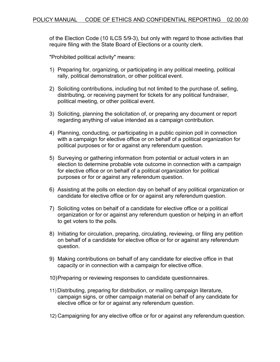of the Election Code (10 ILCS 5/9-3), but only with regard to those activities that require filing with the State Board of Elections or a county clerk.

"Prohibited political activity" means:

- 1) Preparing for, organizing, or participating in any political meeting, political rally, political demonstration, or other political event.
- 2) Soliciting contributions, including but not limited to the purchase of, selling, distributing, or receiving payment for tickets for any political fundraiser, political meeting, or other political event.
- 3) Soliciting, planning the solicitation of, or preparing any document or report regarding anything of value intended as a campaign contribution.
- 4) Planning, conducting, or participating in a public opinion poll in connection with a campaign for elective office or on behalf of a political organization for political purposes or for or against any referendum question.
- 5) Surveying or gathering information from potential or actual voters in an election to determine probable vote outcome in connection with a campaign for elective office or on behalf of a political organization for political purposes or for or against any referendum question.
- 6) Assisting at the polls on election day on behalf of any political organization or candidate for elective office or for or against any referendum question.
- 7) Soliciting votes on behalf of a candidate for elective office or a political organization or for or against any referendum question or helping in an effort to get voters to the polls.
- 8) Initiating for circulation, preparing, circulating, reviewing, or filing any petition on behalf of a candidate for elective office or for or against any referendum question.
- 9) Making contributions on behalf of any candidate for elective office in that capacity or in connection with a campaign for elective office.
- 10)Preparing or reviewing responses to candidate questionnaires.
- 11) Distributing, preparing for distribution, or mailing campaign literature, campaign signs, or other campaign material on behalf of any candidate for elective office or for or against any referendum question.
- 12) Campaigning for any elective office or for or against any referendum question.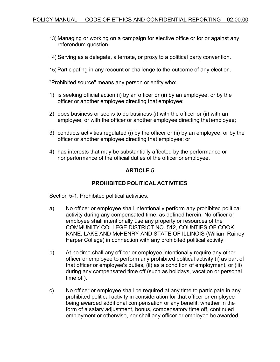- 13) Managing or working on a campaign for elective office or for or against any referendum question.
- 14) Serving as a delegate, alternate, or proxy to a political party convention.
- 15) Participating in any recount or challenge to the outcome of any election.

"Prohibited source" means any person or entity who:

- 1) is seeking official action (i) by an officer or (ii) by an employee, or by the officer or another employee directing that employee;
- 2) does business or seeks to do business (i) with the officer or (ii) with an employee, or with the officer or another employee directing thatemployee;
- 3) conducts activities regulated (i) by the officer or (ii) by an employee, or by the officer or another employee directing that employee; or
- 4) has interests that may be substantially affected by the performance or nonperformance of the official duties of the officer or employee.

# **ARTICLE 5**

# **PROHIBITED POLITICAL ACTIVITIES**

Section 5-1. Prohibited political activities.

- a) No officer or employee shall intentionally perform any prohibited political activity during any compensated time, as defined herein. No officer or employee shall intentionally use any property or resources of the COMMUNITY COLLEGE DISTRICT NO. 512, COUNTIES OF COOK, KANE, LAKE AND McHENRY AND STATE OF ILLINOIS (William Rainey Harper College) in connection with any prohibited political activity.
- b) At no time shall any officer or employee intentionally require any other officer or employee to perform any prohibited political activity (i) as part of that officer or employee's duties, (ii) as a condition of employment, or (iii) during any compensated time off (such as holidays, vacation or personal time off).
- c) No officer or employee shall be required at any time to participate in any prohibited political activity in consideration for that officer or employee being awarded additional compensation or any benefit, whether in the form of a salary adjustment, bonus, compensatory time off, continued employment or otherwise, nor shall any officer or employee be awarded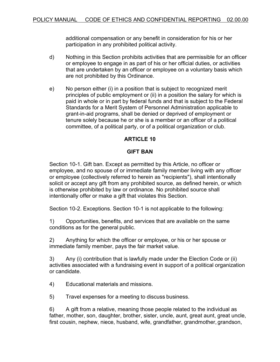additional compensation or any benefit in consideration for his or her participation in any prohibited political activity.

- d) Nothing in this Section prohibits activities that are permissible for an officer or employee to engage in as part of his or her official duties, or activities that are undertaken by an officer or employee on a voluntary basis which are not prohibited by this Ordinance.
- e) No person either (i) in a position that is subject to recognized merit principles of public employment or (ii) in a position the salary for which is paid in whole or in part by federal funds and that is subject to the Federal Standards for a Merit System of Personnel Administration applicable to grant-in-aid programs, shall be denied or deprived of employment or tenure solely because he or she is a member or an officer of a political committee, of a political party, or of a political organization or club.

# **ARTICLE 10**

# **GIFT BAN**

Section 10-1. Gift ban. Except as permitted by this Article, no officer or employee, and no spouse of or immediate family member living with any officer or employee (collectively referred to herein as "recipients"), shall intentionally solicit or accept any gift from any prohibited source, as defined herein, or which is otherwise prohibited by law or ordinance. No prohibited source shall intentionally offer or make a gift that violates this Section.

Section 10-2. Exceptions. Section 10-1 is not applicable to the following:

1) Opportunities, benefits, and services that are available on the same conditions as for the general public.

2) Anything for which the officer or employee, or his or her spouse or immediate family member, pays the fair market value.

3) Any (i) contribution that is lawfully made under the Election Code or (ii) activities associated with a fundraising event in support of a political organization or candidate.

4) Educational materials and missions.

5) Travel expenses for a meeting to discuss business.

6) A gift from a relative, meaning those people related to the individual as father, mother, son, daughter, brother, sister, uncle, aunt, great aunt, great uncle, first cousin, nephew, niece, husband, wife, grandfather, grandmother, grandson,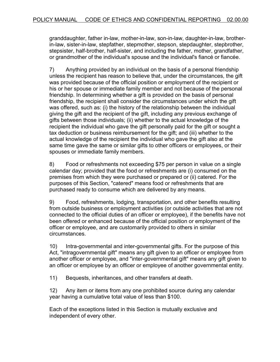granddaughter, father in-law, mother-in-law, son-in-law, daughter-in-law, brotherin-law, sister-in-law, stepfather, stepmother, stepson, stepdaughter, stepbrother, stepsister, half-brother, half-sister, and including the father, mother, grandfather, or grandmother of the individual's spouse and the individual's fiancé or fiancée.

7) Anything provided by an individual on the basis of a personal friendship unless the recipient has reason to believe that, under the circumstances, the gift was provided because of the official position or employment of the recipient or his or her spouse or immediate family member and not because of the personal friendship. In determining whether a gift is provided on the basis of personal friendship, the recipient shall consider the circumstances under which the gift was offered, such as: (i) the history of the relationship between the individual giving the gift and the recipient of the gift, including any previous exchange of gifts between those individuals; (ii) whether to the actual knowledge of the recipient the individual who gave the gift personally paid for the gift or sought a tax deduction or business reimbursement for the gift; and (iii) whether to the actual knowledge of the recipient the individual who gave the gift also at the same time gave the same or similar gifts to other officers or employees, or their spouses or immediate family members.

8) Food or refreshments not exceeding \$75 per person in value on a single calendar day; provided that the food or refreshments are (i) consumed on the premises from which they were purchased or prepared or (ii) catered. For the purposes of this Section, "catered" means food or refreshments that are purchased ready to consume which are delivered by any means.

9) Food, refreshments, lodging, transportation, and other benefits resulting from outside business or employment activities (or outside activities that are not connected to the official duties of an officer or employee), if the benefits have not been offered or enhanced because of the official position or employment of the officer or employee, and are customarily provided to others in similar circumstances.

10) Intra-governmental and inter-governmental gifts. For the purpose of this Act, "intragovernmental gift" means any gift given to an officer or employee from another officer or employee, and "inter-governmental gift" means any gift given to an officer or employee by an officer or employee of another governmental entity.

11) Bequests, inheritances, and other transfers at death.

12) Any item or items from any one prohibited source during any calendar year having a cumulative total value of less than \$100.

Each of the exceptions listed in this Section is mutually exclusive and independent of every other.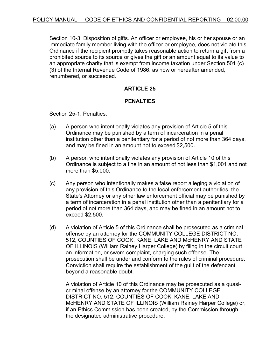Section 10-3. Disposition of gifts. An officer or employee, his or her spouse or an immediate family member living with the officer or employee, does not violate this Ordinance if the recipient promptly takes reasonable action to return a gift from a prohibited source to its source or gives the gift or an amount equal to its value to an appropriate charity that is exempt from income taxation under Section 501 (c) (3) of the Internal Revenue Code of 1986, as now or hereafter amended, renumbered, or succeeded.

# **ARTICLE 25**

## **PENALTIES**

Section 25-1. Penalties.

- (a) A person who intentionally violates any provision of Article 5 of this Ordinance may be punished by a term of incarceration in a penal institution other than a penitentiary for a period of not more than 364 days, and may be fined in an amount not to exceed \$2,500.
- (b) A person who intentionally violates any provision of Article 10 of this Ordinance is subject to a fine in an amount of not less than \$1,001 and not more than \$5,000.
- (c) Any person who intentionally makes a false report alleging a violation of any provision of this Ordinance to the local enforcement authorities, the State's Attorney or any other law enforcement official may be punished by a term of incarceration in a penal institution other than a penitentiary for a period of not more than 364 days, and may be fined in an amount not to exceed \$2,500.
- (d) A violation of Article 5 of this Ordinance shall be prosecuted as a criminal offense by an attorney for the COMMUNITY COLLEGE DISTRICT NO. 512, COUNTIES OF COOK, KANE, LAKE AND McHENRY AND STATE OF ILLINOIS (William Rainey Harper College) by filing in the circuit court an information, or sworn complaint, charging such offense. The prosecution shall be under and conform to the rules of criminal procedure. Conviction shall require the establishment of the guilt of the defendant beyond a reasonable doubt.

A violation of Article 10 of this Ordinance may be prosecuted as a quasicriminal offense by an attorney for the COMMUNITY COLLEGE DISTRICT NO. 512, COUNTIES OF COOK, KANE, LAKE AND McHENRY AND STATE OF ILLINOIS (William Rainey Harper College) or, if an Ethics Commission has been created, by the Commission through the designated administrative procedure.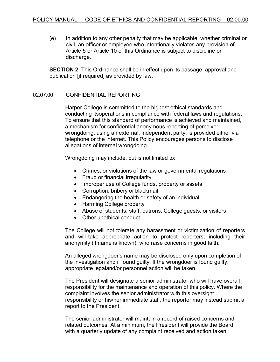(e) In addition to any other penalty that may be applicable, whether criminal or civil, an officer or employee who intentionally violates any provision of Article 5 or Article 10 of this Ordinance is subject to discipline or discharge.

**SECTION 2**: This Ordinance shall be in effect upon its passage, approval and publication [if required] as provided by law.

## 02.07.00 CONFIDENTIAL REPORTING

Harper College is committed to the highest ethical standards and conducting itsoperations in compliance with federal laws and regulations. To ensure that this standard of performance is achieved and maintained, a mechanism for confidential anonymous reporting of perceived wrongdoing, using an external, independent party, is provided either via telephone or the internet. This Policy encourages persons to disclose allegations of internal wrongdoing.

Wrongdoing may include, but is not limited to:

- Crimes, or violations of the law or governmental regulations
- Fraud or financial irregularity
- Improper use of College funds, property or assets
- Corruption, bribery or blackmail
- Endangering the health or safety of an individual
- Harming College property
- Abuse of students, staff, patrons, College guests, or visitors
- Other unethical conduct

The College will not tolerate any harassment or victimization of reporters and will take appropriate action to protect reporters, including their anonymity (if name is known), who raise concerns in good faith.

An alleged wrongdoer's name may be disclosed only upon completion of the investigation and if found guilty. If the wrongdoer is found guilty, appropriate legaland/or personnel action will be taken.

The President will designate a senior administrator who will have overall responsibility for the maintenance and operation of this policy. Where the complaint involves the senior administrator with this oversight responsibility or his/her immediate staff, the reporter may instead submit a report to the President.

The senior administrator will maintain a record of raised concerns and related outcomes. At a minimum, the President will provide the Board with a quarterly update of any complaint received and action taken,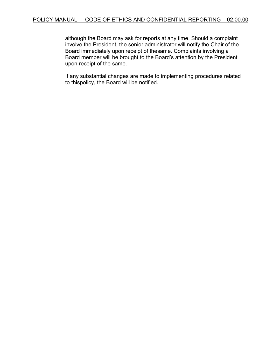although the Board may ask for reports at any time. Should a complaint involve the President, the senior administrator will notify the Chair of the Board immediately upon receipt of thesame. Complaints involving a Board member will be brought to the Board's attention by the President upon receipt of the same.

If any substantial changes are made to implementing procedures related to thispolicy, the Board will be notified.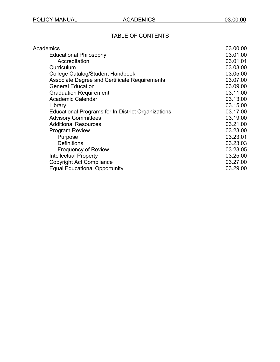# TABLE OF CONTENTS

| Academics                                                 | 03.00.00 |
|-----------------------------------------------------------|----------|
| <b>Educational Philosophy</b>                             | 03.01.00 |
| Accreditation                                             | 03.01.01 |
| Curriculum                                                | 03.03.00 |
| College Catalog/Student Handbook                          | 03.05.00 |
| <b>Associate Degree and Certificate Requirements</b>      | 03.07.00 |
| <b>General Education</b>                                  | 03.09.00 |
| <b>Graduation Requirement</b>                             | 03.11.00 |
| <b>Academic Calendar</b>                                  | 03.13.00 |
| Library                                                   | 03.15.00 |
| <b>Educational Programs for In-District Organizations</b> | 03.17.00 |
| <b>Advisory Committees</b>                                | 03.19.00 |
| <b>Additional Resources</b>                               | 03.21.00 |
| <b>Program Review</b>                                     | 03.23.00 |
| Purpose                                                   | 03.23.01 |
| <b>Definitions</b>                                        | 03.23.03 |
| <b>Frequency of Review</b>                                | 03.23.05 |
| <b>Intellectual Property</b>                              | 03.25.00 |
| <b>Copyright Act Compliance</b>                           | 03.27.00 |
| <b>Equal Educational Opportunity</b>                      | 03.29.00 |
|                                                           |          |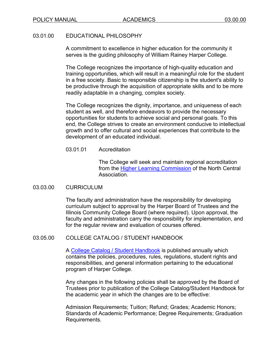## 03.01.00 EDUCATIONAL PHILOSOPHY

A commitment to excellence in higher education for the community it serves is the guiding philosophy of William Rainey Harper College.

The College recognizes the importance of high-quality education and training opportunities, which will result in a meaningful role for the student in a free society. Basic to responsible citizenship is the student's ability to be productive through the acquisition of appropriate skills and to be more readily adaptable in a changing, complex society.

The College recognizes the dignity, importance, and uniqueness of each student as well, and therefore endeavors to provide the necessary opportunities for students to achieve social and personal goals. To this end, the College strives to create an environment conducive to intellectual growth and to offer cultural and social experiences that contribute to the development of an educated individual.

## 03.01.01 Accreditation

The College will seek and maintain regional accreditation from the [Higher Learning Commission](https://www.hlcommission.org/component/directory/?Itemid=&Action=ShowBasic&instid=1173) of the North Central Association.

## 03.03.00 CURRICULUM

The faculty and administration have the responsibility for developing curriculum subject to approval by the Harper Board of Trustees and the Illinois Community College Board (where required). Upon approval, the faculty and administration carry the responsibility for implementation, and for the regular review and evaluation of courses offered.

# 03.05.00 COLLEGE CATALOG / STUDENT HANDBOOK

A [College Catalog / Student Handbook](https://www.harpercollege.edu/catalog/current/index.php) is published annually which contains the policies, procedures, rules, regulations, student rights and responsibilities, and general information pertaining to the educational program of Harper College.

Any changes in the following policies shall be approved by the Board of Trustees prior to publication of the College Catalog/Student Handbook for the academic year in which the changes are to be effective:

Admission Requirements; Tuition; Refund; Grades; Academic Honors; Standards of Academic Performance; Degree Requirements; Graduation Requirements.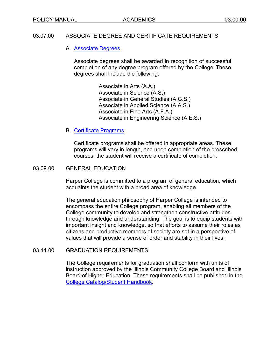## 03.07.00 ASSOCIATE DEGREE AND CERTIFICATE REQUIREMENTS

## A. [Associate](https://www.harpercollege.edu/academics/degrees.php) Degrees

Associate degrees shall be awarded in recognition of successful completion of any degree program offered by the College. These degrees shall include the following:

> Associate in Arts (A.A.) Associate in Science (A.S.) Associate in General Studies (A.G.S.) Associate in Applied Science (A.A.S.) Associate in Fine Arts (A.F.A.) Associate in Engineering Science (A.E.S.)

## B. [Certificate](https://www.harpercollege.edu/academics/degrees.php) Programs

Certificate programs shall be offered in appropriate areas. These programs will vary in length, and upon completion of the prescribed courses, the student will receive a certificate of completion.

## 03.09.00 GENERAL EDUCATION

Harper College is committed to a program of general education, which acquaints the student with a broad area of knowledge.

The general education philosophy of Harper College is intended to encompass the entire College program, enabling all members of the College community to develop and strengthen constructive attitudes through knowledge and understanding. The goal is to equip students with important insight and knowledge, so that efforts to assume their roles as citizens and productive members of society are set in a perspective of values that will provide a sense of order and stability in their lives.

## 03.11.00 GRADUATION REQUIREMENTS

The College requirements for graduation shall conform with units of instruction approved by the Illinois Community College Board and Illinois Board of Higher Education. These requirements shall be published in the [College Catalog/Student Handbook.](https://www.harpercollege.edu/catalog/current/index.php)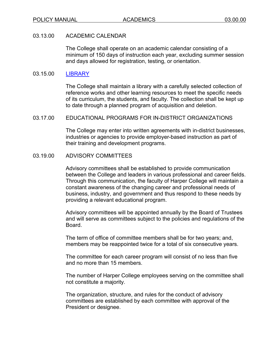## 03.13.00 ACADEMIC CALENDAR

The College shall operate on an academic calendar consisting of a minimum of 150 days of instruction each year, excluding summer session and days allowed for registration, testing, or orientation.

## 03.15.00 [LIBRARY](https://www.harpercollege.edu/library/index.php)

The College shall maintain a library with a carefully selected collection of reference works and other learning resources to meet the specific needs of its curriculum, the students, and faculty. The collection shall be kept up to date through a planned program of acquisition and deletion.

## 03.17.00 EDUCATIONAL PROGRAMS FOR IN-DISTRICT ORGANIZATIONS

The College may enter into written agreements with in-district businesses, industries or agencies to provide employer-based instruction as part of their training and development programs.

## 03.19.00 ADVISORY COMMITTEES

Advisory committees shall be established to provide communication between the College and leaders in various professional and career fields. Through this communication, the faculty of Harper College will maintain a constant awareness of the changing career and professional needs of business, industry, and government and thus respond to these needs by providing a relevant educational program.

Advisory committees will be appointed annually by the Board of Trustees and will serve as committees subject to the policies and regulations of the Board.

The term of office of committee members shall be for two years; and, members may be reappointed twice for a total of six consecutive years.

The committee for each career program will consist of no less than five and no more than 15 members.

The number of Harper College employees serving on the committee shall not constitute a majority.

The organization, structure, and rules for the conduct of advisory committees are established by each committee with approval of the President or designee.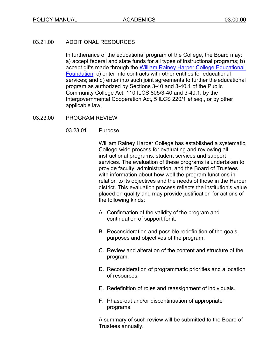# 03.21.00 ADDITIONAL RESOURCES

In furtherance of the educational program of the College, the Board may: a) accept federal and state funds for all types of instructional programs; b) accept gifts made through the [William Rainey Harper College Educational](https://www.harpercollege.edu/foundation/index.php)  [Foundation;](https://www.harpercollege.edu/foundation/index.php) c) enter into contracts with other entities for educational services; and d) enter into such joint agreements to further the educational program as authorized by Sections 3-40 and 3-40.1 of the Public Community College Act, 110 ILCS 805/3-40 and 3-40.1, by the Intergovernmental Cooperation Act, 5 ILCS 220/1 *et seq*., or by other applicable law.

# 03.23.00 PROGRAM REVIEW

# 03.23.01 Purpose

William Rainey Harper College has established a systematic, College-wide process for evaluating and reviewing all instructional programs, student services and support services. The evaluation of these programs is undertaken to provide faculty, administration, and the Board of Trustees with information about how well the program functions in relation to its objectives and the needs of those in the Harper district. This evaluation process reflects the institution's value placed on quality and may provide justification for actions of the following kinds:

- A. Confirmation of the validity of the program and continuation of support for it.
- B. Reconsideration and possible redefinition of the goals, purposes and objectives of the program.
- C. Review and alteration of the content and structure of the program.
- D. Reconsideration of programmatic priorities and allocation of resources.
- E. Redefinition of roles and reassignment of individuals.
- F. Phase-out and/or discontinuation of appropriate programs.

A summary of such review will be submitted to the Board of Trustees annually.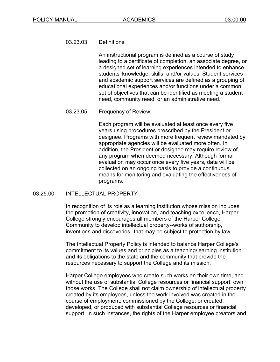## 03.23.03 Definitions

An instructional program is defined as a course of study leading to a certificate of completion, an associate degree, or a designed set of learning experiences intended to enhance students' knowledge, skills, and/or values. Student services and academic support services are defined as a grouping of educational experiences and/or functions under a common set of objectives that can be identified as meeting a student need, community need, or an administrative need.

## 03.23.05 Frequency of Review

Each program will be evaluated at least once every five years using procedures prescribed by the President or designee. Programs with more frequent review mandated by appropriate agencies will be evaluated more often. In addition, the President or designee may require review of any program when deemed necessary. Although formal evaluation may occur once every five years, data will be collected on an ongoing basis to provide a continuous means for monitoring and evaluating the effectiveness of programs.

## 03.25.00 INTELLECTUAL PROPERTY

In recognition of its role as a learning institution whose mission includes the promotion of creativity, innovation, and teaching excellence, Harper College strongly encourages all members of the Harper College Community to develop intellectual property--works of authorship, inventions and discoveries--that may be subject to protection by law.

The Intellectual Property Policy is intended to balance Harper College's commitment to its values and principles as a teaching/learning institution and its obligations to the state and the community that provide the resources necessary to support the College and its mission.

Harper College employees who create such works on their own time, and without the use of substantial College resources or financial support, own those works. The College shall not claim ownership of intellectual property created by its employees, unless the work involved was created in the course of employment; commissioned by the College; or created, developed, or produced with substantial College resources or financial support. In such instances, the rights of the Harper employee creators and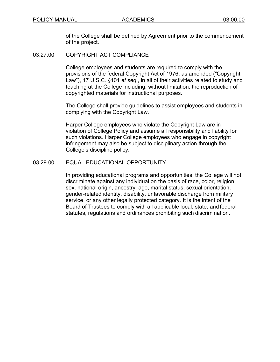of the College shall be defined by Agreement prior to the commencement of the project.

03.27.00 COPYRIGHT ACT COMPLIANCE

College employees and students are required to comply with the provisions of the federal Copyright Act of 1976, as amended ("Copyright Law"), 17 U.S.C. §101 *et seq*., in all of their activities related to study and teaching at the College including, without limitation, the reproduction of copyrighted materials for instructional purposes.

The College shall provide guidelines to assist employees and students in complying with the Copyright Law.

Harper College employees who violate the Copyright Law are in violation of College Policy and assume all responsibility and liability for such violations. Harper College employees who engage in copyright infringement may also be subject to disciplinary action through the College's discipline policy.

## 03.29.00 EQUAL EDUCATIONAL OPPORTUNITY

In providing educational programs and opportunities, the College will not discriminate against any individual on the basis of race, color, religion, sex, national origin, ancestry, age, marital status, sexual orientation, gender-related identity, disability, unfavorable discharge from military service, or any other legally protected category. It is the intent of the Board of Trustees to comply with all applicable local, state, and federal statutes, regulations and ordinances prohibiting such discrimination.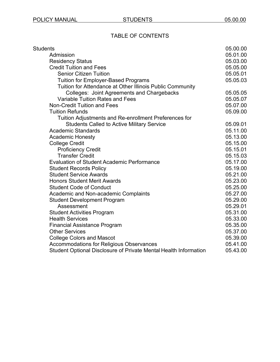# TABLE OF CONTENTS

| <b>Students</b>                                                  | 05.00.00 |
|------------------------------------------------------------------|----------|
| Admission                                                        | 05.01.00 |
| <b>Residency Status</b>                                          | 05.03.00 |
| <b>Credit Tuition and Fees</b>                                   | 05.05.00 |
| <b>Senior Citizen Tuition</b>                                    | 05.05.01 |
| <b>Tuition for Employer-Based Programs</b>                       | 05.05.03 |
| Tuition for Attendance at Other Illinois Public Community        |          |
| Colleges: Joint Agreements and Chargebacks                       | 05.05.05 |
| <b>Variable Tuition Rates and Fees</b>                           | 05.05.07 |
| <b>Non-Credit Tuition and Fees</b>                               | 05.07.00 |
| <b>Tuition Refunds</b>                                           | 05.09.00 |
| Tuition Adjustments and Re-enrollment Preferences for            |          |
| <b>Students Called to Active Military Service</b>                | 05.09.01 |
| <b>Academic Standards</b>                                        | 05.11.00 |
| <b>Academic Honesty</b>                                          | 05.13.00 |
| <b>College Credit</b>                                            | 05.15.00 |
| <b>Proficiency Credit</b>                                        | 05.15.01 |
| <b>Transfer Credit</b>                                           | 05.15.03 |
| <b>Evaluation of Student Academic Performance</b>                | 05.17.00 |
| <b>Student Records Policy</b>                                    | 05.19.00 |
| <b>Student Service Awards</b>                                    | 05.21.00 |
| <b>Honors Student Merit Awards</b>                               | 05.23.00 |
| <b>Student Code of Conduct</b>                                   | 05.25.00 |
| Academic and Non-academic Complaints                             | 05.27.00 |
| <b>Student Development Program</b>                               | 05.29.00 |
| Assessment                                                       | 05.29.01 |
| <b>Student Activities Program</b>                                | 05.31.00 |
| <b>Health Services</b>                                           | 05.33.00 |
| <b>Financial Assistance Program</b>                              | 05.35.00 |
| <b>Other Services</b>                                            | 05.37.00 |
| <b>College Colors and Mascot</b>                                 | 05.39.00 |
| <b>Accommodations for Religious Observances</b>                  | 05.41.00 |
| Student Optional Disclosure of Private Mental Health Information | 05.43.00 |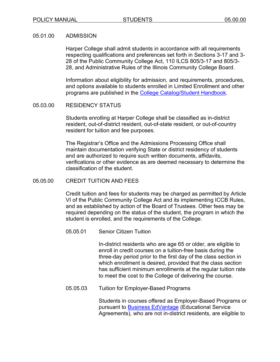#### 05.01.00 ADMISSION

Harper College shall admit students in accordance with all requirements respecting qualifications and preferences set forth in Sections 3-17 and 3- 28 of the Public Community College Act, 110 ILCS 805/3-17 and 805/3- 28, and Administrative Rules of the Illinois Community College Board.

Information about eligibility for admission, and requirements, procedures, and options available to students enrolled in Limited Enrollment and other programs are published in the [College Catalog/Student Handbook.](https://www.harpercollege.edu/catalog/current/index.php)

## 05.03.00 RESIDENCY STATUS

Students enrolling at Harper College shall be classified as in-district resident, out-of-district resident, out-of-state resident, or out-of-country resident for tuition and fee purposes.

The Registrar's Office and the Admissions Processing Office shall maintain documentation verifying State or district residency of students and are authorized to require such written documents, affidavits, verifications or other evidence as are deemed necessary to determine the classification of the student.

## 05.05.00 CREDIT TUITION AND FEES

Credit tuition and fees for students may be charged as permitted by Article VI of the Public Community College Act and its implementing ICCB Rules, and as established by action of the Board of Trustees. Other fees may be required depending on the status of the student, the program in which the student is enrolled, and the requirements of the College.

05.05.01 Senior Citizen Tuition

In-district residents who are age 65 or older, are eligible to enroll in credit courses on a tuition-free basis during the three-day period prior to the first day of the class section in which enrollment is desired, provided that the class section has sufficient minimum enrollments at the regular tuition rate to meet the cost to the College of delivering the course.

05.05.03 Tuition for Employer-Based Programs

Students in courses offered as Employer-Based Programs or pursuant to [Business EdVantage](https://www.harpercollege.edu/registration/tuition/edvantage.php) (Educational Service Agreements), who are not in-district residents, are eligible to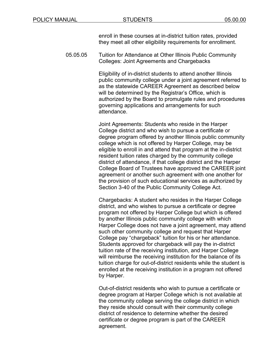enroll in these courses at in-district tuition rates, provided they meet all other eligibility requirements for enrollment.

05.05.05 Tuition for Attendance at Other Illinois Public Community Colleges: Joint Agreements and Chargebacks

> Eligibility of in-district students to attend another Illinois public community college under a joint agreement referred to as the statewide CAREER Agreement as described below will be determined by the Registrar's Office, which is authorized by the Board to promulgate rules and procedures governing applications and arrangements for such attendance.

> Joint Agreements: Students who reside in the Harper College district and who wish to pursue a certificate or degree program offered by another Illinois public community college which is not offered by Harper College, may be eligible to enroll in and attend that program at the in-district resident tuition rates charged by the community college district of attendance, if that college district and the Harper College Board of Trustees have approved the CAREER joint agreement or another such agreement with one another for the provision of such educational services as authorized by Section 3-40 of the Public Community College Act.

> Chargebacks: A student who resides in the Harper College district, and who wishes to pursue a certificate or degree program not offered by Harper College but which is offered by another Illinois public community college with which Harper College does not have a joint agreement, may attend such other community college and request that Harper College pay "chargeback" tuition for his or her attendance. Students approved for chargeback will pay the in-district tuition rate of the receiving institution, and Harper College will reimburse the receiving institution for the balance of its tuition charge for out-of-district residents while the student is enrolled at the receiving institution in a program not offered by Harper.

Out-of-district residents who wish to pursue a certificate or degree program at Harper College which is not available at the community college serving the college district in which they reside should consult with their community college district of residence to determine whether the desired certificate or degree program is part of the CAREER agreement.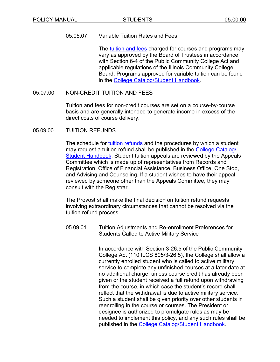## 05.05.07 Variable Tuition Rates and Fees

The [tuition and fees](https://www.harpercollege.edu/registration/tuition/fees.php) charged for courses and programs may vary as approved by the Board of Trustees in accordance with Section 6-4 of the Public Community College Act and applicable regulations of the Illinois Community College Board. Programs approved for variable tuition can be found in the [College Catalog/Student Handbook.](https://www.harpercollege.edu/catalog/current/index.php)

## 05.07.00 NON-CREDIT TUITION AND FEES

Tuition and fees for non-credit courses are set on a course-by-course basis and are generally intended to generate income in excess of the direct costs of course delivery.

## 05.09.00 TUITION REFUNDS

The schedule for [tuition refunds](https://www.harpercollege.edu/catalog/handbook/enrollment/tuition/refund.php) and the procedures by which a student may request a tuition refund shall be published in the [College Catalog/](https://www.harpercollege.edu/catalog/current/index.php)  **[Student Handbook.](https://www.harpercollege.edu/catalog/current/index.php)** Student tuition appeals are reviewed by the Appeals Committee which is made up of representatives from Records and Registration, Office of Financial Assistance, Business Office, One Stop, and Advising and Counseling. If a student wishes to have their appeal reviewed by someone other than the Appeals Committee, they may consult with the Registrar.

The Provost shall make the final decision on tuition refund requests involving extraordinary circumstances that cannot be resolved via the tuition refund process.

05.09.01 Tuition Adjustments and Re-enrollment Preferences for Students Called to Active Military Service

> In accordance with Section 3-26.5 of the Public Community College Act (110 ILCS 805/3-26.5), the College shall allow a currently enrolled student who is called to active military service to complete any unfinished courses at a later date at no additional charge, unless course credit has already been given or the student received a full refund upon withdrawing from the course, in which case the student's record shall reflect that the withdrawal is due to active military service. Such a student shall be given priority over other students in reenrolling in the course or courses. The President or designee is authorized to promulgate rules as may be needed to implement this policy, and any such rules shall be published in the [College Catalog/Student Handbook.](https://www.harpercollege.edu/catalog/current/index.php)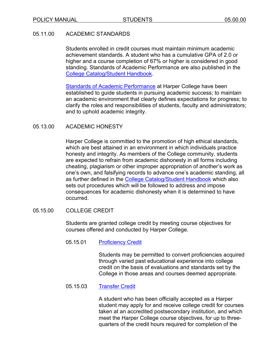# 05.11.00 ACADEMIC STANDARDS

Students enrolled in credit courses must maintain minimum academic achievement standards. A student who has a cumulative GPA of 2.0 or higher and a course completion of 67% or higher is considered in good standing. Standards of Academic Performance are also published in the [College Catalog/Student Handbook.](https://www.harpercollege.edu/catalog/current/index.php)

[Standards of Academic Performance](https://www.harpercollege.edu/catalog/handbook/b_resources/standards.php) at Harper College have been established to guide students in pursuing academic success; to maintain an academic environment that clearly defines expectations for progress; to clarify the roles and responsibilities of students, faculty and administrators; and to uphold academic integrity.

# 05.13.00 ACADEMIC HONESTY

Harper College is committed to the promotion of high ethical standards, which are best attained in an environment in which individuals practice honesty and integrity. As members of the College community, students are expected to refrain from academic dishonesty in all forms including cheating, plagiarism or other improper appropriation of another's work as one's own, and falsifying records to advance one's academic standing, all as further defined in the [College Catalog/Student Handbook](https://www.harpercollege.edu/catalog/current/index.php) which also sets out procedures which will be followed to address and impose consequences for academic dishonesty when it is determined to have occurred.

## 05.15.00 COLLEGE CREDIT

Students are granted college credit by meeting course objectives for courses offered and conducted by Harper College.

05.15.01 [Proficiency](https://www.harpercollege.edu/testing/hcpe.php?utm_medium=redirect&utm_campaign=redirects-secure&utm_source=/registration/testing/hcpe.php) Credit

Students may be permitted to convert proficiencies acquired through varied past educational experience into college credit on the basis of evaluations and standards set by the College in those areas and courses deemed appropriate.

05.15.03 [Transfer](https://www.harpercollege.edu/catalog/handbook/enrollment/registration_and_records/transfer.php) Credit

A student who has been officially accepted as a Harper student may apply for and receive college credit for courses taken at an accredited postsecondary institution, and which meet the Harper College course objectives, for up to threequarters of the credit hours required for completion of the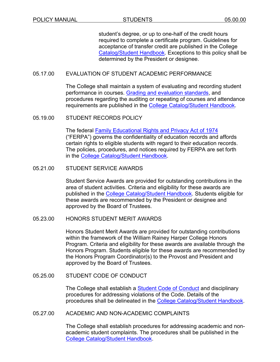student's degree, or up to one-half of the credit hours required to complete a certificate program. Guidelines for acceptance of transfer credit are published in the College [Catalog/Student Handbook.](https://www.harpercollege.edu/catalog/current/index.php) Exceptions to this policy shall be determined by the President or designee.

## 05.17.00 EVALUATION OF STUDENT ACADEMIC PERFORMANCE

The College shall maintain a system of evaluating and recording student performance in courses. [Grading and evaluation standards,](https://www.harpercollege.edu/catalog/handbook/enrollment/registration_and_records/grading.php) and procedures regarding the auditing or repeating of courses and attendance requirements are published in the [College Catalog/Student Handbook.](https://www.harpercollege.edu/catalog/current/index.php)

05.19.00 STUDENT RECORDS POLICY

The federal [Family Educational Rights and Privacy Act of 1974](https://www.harpercollege.edu/registration/tuition/ferpa-business.php) ("FERPA") governs the confidentiality of education records and affords certain rights to eligible students with regard to their education records. The policies, procedures, and notices required by FERPA are set forth in the [College Catalog/Student](https://www.harpercollege.edu/catalog/current/index.php) Handbook.

#### 05.21.00 STUDENT SERVICE AWARDS

Student Service Awards are provided for outstanding contributions in the area of student activities. Criteria and eligibility for these awards are published in the [College Catalog/Student Handbook.](https://www.harpercollege.edu/catalog/current/index.php) Students eligible for these awards are recommended by the President or designee and approved by the Board of Trustees.

## 05.23.00 HONORS STUDENT MERIT AWARDS

Honors Student Merit Awards are provided for outstanding contributions within the framework of the William Rainey Harper College Honors Program. Criteria and eligibility for these awards are available through the Honors Program. Students eligible for these awards are recommended by the Honors Program Coordinator(s) to the Provost and President and approved by the Board of Trustees.

## 05.25.00 STUDENT CODE OF CONDUCT

The College shall establish a **Student Code of Conduct** and disciplinary procedures for addressing violations of the Code. Details of the procedures shall be delineated in the [College Catalog/Student Handbook.](https://www.harpercollege.edu/catalog/current/index.php)

#### 05.27.00 ACADEMIC AND NON-ACADEMIC COMPLAINTS

The College shall establish procedures for addressing academic and nonacademic student complaints. The procedures shall be published in the [College Catalog/Student Handbook.](https://www.harpercollege.edu/catalog/current/index.php)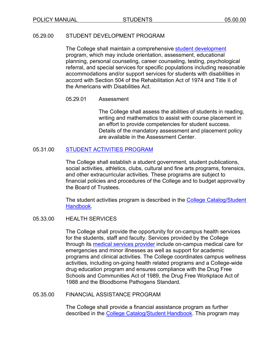## 05.29.00 STUDENT DEVELOPMENT PROGRAM

The College shall maintain a comprehensive [student development](https://www.harpercollege.edu/catalog/handbook/a_handbook/affiliations/studev.php) program, which may include orientation, assessment, educational planning, personal counseling, career counseling, testing, psychological referral, and special services for specific populations including reasonable accommodations and/or support services for students with disabilities in accord with Section 504 of the Rehabilitation Act of 1974 and Title II of the Americans with Disabilities Act.

## 05.29.01 Assessment

The College shall assess the abilities of students in reading, writing and mathematics to assist with course placement in an effort to provide competencies for student success. Details of the mandatory assessment and placement policy are available in the Assessment Center.

## 05.31.00 [STUDENT ACTIVITIES](https://www.harpercollege.edu/services/index.php) PROGRAM

The College shall establish a student government, student publications, social activities, athletics, clubs, cultural and fine arts programs, forensics, and other extracurricular activities. These programs are subject to financial policies and procedures of the College and to budget approvalby the Board of Trustees.

The student activities program is described in the [College Catalog/Student](https://www.harpercollege.edu/catalog/current/index.php)  [Handbook.](https://www.harpercollege.edu/catalog/current/index.php)

# 05.33.00 HEALTH SERVICES

The College shall provide the opportunity for on-campus health services for the students, staff and faculty. Services provided by the College through its [medical services provider](https://www.nch.org/locations/nch-outpatient-care-center-at-harper-college/) include on-campus medical care for emergencies and minor illnesses as well as support for academic programs and clinical activities. The College coordinates campus wellness activities, including on-going health related programs and a College-wide drug education program and ensures compliance with the Drug Free Schools and Communities Act of 1989, the Drug Free Workplace Act of 1988 and the Bloodborne Pathogens Standard.

## 05.35.00 FINANCIAL ASSISTANCE PROGRAM

The College shall provide a financial assistance program as further described in the [College Catalog/Student Handbook.](https://www.harpercollege.edu/catalog/current/index.php) This program may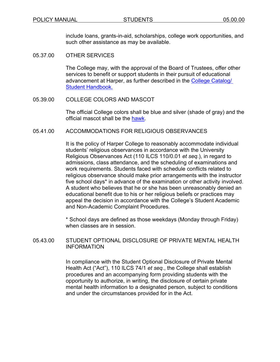include loans, grants-in-aid, scholarships, college work opportunities, and such other assistance as may be available.

05.37.00 OTHER SERVICES

The College may, with the approval of the Board of Trustees, offer other services to benefit or support students in their pursuit of educational advancement at Harper, as further described in the [College Catalog/](https://www.harpercollege.edu/catalog/current/index.php)  [Student Handbook.](https://www.harpercollege.edu/catalog/current/index.php)

05.39.00 COLLEGE COLORS AND MASCOT

The official College colors shall be blue and silver (shade of gray) and the official mascot shall be the [hawk.](https://www.harperhawks.net/)

## 05.41.00 ACCOMMODATIONS FOR RELIGIOUS OBSERVANCES

It is the policy of Harper College to reasonably accommodate individual students' religious observances in accordance with the University Religious Observances Act (110 ILCS 110/0.01 *et seq.*), in regard to admissions, class attendance, and the scheduling of examinations and work requirements. Students faced with schedule conflicts related to religious observance should make prior arrangements with the instructor five school days\* in advance of the examination or other activity involved. A student who believes that he or she has been unreasonably denied an educational benefit due to his or her religious beliefs or practices may appeal the decision in accordance with the College's Student Academic and Non-Academic Complaint Procedures.

\* School days are defined as those weekdays (Monday through Friday) when classes are in session.

05.43.00 STUDENT OPTIONAL DISCLOSURE OF PRIVATE MENTAL HEALTH INFORMATION

> In compliance with the Student Optional Disclosure of Private Mental Health Act ("Act"), 110 ILCS 74/1 *et seq*., the College shall establish procedures and an accompanying form providing students with the opportunity to authorize, in writing, the disclosure of certain private mental health information to a designated person, subject to conditions and under the circumstances provided for in the Act.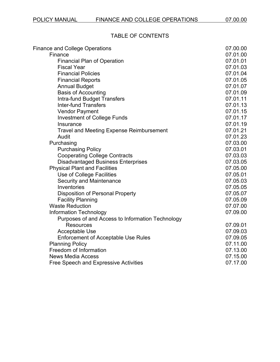# TABLE OF CONTENTS

| <b>Finance and College Operations</b>            | 07.00.00 |
|--------------------------------------------------|----------|
| Finance                                          | 07.01.00 |
| <b>Financial Plan of Operation</b>               | 07.01.01 |
| <b>Fiscal Year</b>                               | 07.01.03 |
| <b>Financial Policies</b>                        | 07.01.04 |
| <b>Financial Reports</b>                         | 07.01.05 |
| <b>Annual Budget</b>                             | 07.01.07 |
| <b>Basis of Accounting</b>                       | 07.01.09 |
| <b>Intra-fund Budget Transfers</b>               | 07.01.11 |
| <b>Inter-fund Transfers</b>                      | 07.01.13 |
| <b>Vendor Payment</b>                            | 07.01.15 |
| <b>Investment of College Funds</b>               | 07.01.17 |
| Insurance                                        | 07.01.19 |
| <b>Travel and Meeting Expense Reimbursement</b>  | 07.01.21 |
| Audit                                            | 07.01.23 |
| Purchasing                                       | 07.03.00 |
| <b>Purchasing Policy</b>                         | 07.03.01 |
| <b>Cooperating College Contracts</b>             | 07.03.03 |
| <b>Disadvantaged Business Enterprises</b>        | 07.03.05 |
| <b>Physical Plant and Facilities</b>             | 07.05.00 |
| Use of College Facilities                        | 07.05.01 |
| <b>Security and Maintenance</b>                  | 07.05.03 |
| Inventories                                      | 07.05.05 |
| <b>Disposition of Personal Property</b>          | 07.05.07 |
| <b>Facility Planning</b>                         | 07.05.09 |
| <b>Waste Reduction</b>                           | 07.07.00 |
| <b>Information Technology</b>                    | 07.09.00 |
| Purposes of and Access to Information Technology |          |
| <b>Resources</b>                                 | 07.09.01 |
| <b>Acceptable Use</b>                            | 07.09.03 |
| <b>Enforcement of Acceptable Use Rules</b>       | 07.09.05 |
| <b>Planning Policy</b>                           | 07.11.00 |
| Freedom of Information                           | 07.13.00 |
| <b>News Media Access</b>                         | 07.15.00 |
| <b>Free Speech and Expressive Activities</b>     | 07.17.00 |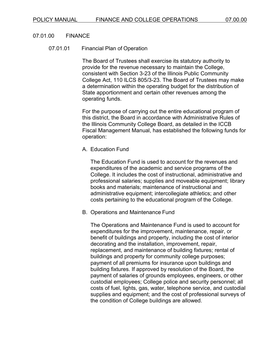#### 07.01.00 FINANCE

#### 07.01.01 Financial Plan of Operation

The Board of Trustees shall exercise its statutory authority to provide for the revenue necessary to maintain the College, consistent with Section 3-23 of the Illinois Public Community College Act, 110 ILCS 805/3-23. The Board of Trustees may make a determination within the operating budget for the distribution of State apportionment and certain other revenues among the operating funds.

For the purpose of carrying out the entire educational program of this district, the Board in accordance with Administrative Rules of the Illinois Community College Board, as detailed in the ICCB Fiscal Management Manual, has established the following funds for operation:

## A. Education Fund

The Education Fund is used to account for the revenues and expenditures of the academic and service programs of the College. It includes the cost of instructional, administrative and professional salaries; supplies and moveable equipment; library books and materials; maintenance of instructional and administrative equipment; intercollegiate athletics; and other costs pertaining to the educational program of the College.

B. Operations and Maintenance Fund

The Operations and Maintenance Fund is used to account for expenditures for the improvement, maintenance, repair, or benefit of buildings and property, including the cost of interior decorating and the installation, improvement, repair, replacement, and maintenance of building fixtures; rental of buildings and property for community college purposes; payment of all premiums for insurance upon buildings and building fixtures. If approved by resolution of the Board, the payment of salaries of grounds employees, engineers, or other custodial employees; College police and security personnel; all costs of fuel, lights, gas, water, telephone service, and custodial supplies and equipment; and the cost of professional surveys of the condition of College buildings are allowed.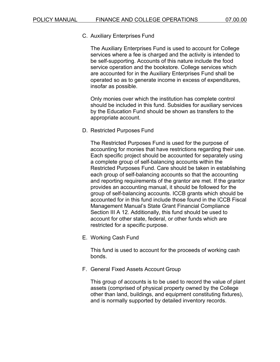## C. Auxiliary Enterprises Fund

The Auxiliary Enterprises Fund is used to account for College services where a fee is charged and the activity is intended to be self-supporting. Accounts of this nature include the food service operation and the bookstore. College services which are accounted for in the Auxiliary Enterprises Fund shall be operated so as to generate income in excess of expenditures, insofar as possible.

Only monies over which the institution has complete control should be included in this fund. Subsidies for auxiliary services by the Education Fund should be shown as transfers to the appropriate account.

D. Restricted Purposes Fund

The Restricted Purposes Fund is used for the purpose of accounting for monies that have restrictions regarding their use. Each specific project should be accounted for separately using a complete group of self-balancing accounts within the Restricted Purposes Fund. Care should be taken in establishing each group of self-balancing accounts so that the accounting and reporting requirements of the grantor are met. If the grantor provides an accounting manual, it should be followed for the group of self-balancing accounts. ICCB grants which should be accounted for in this fund include those found in the ICCB Fiscal Management Manual's State Grant Financial Compliance Section III A 12. Additionally, this fund should be used to account for other state, federal, or other funds which are restricted for a specific purpose.

E. Working Cash Fund

This fund is used to account for the proceeds of working cash bonds.

F. General Fixed Assets Account Group

This group of accounts is to be used to record the value of plant assets (comprised of physical property owned by the College other than land, buildings, and equipment constituting fixtures), and is normally supported by detailed inventory records.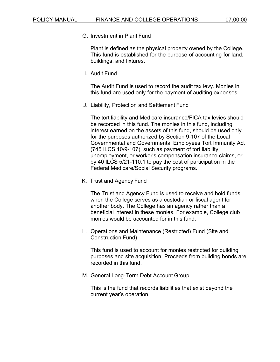G. Investment in Plant Fund

Plant is defined as the physical property owned by the College. This fund is established for the purpose of accounting for land, buildings, and fixtures.

I. Audit Fund

The Audit Fund is used to record the audit tax levy. Monies in this fund are used only for the payment of auditing expenses.

J. Liability, Protection and Settlement Fund

The tort liability and Medicare insurance/FICA tax levies should be recorded in this fund. The monies in this fund, including interest earned on the assets of this fund, should be used only for the purposes authorized by Section 9-107 of the Local Governmental and Governmental Employees Tort Immunity Act (745 ILCS 10/9-107), such as payment of tort liability, unemployment, or worker's compensation insurance claims, or by 40 ILCS 5/21-110.1 to pay the cost of participation in the Federal Medicare/Social Security programs.

K. Trust and Agency Fund

The Trust and Agency Fund is used to receive and hold funds when the College serves as a custodian or fiscal agent for another body. The College has an agency rather than a beneficial interest in these monies. For example, College club monies would be accounted for in this fund.

L. Operations and Maintenance (Restricted) Fund (Site and Construction Fund)

This fund is used to account for monies restricted for building purposes and site acquisition. Proceeds from building bonds are recorded in this fund.

M. General Long-Term Debt Account Group

This is the fund that records liabilities that exist beyond the current year's operation.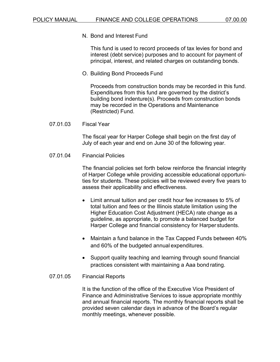N. Bond and Interest Fund

This fund is used to record proceeds of tax levies for bond and interest (debt service) purposes and to account for payment of principal, interest, and related charges on outstanding bonds.

O. Building Bond Proceeds Fund

Proceeds from construction bonds may be recorded in this fund. Expenditures from this fund are governed by the district's building bond indenture(s). Proceeds from construction bonds may be recorded in the Operations and Maintenance (Restricted) Fund.

07.01.03 Fiscal Year

The fiscal year for Harper College shall begin on the first day of July of each year and end on June 30 of the following year.

07.01.04 Financial Policies

The financial policies set forth below reinforce the financial integrity of Harper College while providing accessible educational opportunities for students. These policies will be reviewed every five years to assess their applicability and effectiveness.

- Limit annual tuition and per credit hour fee increases to 5% of total tuition and fees or the Illinois statute limitation using the Higher Education Cost Adjustment (HECA) rate change as a guideline, as appropriate, to promote a balanced budget for Harper College and financial consistency for Harper students.
- Maintain a fund balance in the Tax Capped Funds between 40% and 60% of the budgeted annual expenditures.
- Support quality teaching and learning through sound financial practices consistent with maintaining a Aaa bond rating.
- 07.01.05 Financial Reports

It is the function of the office of the Executive Vice President of Finance and Administrative Services to issue appropriate monthly and annual financial reports. The monthly financial reports shall be provided seven calendar days in advance of the Board's regular monthly meetings, whenever possible.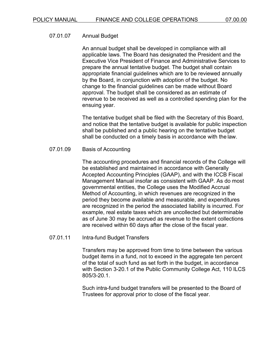## 07.01.07 Annual Budget

An annual budget shall be developed in compliance with all applicable laws. The Board has designated the President and the Executive Vice President of Finance and Administrative Services to prepare the annual tentative budget. The budget shall contain appropriate financial guidelines which are to be reviewed annually by the Board, in conjunction with adoption of the budget. No change to the financial guidelines can be made without Board approval. The budget shall be considered as an estimate of revenue to be received as well as a controlled spending plan for the ensuing year.

The tentative budget shall be filed with the Secretary of this Board, and notice that the tentative budget is available for public inspection shall be published and a public hearing on the tentative budget shall be conducted on a timely basis in accordance with the law.

## 07.01.09 Basis of Accounting

The accounting procedures and financial records of the College will be established and maintained in accordance with Generally Accepted Accounting Principles (GAAP), and with the ICCB Fiscal Management Manual insofar as consistent with GAAP. As do most governmental entities, the College uses the Modified Accrual Method of Accounting, in which revenues are recognized in the period they become available and measurable, and expenditures are recognized in the period the associated liability is incurred. For example, real estate taxes which are uncollected but determinable as of June 30 may be accrued as revenue to the extent collections are received within 60 days after the close of the fiscal year.

## 07.01.11 Intra-fund Budget Transfers

Transfers may be approved from time to time between the various budget items in a fund, not to exceed in the aggregate ten percent of the total of such fund as set forth in the budget, in accordance with Section 3-20.1 of the Public Community College Act, 110 ILCS 805/3-20.1.

Such intra-fund budget transfers will be presented to the Board of Trustees for approval prior to close of the fiscal year.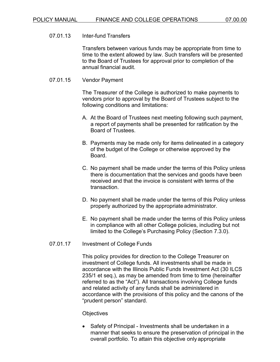## 07.01.13 Inter-fund Transfers

Transfers between various funds may be appropriate from time to time to the extent allowed by law. Such transfers will be presented to the Board of Trustees for approval prior to completion of the annual financial audit.

#### 07.01.15 Vendor Payment

The Treasurer of the College is authorized to make payments to vendors prior to approval by the Board of Trustees subject to the following conditions and limitations:

- A. At the Board of Trustees next meeting following such payment, a report of payments shall be presented for ratification by the Board of Trustees.
- B. Payments may be made only for items delineated in a category of the budget of the College or otherwise approved by the Board.
- C. No payment shall be made under the terms of this Policy unless there is documentation that the services and goods have been received and that the invoice is consistent with terms of the transaction.
- D. No payment shall be made under the terms of this Policy unless properly authorized by the appropriate administrator.
- E. No payment shall be made under the terms of this Policy unless in compliance with all other College policies, including but not limited to the College's Purchasing Policy (Section 7.3.0).

## 07.01.17 Investment of College Funds

This policy provides for direction to the College Treasurer on investment of College funds. All investments shall be made in accordance with the Illinois Public Funds Investment Act (30 ILCS 235/1 et seq.), as may be amended from time to time (hereinafter referred to as the "Act"). All transactions involving College funds and related activity of any funds shall be administered in accordance with the provisions of this policy and the canons of the "prudent person" standard.

#### **Objectives**

• Safety of Principal - Investments shall be undertaken in a manner that seeks to ensure the preservation of principal in the overall portfolio. To attain this objective only appropriate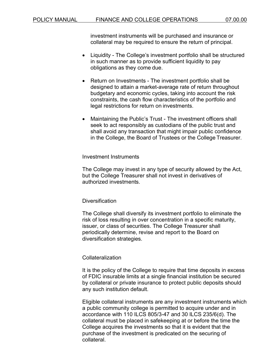investment instruments will be purchased and insurance or collateral may be required to ensure the return of principal.

- Liquidity The College's investment portfolio shall be structured in such manner as to provide sufficient liquidity to pay obligations as they come due.
- Return on Investments The investment portfolio shall be designed to attain a market-average rate of return throughout budgetary and economic cycles, taking into account the risk constraints, the cash flow characteristics of the portfolio and legal restrictions for return on investments.
- Maintaining the Public's Trust The investment officers shall seek to act responsibly as custodians of the public trust and shall avoid any transaction that might impair public confidence in the College, the Board of Trustees or the College Treasurer.

## Investment Instruments

The College may invest in any type of security allowed by the Act, but the College Treasurer shall not invest in derivatives of authorized investments.

# **Diversification**

The College shall diversify its investment portfolio to eliminate the risk of loss resulting in over concentration in a specific maturity, issuer, or class of securities. The College Treasurer shall periodically determine, revise and report to the Board on diversification strategies.

# Collateralization

It is the policy of the College to require that time deposits in excess of FDIC insurable limits at a single financial institution be secured by collateral or private insurance to protect public deposits should any such institution default.

Eligible collateral instruments are any investment instruments which a public community college is permitted to acquire under and in accordance with 110 ILCS 805/3-47 and 30 ILCS 235/6(d). The collateral must be placed in safekeeping at or before the time the College acquires the investments so that it is evident that the purchase of the investment is predicated on the securing of collateral.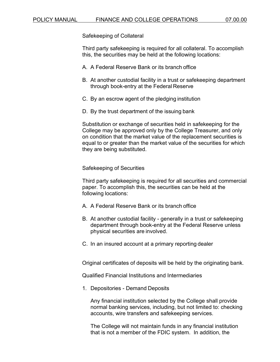Safekeeping of Collateral

Third party safekeeping is required for all collateral. To accomplish this, the securities may be held at the following locations:

- A. A Federal Reserve Bank or its branch office
- B. At another custodial facility in a trust or safekeeping department through book-entry at the Federal Reserve
- C. By an escrow agent of the pledging institution
- D. By the trust department of the issuing bank

Substitution or exchange of securities held in safekeeping for the College may be approved only by the College Treasurer, and only on condition that the market value of the replacement securities is equal to or greater than the market value of the securities for which they are being substituted.

Safekeeping of Securities

Third party safekeeping is required for all securities and commercial paper. To accomplish this, the securities can be held at the following locations:

- A. A Federal Reserve Bank or its branch office
- B. At another custodial facility generally in a trust or safekeeping department through book-entry at the Federal Reserve unless physical securities are involved.
- C. In an insured account at a primary reporting dealer

Original certificates of deposits will be held by the originating bank.

Qualified Financial Institutions and Intermediaries

1. Depositories - Demand Deposits

Any financial institution selected by the College shall provide normal banking services, including, but not limited to: checking accounts, wire transfers and safekeeping services.

The College will not maintain funds in any financial institution that is not a member of the FDIC system. In addition, the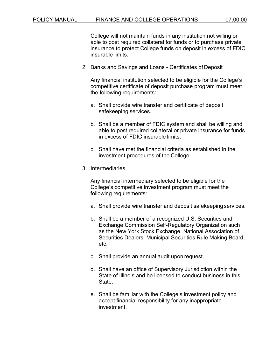College will not maintain funds in any institution not willing or able to post required collateral for funds or to purchase private insurance to protect College funds on deposit in excess of FDIC insurable limits.

2. Banks and Savings and Loans - Certificates of Deposit

Any financial institution selected to be eligible for the College's competitive certificate of deposit purchase program must meet the following requirements:

- a. Shall provide wire transfer and certificate of deposit safekeeping services.
- b. Shall be a member of FDIC system and shall be willing and able to post required collateral or private insurance for funds in excess of FDIC insurable limits.
- c. Shall have met the financial criteria as established in the investment procedures of the College.
- 3. Intermediaries

Any financial intermediary selected to be eligible for the College's competitive investment program must meet the following requirements:

- a. Shall provide wire transfer and deposit safekeeping services.
- b. Shall be a member of a recognized U.S. Securities and Exchange Commission Self-Regulatory Organization such as the New York Stock Exchange, National Association of Securities Dealers, Municipal Securities Rule Making Board, etc.
- c. Shall provide an annual audit upon request.
- d. Shall have an office of Supervisory Jurisdiction within the State of Illinois and be licensed to conduct business in this State.
- e. Shall be familiar with the College's investment policy and accept financial responsibility for any inappropriate investment.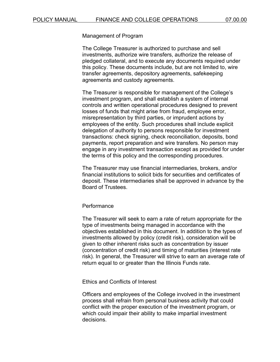Management of Program

The College Treasurer is authorized to purchase and sell investments, authorize wire transfers, authorize the release of pledged collateral, and to execute any documents required under this policy. These documents include, but are not limited to, wire transfer agreements, depository agreements, safekeeping agreements and custody agreements.

The Treasurer is responsible for management of the College's investment program, and shall establish a system of internal controls and written operational procedures designed to prevent losses of funds that might arise from fraud, employee error, misrepresentation by third parties, or imprudent actions by employees of the entity. Such procedures shall include explicit delegation of authority to persons responsible for investment transactions: check signing, check reconciliation, deposits, bond payments, report preparation and wire transfers. No person may engage in any investment transaction except as provided for under the terms of this policy and the corresponding procedures.

The Treasurer may use financial intermediaries, brokers, and/or financial institutions to solicit bids for securities and certificates of deposit. These intermediaries shall be approved in advance by the Board of Trustees.

#### **Performance**

The Treasurer will seek to earn a rate of return appropriate for the type of investments being managed in accordance with the objectives established in this document. In addition to the types of investments allowed by policy (credit risk), consideration will be given to other inherent risks such as concentration by issuer (concentration of credit risk) and timing of maturities (interest rate risk). In general, the Treasurer will strive to earn an average rate of return equal to or greater than the Illinois Funds rate.

Ethics and Conflicts of Interest

Officers and employees of the College involved in the investment process shall refrain from personal business activity that could conflict with the proper execution of the investment program, or which could impair their ability to make impartial investment decisions.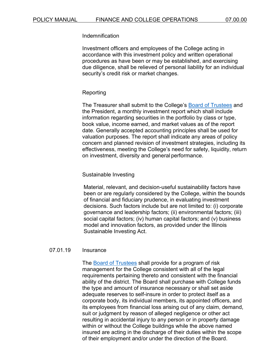## Indemnification

Investment officers and employees of the College acting in accordance with this investment policy and written operational procedures as have been or may be established, and exercising due diligence, shall be relieved of personal liability for an individual security's credit risk or market changes.

## Reporting

The Treasurer shall submit to the College's [Board of Trustees](https://www.harpercollege.edu/leadership/board/index.php) and the President, a monthly investment report which shall include information regarding securities in the portfolio by class or type, book value, income earned, and market values as of the report date. Generally accepted accounting principles shall be used for valuation purposes. The report shall indicate any areas of policy concern and planned revision of investment strategies, including its effectiveness, meeting the College's need for safety, liquidity, return on investment, diversity and general performance.

## Sustainable Investing

Material, relevant, and decision-useful sustainability factors have been or are regularly considered by the College, within the bounds of financial and fiduciary prudence, in evaluating investment decisions. Such factors include but are not limited to: (i) corporate governance and leadership factors; (ii) environmental factors; (iii) social capital factors; (iv) human capital factors; and (v) business model and innovation factors, as provided under the Illinois Sustainable Investing Act.

#### 07.01.19 Insurance

The [Board of Trustees](https://www.harpercollege.edu/leadership/board/index.php) shall provide for a program of risk management for the College consistent with all of the legal requirements pertaining thereto and consistent with the financial ability of the district. The Board shall purchase with College funds the type and amount of insurance necessary or shall set aside adequate reserves to self-insure in order to protect itself as a corporate body, its individual members, its appointed officers, and its employees from financial loss arising out of any claim, demand, suit or judgment by reason of alleged negligence or other act resulting in accidental injury to any person or in property damage within or without the College buildings while the above named insured are acting in the discharge of their duties within the scope of their employment and/or under the direction of the Board.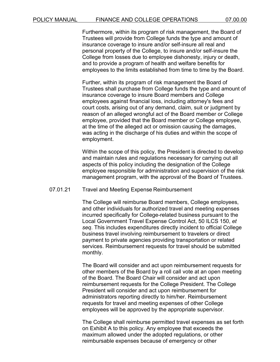Furthermore, within its program of risk management, the Board of Trustees will provide from College funds the type and amount of insurance coverage to insure and/or self-insure all real and personal property of the College, to insure and/or self-insure the College from losses due to employee dishonesty, injury or death, and to provide a program of health and welfare benefits for employees to the limits established from time to time by the Board.

Further, within its program of risk management the Board of Trustees shall purchase from College funds the type and amount of insurance coverage to insure Board members and College employees against financial loss, including attorney's fees and court costs, arising out of any demand, claim, suit or judgment by reason of an alleged wrongful act of the Board member or College employee, provided that the Board member or College employee, at the time of the alleged act or omission causing the damages, was acting in the discharge of his duties and within the scope of employment.

Within the scope of this policy, the President is directed to develop and maintain rules and regulations necessary for carrying out all aspects of this policy including the designation of the College employee responsible for administration and supervision of the risk management program, with the approval of the Board of Trustees.

## 07.01.21 Travel and Meeting Expense Reimbursement

The College will reimburse Board members, College employees, and other individuals for authorized travel and meeting expenses incurred specifically for College-related business pursuant to the Local Government Travel Expense Control Act, 50 ILCS 150, *et seq*. This includes expenditures directly incident to official College business travel involving reimbursement to travelers or direct payment to private agencies providing transportation or related services. Reimbursement requests for travel should be submitted monthly.

The Board will consider and act upon reimbursement requests for other members of the Board by a roll call vote at an open meeting of the Board. The Board Chair will consider and act upon reimbursement requests for the College President. The College President will consider and act upon reimbursement for administrators reporting directly to him/her. Reimbursement requests for travel and meeting expenses of other College employees will be approved by the appropriate supervisor.

The College shall reimburse permitted travel expenses as set forth on Exhibit A to this policy. Any employee that exceeds the maximum allowed under the adopted regulations, or other reimbursable expenses because of emergency or other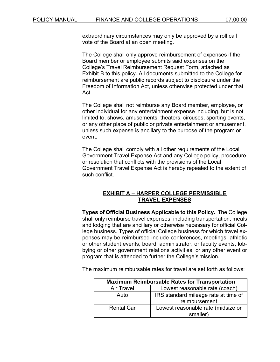extraordinary circumstances may only be approved by a roll call vote of the Board at an open meeting.

The College shall only approve reimbursement of expenses if the Board member or employee submits said expenses on the College's Travel Reimbursement Request Form, attached as Exhibit B to this policy. All documents submitted to the College for reimbursement are public records subject to disclosure under the Freedom of Information Act, unless otherwise protected under that Act.

The College shall not reimburse any Board member, employee, or other individual for any entertainment expense including, but is not limited to, shows, amusements, theaters, circuses, sporting events, or any other place of public or private entertainment or amusement, unless such expense is ancillary to the purpose of the program or event.

The College shall comply with all other requirements of the Local Government Travel Expense Act and any College policy, procedure or resolution that conflicts with the provisions of the Local Government Travel Expense Act is hereby repealed to the extent of such conflict.

### **EXHIBIT A – HARPER COLLEGE PERMISSIBLE TRAVEL EXPENSES**

**Types of Official Business Applicable to this Policy.** The College shall only reimburse travel expenses, including transportation, meals and lodging that are ancillary or otherwise necessary for official College business. Types of official College business for which travel expenses may be reimbursed include conferences, meetings, athletic or other student events, board, administrator, or faculty events, lobbying or other government relations activities, or any other event or program that is attended to further the College's mission.

The maximum reimbursable rates for travel are set forth as follows:

| <b>Maximum Reimbursable Rates for Transportation</b> |                                      |  |  |
|------------------------------------------------------|--------------------------------------|--|--|
| <b>Air Travel</b>                                    | Lowest reasonable rate (coach)       |  |  |
| Auto                                                 | IRS standard mileage rate at time of |  |  |
|                                                      | reimbursement                        |  |  |
| <b>Rental Car</b>                                    | Lowest reasonable rate (midsize or   |  |  |
|                                                      | smaller)                             |  |  |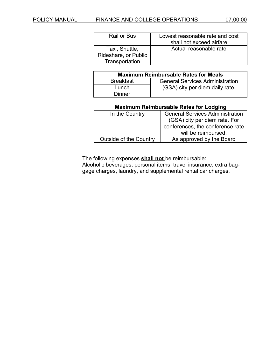| Rail or Bus          | Lowest reasonable rate and cost |
|----------------------|---------------------------------|
|                      | shall not exceed airfare        |
| Taxi, Shuttle,       | Actual reasonable rate          |
| Rideshare, or Public |                                 |
| Transportation       |                                 |

| <b>Maximum Reimbursable Rates for Meals</b> |                                        |  |  |  |
|---------------------------------------------|----------------------------------------|--|--|--|
| <b>Breakfast</b>                            | <b>General Services Administration</b> |  |  |  |
| Lunch                                       | (GSA) city per diem daily rate.        |  |  |  |
| Dinner                                      |                                        |  |  |  |

| <b>Maximum Reimbursable Rates for Lodging</b> |                                                                                                                                    |  |  |
|-----------------------------------------------|------------------------------------------------------------------------------------------------------------------------------------|--|--|
| In the Country                                | <b>General Services Administration</b><br>(GSA) city per diem rate. For<br>conferences, the conference rate<br>will be reimbursed. |  |  |
| <b>Outside of the Country</b>                 | As approved by the Board                                                                                                           |  |  |

The following expenses **shall not** be reimbursable:

Alcoholic beverages, personal items, travel insurance, extra baggage charges, laundry, and supplemental rental car charges.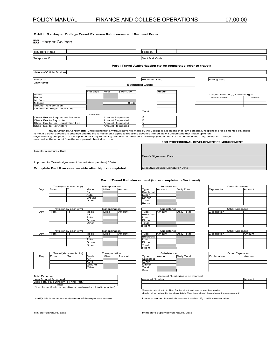#### **Exhibit B - Harper College Travel Expense Reimbursement Request Form**

**N** Harper College

| Traveler's Name              |                                  | Position                                                      |                                  |        |
|------------------------------|----------------------------------|---------------------------------------------------------------|----------------------------------|--------|
| <b>Telephone Ext</b>         |                                  | Dept Mail Code                                                |                                  |        |
|                              |                                  | Part I Travel Authorization (to be completed prior to travel) |                                  |        |
| Nature of Official Busines   |                                  |                                                               |                                  |        |
| Travel to:                   |                                  | <b>Beginning Date</b>                                         | Ending Date                      |        |
| <b>GSA Rates</b>             |                                  | <b>Estimated Costs</b>                                        |                                  |        |
|                              | Miles<br>\$ Per Day<br># of days | Amount                                                        |                                  |        |
| Meals                        |                                  |                                                               | Account Number(s) to be charged: |        |
| Room                         |                                  |                                                               | <b>Account Number</b>            | Amount |
| Air Fare                     |                                  |                                                               |                                  |        |
| Mileage                      | 0.540                            |                                                               |                                  |        |
| <b>Ground Transportation</b> |                                  |                                                               |                                  |        |

Ground Transportation Conference Registration Fees

Check He \$ \$ \$ \$ Check Box to Request an Advance (Amount Requested Check Box to Pay Hotel Amount Requested Check Box to Pay Registration Fee Amount Requested Check Box to Pay Airfare Amount Requested

Travel Advance Agreement: I understand that any travel advance made by the College is a loan and that I am personally responsible for all monies advanced<br>days following completion of the trip is mot taken, I agree to repay

Total

Traveler signature / Date

Approved for Travel (signature of immediate supervisor) / Date

**Complete Part II on reverse side after trip is completed**

**Part II Travel Reimbursement (to be completed after travel)**

Dean's Signature / Date

Executive Council Signature / Date

|     |             | Travel(show each city) |        | Transportation |        |
|-----|-------------|------------------------|--------|----------------|--------|
| Day | From        | То                     | Mode   | <b>Miles</b>   | Amount |
|     |             |                        | Air    |                |        |
|     |             |                        | Auto   |                |        |
|     |             |                        | Ground |                |        |
|     |             |                        | Other  |                |        |
|     |             |                        |        |                |        |
|     |             |                        |        |                |        |
|     |             | Travel(show each city) |        | Transportation |        |
| Dav | <b>Erom</b> | Тο                     | Mode   | Miles          | Amount |

| Dav | From | ັບ | Mode   | <b>Miles</b> | Amount | Tvpe             | Amount | Daily Total | Explanation |
|-----|------|----|--------|--------------|--------|------------------|--------|-------------|-------------|
|     |      |    | Air    |              |        | <b>Breakfast</b> |        |             |             |
|     |      |    | Auto   |              |        | Lunch            |        |             |             |
|     |      |    | Ground |              |        | Dinner           |        |             |             |
|     |      |    | Other  |              |        | Total            |        |             |             |

|     | Travel(show each city) |          |        | Transportation |        |
|-----|------------------------|----------|--------|----------------|--------|
| Dav | From                   | $\Omega$ | Mode   | <b>Miles</b>   | Amount |
|     |                        |          | Air    |                |        |
|     |                        |          | Auto   |                |        |
|     |                        |          | Ground |                |        |
|     |                        |          | Other  |                |        |

|     | Travel(show each city) |    |        | Transportation |        |
|-----|------------------------|----|--------|----------------|--------|
| Dav | rom                    | ıο | Mode   | <b>Miles</b>   | Amount |
|     |                        |    | Air    |                |        |
|     |                        |    | Auto   |                |        |
|     |                        |    | Ground |                |        |
|     |                        |    | Other  |                |        |

| <b>Total Expense</b>                                                   |  |  |  |  |
|------------------------------------------------------------------------|--|--|--|--|
| Less Amount Advanced                                                   |  |  |  |  |
| Less Total Paid Directly to Third Party                                |  |  |  |  |
| Total                                                                  |  |  |  |  |
| (Due Harper if total is negative or due traveler if total is positive) |  |  |  |  |

|           | Subsistence |             |
|-----------|-------------|-------------|
| Type      | Amount      | Daily Total |
| Breakfast |             |             |
| Lunch     |             |             |
| Dinner    |             |             |
| Total     |             |             |
| Room      |             |             |
|           |             |             |
|           | Subsistence |             |
| Type      | Amount      | Daily Total |
| Breakfast |             |             |
|           |             |             |
| Lunch     |             |             |
| Dinner    |             |             |
| Total     |             |             |
| Room      |             |             |

| Subsistence      |        |             |  |  |  |
|------------------|--------|-------------|--|--|--|
| Type             | Amount | Daily Total |  |  |  |
| <b>Breakfast</b> |        |             |  |  |  |
| Lunch            |        |             |  |  |  |
| Dinner           |        |             |  |  |  |
| Total            |        |             |  |  |  |
| Room             |        |             |  |  |  |

| Subsistence      |        |             |
|------------------|--------|-------------|
| vpe              | Amount | Daily Total |
| <b>Breakfast</b> |        |             |
| Lunch            |        |             |
| Dinner           |        |             |
| Total            |        |             |
| oom!             |        |             |

|             | Other Expenses |        |
|-------------|----------------|--------|
| Explanation |                | Amount |
|             |                |        |
|             |                |        |
|             |                |        |
|             |                |        |
|             |                |        |
|             |                |        |
|             | Other Expenses |        |
| Explanation |                |        |
|             |                |        |
|             |                |        |
|             |                |        |
|             |                |        |
|             |                |        |
|             |                |        |
|             | Other Expenses |        |

| Other Expenses |  |        |
|----------------|--|--------|
| Explanation    |  | Amount |
|                |  |        |
|                |  |        |
|                |  |        |
|                |  |        |
|                |  |        |
|                |  |        |

| <b>Other Expenses</b> |        |
|-----------------------|--------|
| Explanation           | Amount |
|                       |        |
|                       |        |
|                       |        |
|                       |        |
|                       |        |

Account Number(s) to be charged:

| <b>Account Number</b> | mount |
|-----------------------|-------|
|                       |       |
|                       |       |
|                       |       |

**FOR PROFESSIONAL DEVELOPMENT REIMBURSEMENT**

(Amounts paid directly to Third Parties - i.e. travel agency and limo service should not be included in the above totals. They have already been charged to your account.)

I certify this is an accurate statement of the expenses incurred. I have examined this reimbursement and certify that it is reasonable.

Traveler Signature / Date Immediate Supervisor Signature / Date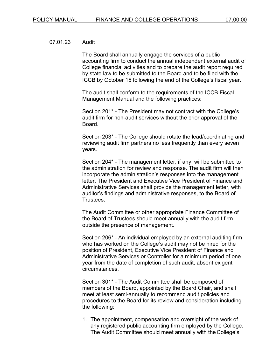#### 07.01.23 Audit

The Board shall annually engage the services of a public accounting firm to conduct the annual independent external audit of College financial activities and to prepare the audit report required by state law to be submitted to the Board and to be filed with the ICCB by October 15 following the end of the College's fiscal year.

The audit shall conform to the requirements of the ICCB Fiscal Management Manual and the following practices:

Section 201\* - The President may not contract with the College's audit firm for non-audit services without the prior approval of the Board.

Section 203\* - The College should rotate the lead/coordinating and reviewing audit firm partners no less frequently than every seven years.

Section 204\* - The management letter, if any, will be submitted to the administration for review and response. The audit firm will then incorporate the administration's responses into the management letter. The President and Executive Vice President of Finance and Administrative Services shall provide the management letter, with auditor's findings and administrative responses, to the Board of Trustees.

The Audit Committee or other appropriate Finance Committee of the Board of Trustees should meet annually with the audit firm outside the presence of management.

Section 206\* - An individual employed by an external auditing firm who has worked on the College's audit may not be hired for the position of President, Executive Vice President of Finance and Administrative Services or Controller for a minimum period of one year from the date of completion of such audit, absent exigent circumstances.

Section 301\* - The Audit Committee shall be composed of members of the Board, appointed by the Board Chair, and shall meet at least semi-annually to recommend audit policies and procedures to the Board for its review and consideration including the following:

1. The appointment, compensation and oversight of the work of any registered public accounting firm employed by the College. The Audit Committee should meet annually with the College's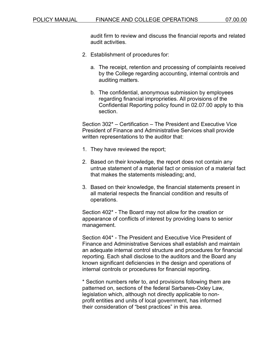audit firm to review and discuss the financial reports and related audit activities.

- 2. Establishment of procedures for:
	- a. The receipt, retention and processing of complaints received by the College regarding accounting, internal controls and auditing matters.
	- b. The confidential, anonymous submission by employees regarding financial improprieties. All provisions of the Confidential Reporting policy found in 02.07.00 apply to this section.

Section 302\* – Certification – The President and Executive Vice President of Finance and Administrative Services shall provide written representations to the auditor that:

- 1. They have reviewed the report;
- 2. Based on their knowledge, the report does not contain any untrue statement of a material fact or omission of a material fact that makes the statements misleading; and,
- 3. Based on their knowledge, the financial statements present in all material respects the financial condition and results of operations.

Section 402\* - The Board may not allow for the creation or appearance of conflicts of interest by providing loans to senior management.

Section 404\* - The President and Executive Vice President of Finance and Administrative Services shall establish and maintain an adequate internal control structure and procedures for financial reporting. Each shall disclose to the auditors and the Board any known significant deficiencies in the design and operations of internal controls or procedures for financial reporting.

\* Section numbers refer to, and provisions following them are patterned on, sections of the federal Sarbanes-Oxley Law, legislation which, although not directly applicable to nonprofit entities and units of local government, has informed their consideration of "best practices" in this area.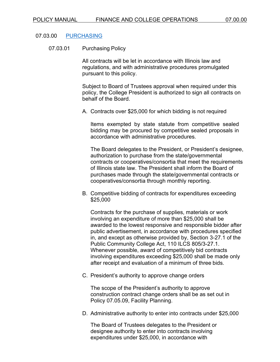#### 07.03.00 [PURCHASING](https://www.harpercollege.edu/about/directory/accounting/purchasingpolicies.php)

07.03.01 Purchasing Policy

All contracts will be let in accordance with Illinois law and regulations, and with administrative procedures promulgated pursuant to this policy.

Subject to Board of Trustees approval when required under this policy, the College President is authorized to sign all contracts on behalf of the Board.

A. Contracts over \$25,000 for which bidding is not required

Items exempted by state statute from competitive sealed bidding may be procured by competitive sealed proposals in accordance with administrative procedures.

The Board delegates to the President, or President's designee, authorization to purchase from the state/governmental contracts or cooperatives/consortia that meet the requirements of Illinois state law. The President shall inform the Board of purchases made through the state/governmental contracts or cooperatives/consortia through monthly reporting.

B. Competitive bidding of contracts for expenditures exceeding \$25,000

Contracts for the purchase of supplies, materials or work involving an expenditure of more than \$25,000 shall be awarded to the lowest responsive and responsible bidder after public advertisement, in accordance with procedures specified in, and except as otherwise provided by, Section 3-27.1 of the Public Community College Act, 110 ILCS 805/3-27.1. Whenever possible, award of competitively bid contracts involving expenditures exceeding \$25,000 shall be made only after receipt and evaluation of a minimum of three bids.

C. President's authority to approve change orders

The scope of the President's authority to approve construction contract change orders shall be as set out in Policy 07.05.09, Facility Planning.

D. Administrative authority to enter into contracts under \$25,000

The Board of Trustees delegates to the President or designee authority to enter into contracts involving expenditures under \$25,000, in accordance with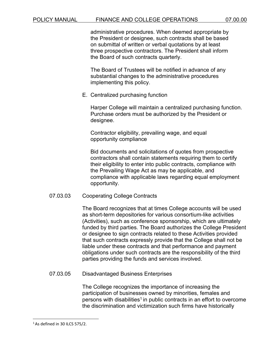administrative procedures. When deemed appropriate by the President or designee, such contracts shall be based on submittal of written or verbal quotations by at least three prospective contractors. The President shall inform the Board of such contracts quarterly.

The Board of Trustees will be notified in advance of any substantial changes to the administrative procedures implementing this policy.

E. Centralized purchasing function

Harper College will maintain a centralized purchasing function. Purchase orders must be authorized by the President or designee.

Contractor eligibility, prevailing wage, and equal opportunity compliance

Bid documents and solicitations of quotes from prospective contractors shall contain statements requiring them to certify their eligibility to enter into public contracts, compliance with the Prevailing Wage Act as may be applicable, and compliance with applicable laws regarding equal employment opportunity.

### 07.03.03 Cooperating College Contracts

The Board recognizes that at times College accounts will be used as short-term depositories for various consortium-like activities (Activities), such as conference sponsorship, which are ultimately funded by third parties. The Board authorizes the College President or designee to sign contracts related to these Activities provided that such contracts expressly provide that the College shall not be liable under these contracts and that performance and payment obligations under such contracts are the responsibility of the third parties providing the funds and services involved.

07.03.05 Disadvantaged Business Enterprises

The College recognizes the importance of increasing the participation of businesses owned by minorities, females and persons with disabilities<sup>1</sup> in public contracts in an effort to overcome the discrimination and victimization such firms have historically

<span id="page-78-0"></span> $1$ As defined in 30 ILCS 575/2.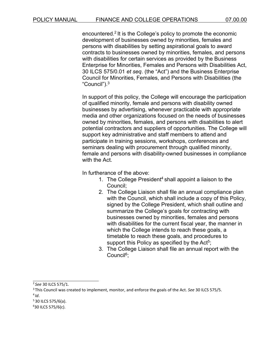encountered[.2](#page-79-0) It is the College's policy to promote the economic development of businesses owned by minorities, females and persons with disabilities by setting aspirational goals to award contracts to businesses owned by minorities, females, and persons with disabilities for certain services as provided by the Business Enterprise for Minorities, Females and Persons with Disabilities Act, 30 ILCS 575/0.01 *et seq*. (the "Act") and the Business Enterprise Council for Minorities, Females, and Persons with Disabilities (the "Council")[.3](#page-79-1)

In support of this policy, the College will encourage the participation of qualified minority, female and persons with disability owned businesses by advertising, whenever practicable with appropriate media and other organizations focused on the needs of businesses owned by minorities, females, and persons with disabilities to alert potential contractors and suppliers of opportunities. The College will support key administrative and staff members to attend and participate in training sessions, workshops, conferences and seminars dealing with procurement through qualified minority, female and persons with disability-owned businesses in compliance with the Act.

In furtherance of the above:

- 1. The College President<sup>4</sup> shall appoint a liaison to the Council;
- 2. The College Liaison shall file an annual compliance plan with the Council, which shall include a copy of this Policy, signed by the College President, which shall outline and summarize the College's goals for contracting with businesses owned by minorities, females and persons with disabilities for the current fiscal year, the manner in which the College intends to reach these goals, a timetable to reach these goals, and procedures to support this Policy as specified by the Act<sup>5</sup>;
- 3. The College Liaison shall file an annual report with the Counci[l6;](#page-79-4)

<span id="page-79-0"></span><sup>2</sup>*See* 30 ILCS 575/1.

<span id="page-79-2"></span><span id="page-79-1"></span><sup>3</sup> This Council was created to implement, monitor, and enforce the goals of the Act. *See* 30 ILCS 575/5.  $4/d$ .

<span id="page-79-3"></span> $5$  30 ILCS 575/6(a).

<span id="page-79-4"></span><sup>6</sup> 30 ILCS 575/6(c).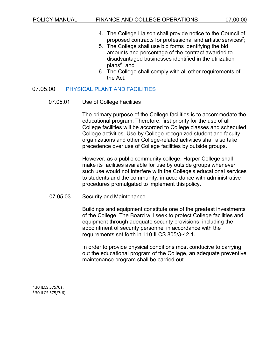- 4. The College Liaison shall provide notice to the Council of proposed contracts for professional and artistic services<sup>7</sup>;
- 5. The College shall use bid forms identifying the bid amounts and percentage of the contract awarded to disadvantaged businesses identified in the utilization plans<sup>8</sup>; and
- 6. The College shall comply with all other requirements of the Act.

### 07.05.00 [PHYSICAL PLANT AND](https://www.harpercollege.edu/catalog/handbook/a_handbook/campus_facilities.php) FACILITIES

#### 07.05.01 Use of College Facilities

The primary purpose of the College facilities is to accommodate the educational program. Therefore, first priority for the use of all College facilities will be accorded to College classes and scheduled College activities. Use by College-recognized student and faculty organizations and other College-related activities shall also take precedence over use of College facilities by outside groups.

However, as a public community college, Harper College shall make its facilities available for use by outside groups whenever such use would not interfere with the College's educational services to students and the community, in accordance with administrative procedures promulgated to implement this policy.

#### 07.05.03 Security and Maintenance

Buildings and equipment constitute one of the greatest investments of the College. The Board will seek to protect College facilities and equipment through adequate security provisions, including the appointment of security personnel in accordance with the requirements set forth in 110 ILCS 805/3-42.1.

In order to provide physical conditions most conducive to carrying out the educational program of the College, an adequate preventive maintenance program shall be carried out.

7 30 ILCS 575/6a.

<sup>8 30</sup> ILCS 575/7(6).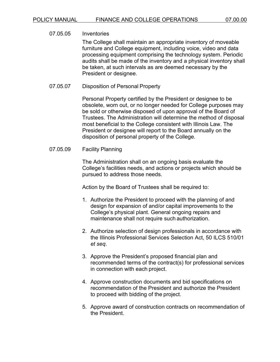07.05.05 Inventories The College shall maintain an appropriate inventory of moveable furniture and College equipment, including voice, video and data processing equipment comprising the technology system. Periodic audits shall be made of the inventory and a physical inventory shall be taken, at such intervals as are deemed necessary by the President or designee.

07.05.07 Disposition of Personal Property

Personal Property certified by the President or designee to be obsolete, worn out, or no longer needed for College purposes may be sold or otherwise disposed of upon approval of the Board of Trustees. The Administration will determine the method of disposal most beneficial to the College consistent with Illinois Law. The President or designee will report to the Board annually on the disposition of personal property of the College.

### 07.05.09 Facility Planning

The Administration shall on an ongoing basis evaluate the College's facilities needs, and actions or projects which should be pursued to address those needs.

Action by the Board of Trustees shall be required to:

- 1. Authorize the President to proceed with the planning of and design for expansion of and/or capital improvements to the College's physical plant. General ongoing repairs and maintenance shall not require such authorization.
- 2. Authorize selection of design professionals in accordance with the Illinois Professional Services Selection Act, 50 ILCS 510/01 *et seq*.
- 3. Approve the President's proposed financial plan and recommended terms of the contract(s) for professional services in connection with each project.
- 4. Approve construction documents and bid specifications on recommendation of the President and authorize the President to proceed with bidding of the project.
- 5. Approve award of construction contracts on recommendation of the President.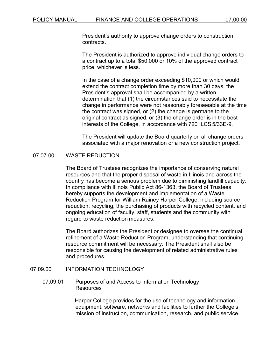President's authority to approve change orders to construction contracts.

The President is authorized to approve individual change orders to a contract up to a total \$50,000 or 10% of the approved contract price, whichever is less.

In the case of a change order exceeding \$10,000 or which would extend the contract completion time by more than 30 days, the President's approval shall be accompanied by a written determination that (1) the circumstances said to necessitate the change in performance were not reasonably foreseeable at the time the contract was signed, or (2) the change is germane to the original contract as signed, or (3) the change order is in the best interests of the College, in accordance with 720 ILCS 5/33E-9.

The President will update the Board quarterly on all change orders associated with a major renovation or a new construction project.

### 07.07.00 WASTE REDUCTION

The Board of Trustees recognizes the importance of conserving natural resources and that the proper disposal of waste in Illinois and across the country has become a serious problem due to diminishing landfill capacity. In compliance with Illinois Public Act 86-1363, the Board of Trustees hereby supports the development and implementation of a Waste Reduction Program for William Rainey Harper College, including source reduction, recycling, the purchasing of products with recycled content, and ongoing education of faculty, staff, students and the community with regard to waste reduction measures.

The Board authorizes the President or designee to oversee the continual refinement of a Waste Reduction Program, understanding that continuing resource commitment will be necessary. The President shall also be responsible for causing the development of related administrative rules and procedures.

#### 07.09.00 INFORMATION TECHNOLOGY

### 07.09.01 Purposes of and Access to Information Technology **Resources**

Harper College provides for the use of technology and information equipment, software, networks and facilities to further the College's mission of instruction, communication, research, and public service.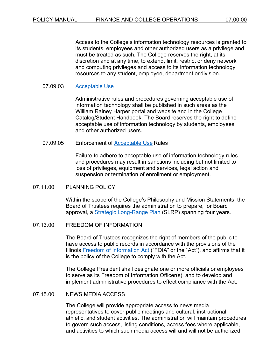Access to the College's information technology resources is granted to its students, employees and other authorized users as a privilege and must be treated as such. The College reserves the right, at its discretion and at any time, to extend, limit, restrict or deny network and computing privileges and access to its information technology resources to any student, employee, department or division.

### 07.09.03 [Acceptable](https://www.harpercollege.edu/about/consumerinfo/infoprocedure.php) Use

Administrative rules and procedures governing acceptable use of information technology shall be published in such areas as the William Rainey Harper portal and website and in the College Catalog/Student Handbook. The Board reserves the right to define acceptable use of information technology by students, employees and other authorized users.

#### 07.09.05 Enforcement of [Acceptable Use](https://www.harpercollege.edu/about/consumerinfo/infoprocedure.php) Rules

Failure to adhere to acceptable use of information technology rules and procedures may result in sanctions including but not limited to loss of privileges, equipment and services, legal action and suspension or termination of enrollment or employment.

#### 07.11.00 PLANNING POLICY

Within the scope of the College's Philosophy and Mission Statements, the Board of Trustees requires the administration to prepare, for Board approval, a **Strategic [Long-Range Plan](https://www.harpercollege.edu/leadership/planning/strategic-planning/index.php)** (SLRP) spanning four years.

#### 07.13.00 FREEDOM OF INFORMATION

The Board of Trustees recognizes the right of members of the public to have access to public records in accordance with the provisions of the Illinois [Freedom of Information Act](https://www.harpercollege.edu/about/consumerinfo/foia.php) ("FOIA" or the "Act"), and affirms that it is the policy of the College to comply with the Act.

The College President shall designate one or more officials or employees to serve as its Freedom of Information Officer(s), and to develop and implement administrative procedures to effect compliance with the Act.

### 07.15.00 NEWS MEDIA ACCESS

The College will provide appropriate access to news media representatives to cover public meetings and cultural, instructional, athletic, and student activities. The administration will maintain procedures to govern such access, listing conditions, access fees where applicable, and activities to which such media access will and will not be authorized.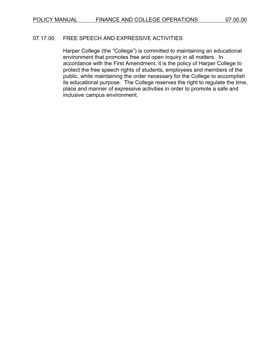## 07.17.00 FREE SPEECH AND EXPRESSIVE ACTIVITIES

Harper College (the "College") is committed to maintaining an educational environment that promotes free and open inquiry in all matters. In accordance with the First Amendment, it is the policy of Harper College to protect the free speech rights of students, employees and members of the public, while maintaining the order necessary for the College to accomplish its educational purpose. The College reserves the right to regulate the time, place and manner of expressive activities in order to promote a safe and inclusive campus environment.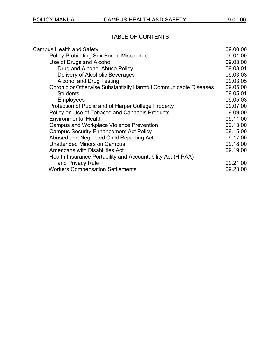# TABLE OF CONTENTS

| <b>Campus Health and Safety</b>                                  | 09.00.00 |
|------------------------------------------------------------------|----------|
| <b>Policy Prohibiting Sex-Based Misconduct</b>                   | 09.01.00 |
| Use of Drugs and Alcohol                                         | 09.03.00 |
| Drug and Alcohol Abuse Policy                                    | 09.03.01 |
| Delivery of Alcoholic Beverages                                  | 09.03.03 |
| <b>Alcohol and Drug Testing</b>                                  | 09.03.05 |
| Chronic or Otherwise Substantially Harmful Communicable Diseases | 09.05.00 |
| <b>Students</b>                                                  | 09.05.01 |
| <b>Employees</b>                                                 | 09.05.03 |
| Protection of Public and of Harper College Property              | 09.07.00 |
| Policy on Use of Tobacco and Cannabis Products                   | 09.09.00 |
| <b>Environmental Health</b>                                      | 09.11.00 |
| Campus and Workplace Violence Prevention                         | 09.13.00 |
| <b>Campus Security Enhancement Act Policy</b>                    | 09.15.00 |
| Abused and Neglected Child Reporting Act                         | 09.17.00 |
| <b>Unattended Minors on Campus</b>                               | 09.18.00 |
| <b>Americans with Disabilities Act</b>                           | 09.19.00 |
| Health Insurance Portability and Accountability Act (HIPAA)      |          |
| and Privacy Rule                                                 | 09.21.00 |
| <b>Workers Compensation Settlements</b>                          | 09.23.00 |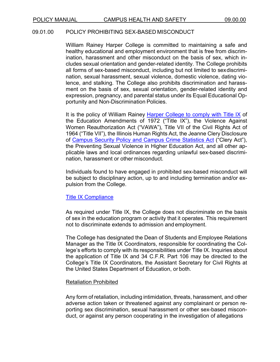#### 09.01.00 POLICY PROHIBITING SEX-BASED MISCONDUCT

William Rainey Harper College is committed to maintaining a safe and healthy educational and employment environment that is free from discrimination, harassment and other misconduct on the basis of sex, which includes sexual orientation and gender-related identity. The College prohibits all forms of sex-based misconduct, including but not limited to sexdiscrimination, sexual harassment, sexual violence, domestic violence, dating violence, and stalking. The College also prohibits discrimination and harassment on the basis of sex, sexual orientation, gender-related identity and expression, pregnancy, and parental status under its Equal Educational Opportunity and Non-Discrimination Policies.

It is the policy of William Rainey [Harper College to comply with Title IX](https://www.harpercollege.edu/about/consumerinfo/title-ix/index.php) of the Education Amendments of 1972 ("Title IX"), the Violence Against Women Reauthorization Act ("VAWA"), Title VII of the Civil Rights Act of 1964 ("Title VII"), the Illinois Human Rights Act, the Jeanne Clery Disclosure of [Campus Security Policy and Campus Crime Statistics Act](https://www.harpercollege.edu/catalog/handbook/policies/federal_state_laws/clery.php) ("Clery Act"), the Preventing Sexual Violence in Higher Education Act, and all other applicable laws and local ordinances regarding unlawful sex-based discrimination, harassment or other misconduct.

Individuals found to have engaged in prohibited sex-based misconduct will be subject to disciplinary action, up to and including termination and/or expulsion from the College.

#### [Title IX Compliance](https://www.harpercollege.edu/about/consumerinfo/title-ix/index.php)

As required under Title IX, the College does not discriminate on the basis of sex in the education program or activity that it operates. This requirement not to discriminate extends to admission and employment.

The College has designated the Dean of Students and Employee Relations Manager as the Title IX Coordinators, responsible for coordinating the College's efforts to comply with its responsibilities under Title IX. Inquiries about the application of Title IX and 34 C.F.R. Part 106 may be directed to the College's Title IX Coordinators, the Assistant Secretary for Civil Rights at the United States Department of Education, or both.

#### Retaliation Prohibited

Any form of retaliation, including intimidation, threats, harassment, and other adverse action taken or threatened against any complainant or person reporting sex discrimination, sexual harassment or other sex-based misconduct, or against any person cooperating in the investigation of allegations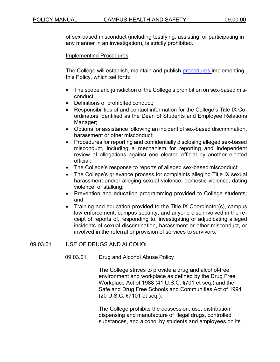of sex-based misconduct (including testifying, assisting, or participating in any manner in an investigation), is strictly prohibited.

### Implementing Procedures

The College will establish, maintain and publish [procedures im](https://www.harpercollege.edu/about/consumerinfo/title-ix/index.php)plementing this Policy, which set forth:

- The scope and jurisdiction of the College's prohibition on sex-based misconduct;
- Definitions of prohibited conduct;
- Responsibilities of and contact information for the College's Title IX Coordinators identified as the Dean of Students and Employee Relations Manager;
- Options for assistance following an incident of sex-based discrimination, harassment or other misconduct;
- Procedures for reporting and confidentially disclosing alleged sex-based misconduct, including a mechanism for reporting and independent review of allegations against one elected official by another elected official;
- The College's response to reports of alleged sex-based misconduct;
- The College's grievance process for complaints alleging Title IX sexual harassment and/or alleging sexual violence, domestic violence, dating violence, or stalking;
- Prevention and education programming provided to College students; and
- Training and education provided to the Title IX Coordinator(s), campus law enforcement, campus security, and anyone else involved in the receipt of reports of, responding to, investigating or adjudicating alleged incidents of sexual discrimination, harassment or other misconduct, or involved in the referral or provision of services to survivors.

### 09.03.01 USE OF DRUGS AND ALCOHOL

### 09.03.01 Drug and Alcohol Abuse Policy

The College strives to provide a drug and alcohol-free environment and workplace as defined by the Drug Free Workplace Act of 1988 (41 U.S.C. §701 et seq.) and the Safe and Drug Free Schools and Communities Act of 1994 (20 U.S.C. §7101 et seq.).

The College prohibits the possession, use, distribution, dispensing and manufacture of illegal drugs, controlled substances, and alcohol by students and employees on its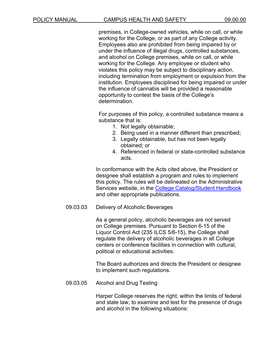premises, in College-owned vehicles, while on call, or while working for the College, or as part of any College activity. Employees also are prohibited from being impaired by or under the influence of illegal drugs, controlled substances, and alcohol on College premises, while on call, or while working for the College. Any employee or student who violates this policy may be subject to disciplinary action, including termination from employment or expulsion from the institution. Employees disciplined for being impaired or under the influence of cannabis will be provided a reasonable opportunity to contest the basis of the College's determination.

For purposes of this policy, a controlled substance means a substance that is:

- 1. Not legally obtainable;
- 2. Being used in a manner different than prescribed;
- 3. Legally obtainable, but has not been legally obtained; or
- 4. Referenced in federal or state-controlled substance acts.

In conformance with the Acts cited above, the President or designee shall establish a program and rules to implement this policy. The rules will be delineated on the Administrative Services website, in the [College Catalog/Student Handbook](https://www.harpercollege.edu/catalog/handbook/index.php) and other appropriate publications.

#### 09.03.03 Delivery of Alcoholic Beverages

As a general policy, alcoholic beverages are not served on College premises. Pursuant to Section 6-15 of the Liquor Control Act (235 ILCS 5/6-15), the College shall regulate the delivery of alcoholic beverages in all College centers or conference facilities in connection with cultural, political or educational activities.

The Board authorizes and directs the President or designee to implement such regulations.

09.03.05 Alcohol and Drug Testing

Harper College reserves the right, within the limits of federal and state law, to examine and test for the presence of drugs and alcohol in the following situations: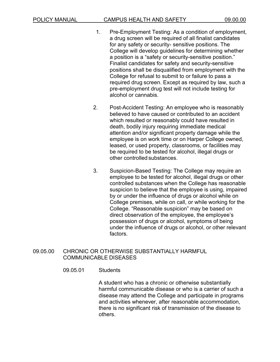- 1. Pre-Employment Testing: As a condition of employment, a drug screen will be required of all finalist candidates for any safety or security- sensitive positions. The College will develop guidelines for determining whether a position is a "safety or security-sensitive position." Finalist candidates for safety and security-sensitive positions shall be disqualified from employment with the College for refusal to submit to or failure to pass a required drug screen. Except as required by law, such a pre-employment drug test will not include testing for alcohol or cannabis.
- 2. Post-Accident Testing: An employee who is reasonably believed to have caused or contributed to an accident which resulted or reasonably could have resulted in death, bodily injury requiring immediate medical attention and/or significant property damage while the employee is on work time or on Harper College owned, leased, or used property, classrooms, or facilities may be required to be tested for alcohol, illegal drugs or other controlled substances.
- 3. Suspicion-Based Testing: The College may require an employee to be tested for alcohol, illegal drugs or other controlled substances when the College has reasonable suspicion to believe that the employee is using, impaired by or under the influence of drugs or alcohol while on College premises, while on call, or while working for the College. "Reasonable suspicion" may be based on direct observation of the employee, the employee's possession of drugs or alcohol, symptoms of being under the influence of drugs or alcohol, or other relevant factors.

### 09.05.00 CHRONIC OR OTHERWISE SUBSTANTIALLY HARMFUL COMMUNICABLE DISEASES

### 09.05.01 Students

A student who has a chronic or otherwise substantially harmful communicable disease or who is a carrier of such a disease may attend the College and participate in programs and activities whenever, after reasonable accommodation, there is no significant risk of transmission of the disease to others.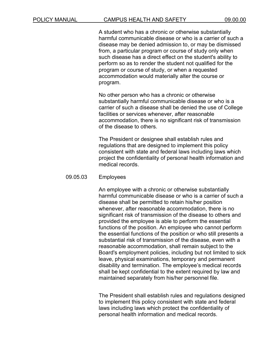A student who has a chronic or otherwise substantially harmful communicable disease or who is a carrier of such a disease may be denied admission to, or may be dismissed from, a particular program or course of study only when such disease has a direct effect on the student's ability to perform so as to render the student not qualified for the program or course of study, or when a requested accommodation would materially alter the course or program.

No other person who has a chronic or otherwise substantially harmful communicable disease or who is a carrier of such a disease shall be denied the use of College facilities or services whenever, after reasonable accommodation, there is no significant risk of transmission of the disease to others.

The President or designee shall establish rules and regulations that are designed to implement this policy consistent with state and federal laws including laws which project the confidentiality of personal health information and medical records.

#### 09.05.03 Employees

An employee with a chronic or otherwise substantially harmful communicable disease or who is a carrier of such a disease shall be permitted to retain his/her position whenever, after reasonable accommodation, there is no significant risk of transmission of the disease to others and provided the employee is able to perform the essential functions of the position. An employee who cannot perform the essential functions of the position or who still presents a substantial risk of transmission of the disease, even with a reasonable accommodation, shall remain subject to the Board's employment policies, including but not limited to sick leave, physical examinations, temporary and permanent disability and termination. The employee's medical records shall be kept confidential to the extent required by law and maintained separately from his/her personnel file.

The President shall establish rules and regulations designed to implement this policy consistent with state and federal laws including laws which protect the confidentiality of personal health information and medical records.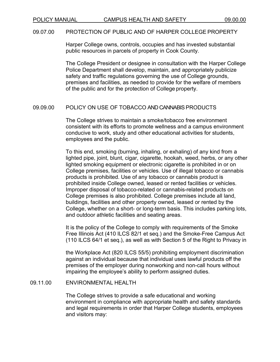#### 09.07.00 PROTECTION OF PUBLIC AND OF HARPER COLLEGE PROPERTY

Harper College owns, controls, occupies and has invested substantial public resources in parcels of property in Cook County.

The College President or designee in consultation with the Harper College Police Department shall develop, maintain, and appropriately publicize safety and traffic regulations governing the use of College grounds, premises and facilities, as needed to provide for the welfare of members of the public and for the protection of College property.

#### 09.09.00 POLICY ON USE OF TOBACCO AND CANNABIS PRODUCTS

The College strives to maintain a smoke/tobacco free environment consistent with its efforts to promote wellness and a campus environment conducive to work, study and other educational activities for students, employees and the public.

To this end, smoking (burning, inhaling, or exhaling) of any kind from a lighted pipe, joint, blunt, cigar, cigarette, hookah, weed, herbs, or any other lighted smoking equipment or electronic cigarette is prohibited in or on College premises, facilities or vehicles. Use of illegal tobacco or cannabis products is prohibited. Use of any tobacco or cannabis product is prohibited inside College owned, leased or rented facilities or vehicles. Improper disposal of tobacco-related or cannabis-related products on College premises is also prohibited. College premises include all land, buildings, facilities and other property owned, leased or rented by the College, whether on a short- or long-term basis. This includes parking lots, and outdoor athletic facilities and seating areas.

It is the policy of the College to comply with requirements of the Smoke Free Illinois Act (410 ILCS 82/1 et seq.) and the Smoke-Free Campus Act (110 ILCS 64/1 et seq.), as well as with Section 5 of the Right to Privacy in

the Workplace Act (820 ILCS 55/5) prohibiting employment discrimination against an individual because that individual uses lawful products off the premises of the employer during nonworking and non-call hours without impairing the employee's ability to perform assigned duties.

### 09.11.00 ENVIRONMENTAL HEALTH

The College strives to provide a safe educational and working environment in compliance with appropriate health and safety standards and legal requirements in order that Harper College students, employees and visitors may: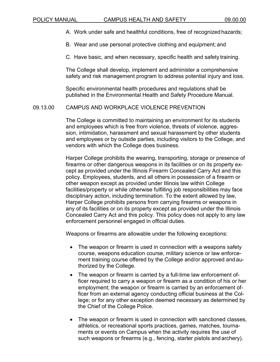A. Work under safe and healthful conditions, free of recognizedhazards;

B. Wear and use personal protective clothing and equipment; and

C. Have basic, and when necessary, specific health and safety training.

The College shall develop, implement and administer a comprehensive safety and risk management program to address potential injury and loss.

Specific environmental health procedures and regulations shall be published in the Environmental Health and Safety Procedure Manual.

### 09.13.00 CAMPUS AND WORKPLACE VIOLENCE PREVENTION

The College is committed to maintaining an environment for its students and employees which is free from violence, threats of violence, aggression, intimidation, harassment and sexual harassment by other students and employees or by outside parties, including visitors to the College, and vendors with which the College does business.

Harper College prohibits the wearing, transporting, storage or presence of firearms or other dangerous weapons in its facilities or on its property except as provided under the Illinois Firearm Concealed Carry Act and this policy. Employees, students, and all others in possession of a firearm or other weapon except as provided under Illinois law within College facilities/property or while otherwise fulfilling job responsibilities may face disciplinary action, including termination. To the extent allowed by law, Harper College prohibits persons from carrying firearms or weapons in any of its facilities or on its property except as provided under the Illinois Concealed Carry Act and this policy. This policy does not apply to any law enforcement personnel engaged in official duties.

Weapons or firearms are allowable under the following exceptions:

- The weapon or firearm is used in connection with a weapons safety course, weapons education course, military science or law enforcement training course offered by the College and/or approved and authorized by the College.
- The weapon or firearm is carried by a full-time law enforcement officer required to carry a weapon or firearm as a condition of his or her employment; the weapon or firearm is carried by an enforcement officer from an external agency conducting official business at the College; or for any other exception deemed necessary as determined by the Chief of the College Police.
- The weapon or firearm is used in connection with sanctioned classes, athletics, or recreational sports practices, games, matches, tournaments or events on Campus when the activity requires the use of such weapons or firearms (e.g., fencing, starter pistols and archery).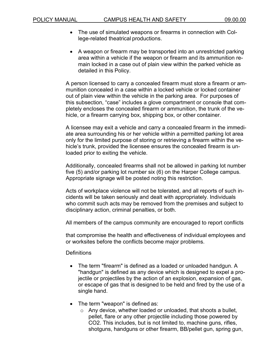- The use of simulated weapons or firearms in connection with College-related theatrical productions.
- A weapon or firearm may be transported into an unrestricted parking area within a vehicle if the weapon or firearm and its ammunition remain locked in a case out of plain view within the parked vehicle as detailed in this Policy.

A person licensed to carry a concealed firearm must store a firearm or ammunition concealed in a case within a locked vehicle or locked container out of plain view within the vehicle in the parking area. For purposes of this subsection, "case" includes a glove compartment or console that completely encloses the concealed firearm or ammunition, the trunk of the vehicle, or a firearm carrying box, shipping box, or other container.

A licensee may exit a vehicle and carry a concealed firearm in the immediate area surrounding his or her vehicle within a permitted parking lot area only for the limited purpose of storing or retrieving a firearm within the vehicle's trunk, provided the licensee ensures the concealed firearm is unloaded prior to exiting the vehicle.

Additionally, concealed firearms shall not be allowed in parking lot number five (5) and/or parking lot number six (6) on the Harper College campus. Appropriate signage will be posted noting this restriction.

Acts of workplace violence will not be tolerated, and all reports of such incidents will be taken seriously and dealt with appropriately. Individuals who commit such acts may be removed from the premises and subject to disciplinary action, criminal penalties, or both.

All members of the campus community are encouraged to report conflicts

that compromise the health and effectiveness of individual employees and or worksites before the conflicts become major problems.

**Definitions** 

- The term "firearm" is defined as a loaded or unloaded handgun. A "handgun" is defined as any device which is designed to expel a projectile or projectiles by the action of an explosion, expansion of gas, or escape of gas that is designed to be held and fired by the use of a single hand.
- The term "weapon" is defined as:
	- o Any device, whether loaded or unloaded, that shoots a bullet, pellet, flare or any other projectile including those powered by CO2. This includes, but is not limited to, machine guns, rifles, shotguns, handguns or other firearm, BB/pellet gun, spring gun,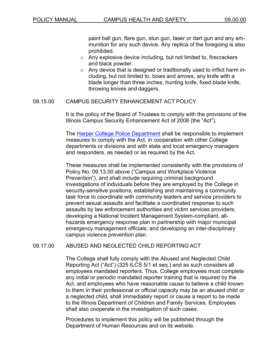paint ball gun, flare gun, stun gun, taser or dart gun and any ammunition for any such device. Any replica of the foregoing is also prohibited.

- $\circ$  Any explosive device including, but not limited to, firecrackers and black powder.
- $\circ$  Any device that is designed or traditionally used to inflict harm including, but not limited to, bows and arrows, any knife with a blade longer than three inches, hunting knife, fixed blade knife, throwing knives and daggers.

### 09.15.00 CAMPUS SECURITY ENHANCEMENT ACT POLICY

It is the policy of the Board of Trustees to comply with the provisions of the Illinois Campus Security Enhancement Act of 2008 (the "Act").

The [Harper College Police Department](https://www.harpercollege.edu/about/police/index.php) shall be responsible to implement measures to comply with the Act, in cooperation with other College departments or divisions and with state and local emergency managers and responders, as needed or as required by the Act.

These measures shall be implemented consistently with the provisions of Policy No. 09.13.00 above ("Campus and Workplace Violence Prevention"), and shall include requiring criminal background investigations of individuals before they are employed by the College in security-sensitive positions; establishing and maintaining a community task force to coordinate with community leaders and service providers to prevent sexual assaults and facilitate a coordinated response to such assaults by law enforcement authorities and victim services providers; developing a National Incident Management System-compliant, allhazards emergency response plan in partnership with major municipal emergency management officials; and developing an inter-disciplinary campus violence prevention plan.

### 09.17.00 ABUSED AND NEGLECTED CHILD REPORTING ACT

The College shall fully comply with the Abused and Neglected Child Reporting Act ("Act") (325 ILCS 5/1 et seq.) and as such considers all employees mandated reporters. Thus, College employees must complete any initial or periodic mandated reporter training that is required by the Act, and employees who have reasonable cause to believe a child known to them in their professional or official capacity may be an abused child or a neglected child, shall immediately report or cause a report to be made to the Illinois Department of Children and Family Services. Employees shall also cooperate in the investigation of such cases.

Procedures to implement this policy will be published through the Department of Human Resources and on its website.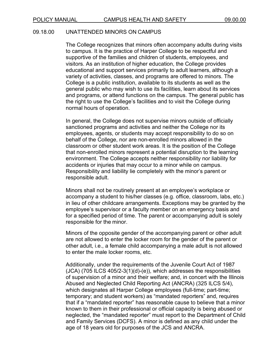### 09.18.00 UNATTENDED MINORS ON CAMPUS

The College recognizes that minors often accompany adults during visits to campus. It is the practice of Harper College to be respectful and supportive of the families and children of students, employees, and visitors. As an institution of higher education, the College provides educational and support services primarily to adult learners, although a variety of activities, classes, and programs are offered to minors. The College is a public institution, available to its students as well as the general public who may wish to use its facilities, learn about its services and programs, or attend functions on the campus. The general public has the right to use the College's facilities and to visit the College during normal hours of operation.

In general, the College does not supervise minors outside of officially sanctioned programs and activities and neither the College nor its employees, agents, or students may accept responsibility to do so on behalf of the College, nor are non-enrolled minors allowed in the classroom or other student work areas. It is the position of the College that non-enrolled minors represent a potential disruption to the learning environment. The College accepts neither responsibility nor liability for accidents or injuries that may occur to a minor while on campus. Responsibility and liability lie completely with the minor's parent or responsible adult.

Minors shall not be routinely present at an employee's workplace or accompany a student to his/her classes (e.g. office, classroom, labs, etc.) in lieu of other childcare arrangements. Exceptions may be granted by the employee's supervisor or a faculty member on an emergency basis and for a specified period of time. The parent or accompanying adult is solely responsible for the minor.

Minors of the opposite gender of the accompanying parent or other adult are not allowed to enter the locker room for the gender of the parent or other adult, i.e., a female child accompanying a male adult is not allowed to enter the male locker rooms, etc.

Additionally, under the requirements of the Juvenile Court Act of 1987 (JCA) (705 ILCS 405/2-3(1)(d)-(e)), which addresses the responsibilities of supervision of a minor and their welfare; and, in concert with the Illinois Abused and Neglected Child Reporting Act (ANCRA) (325 ILCS 5/4), which designates all Harper College employees (full-time; part-time; temporary; and student workers) as "mandated reporters" and, requires that if a "mandated reporter" has reasonable cause to believe that a minor known to them in their professional or official capacity is being abused or neglected, the "mandated reporter" must report to the Department of Child and Family Services (DCFS). A minor is defined as any child under the age of 18 years old for purposes of the JCS and ANCRA.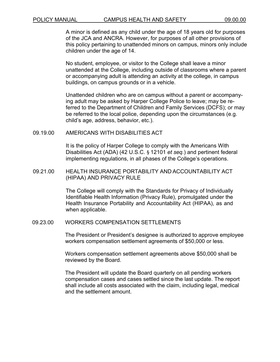A minor is defined as any child under the age of 18 years old for purposes of the JCA and ANCRA. However, for purposes of all other provisions of this policy pertaining to unattended minors on campus, minors only include children under the age of 14.

No student, employee, or visitor to the College shall leave a minor unattended at the College, including outside of classrooms where a parent or accompanying adult is attending an activity at the college, in campus buildings, on campus grounds or in a vehicle.

Unattended children who are on campus without a parent or accompanying adult may be asked by Harper College Police to leave; may be referred to the Department of Children and Family Services (DCFS); or may be referred to the local police, depending upon the circumstances (e.g. child's age, address, behavior, etc.).

09.19.00 AMERICANS WITH DISABILITIES ACT

It is the policy of Harper College to comply with the Americans With Disabilities Act (ADA) (42 U.S.C. § 12101 *et seq.*) and pertinent federal implementing regulations, in all phases of the College's operations.

09.21.00 HEALTH INSURANCE PORTABILITY AND ACCOUNTABILITY ACT (HIPAA) AND PRIVACY RULE

> The College will comply with the Standards for Privacy of Individually Identifiable Health Information (Privacy Rule), promulgated under the Health Insurance Portability and Accountability Act (HIPAA), as and when applicable.

#### 09.23.00 WORKERS COMPENSATION SETTLEMENTS

The President or President's designee is authorized to approve employee workers compensation settlement agreements of \$50,000 or less.

Workers compensation settlement agreements above \$50,000 shall be reviewed by the Board.

The President will update the Board quarterly on all pending workers compensation cases and cases settled since the last update. The report shall include all costs associated with the claim, including legal, medical and the settlement amount.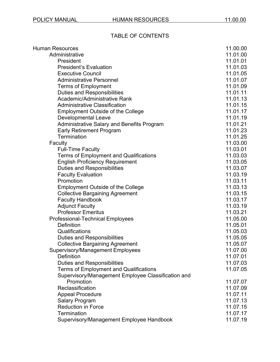# TABLE OF CONTENTS

| <b>Human Resources</b>                                          | 11.00.00 |
|-----------------------------------------------------------------|----------|
| Administrative                                                  | 11.01.00 |
| President                                                       | 11.01.01 |
| <b>President's Evaluation</b>                                   | 11.01.03 |
| <b>Executive Council</b>                                        | 11.01.05 |
| <b>Administrative Personnel</b>                                 | 11.01.07 |
| <b>Terms of Employment</b>                                      | 11.01.09 |
| <b>Duties and Responsibilities</b>                              | 11.01.11 |
| Academic/Administrative Rank                                    | 11.01.13 |
| <b>Administrative Classification</b>                            | 11.01.15 |
| <b>Employment Outside of the College</b>                        | 11.01.17 |
| <b>Developmental Leave</b>                                      | 11.01.19 |
| Administrative Salary and Benefits Program                      | 11.01.21 |
| <b>Early Retirement Program</b>                                 | 11.01.23 |
| Termination                                                     | 11.01.25 |
| Faculty                                                         | 11.03.00 |
| <b>Full-Time Faculty</b>                                        | 11.03.01 |
| <b>Terms of Employment and Qualifications</b>                   | 11.03.03 |
| <b>English Proficiency Requirement</b>                          | 11.03.05 |
| <b>Duties and Responsibilities</b>                              | 11.03.07 |
| <b>Faculty Evaluation</b>                                       | 11.03.19 |
| Promotion                                                       | 11.03.11 |
| <b>Employment Outside of the College</b>                        | 11.03.13 |
| <b>Collective Bargaining Agreement</b>                          | 11.03.15 |
| <b>Faculty Handbook</b>                                         | 11.03.17 |
| <b>Adjunct Faculty</b>                                          | 11.03.19 |
| <b>Professor Emeritus</b>                                       | 11.03.21 |
| <b>Professional-Technical Employees</b>                         | 11.05.00 |
| Definition                                                      | 11.05.01 |
| Qualifications                                                  | 11.05.03 |
| <b>Duties and Responsibilities</b>                              | 11.05.05 |
| <b>Collective Bargaining Agreement</b>                          | 11.05.07 |
| <b>Supervisory/Management Employees</b>                         | 11.07.00 |
| <b>Definition</b>                                               | 11.07.01 |
| <b>Duties and Responsibilities</b>                              | 11.07.03 |
| <b>Terms of Employment and Qualifications</b>                   | 11.07.05 |
| Supervisory/Management Employee Classification and<br>Promotion | 11.07.07 |
| Reclassification                                                | 11.07.09 |
| <b>Appeal Procedure</b>                                         | 11.07.11 |
| <b>Salary Program</b>                                           | 11.07.13 |
| <b>Reduction in Force</b>                                       | 11.07.15 |
| <b>Termination</b>                                              | 11.07.17 |
| Supervisory/Management Employee Handbook                        | 11.07.19 |
|                                                                 |          |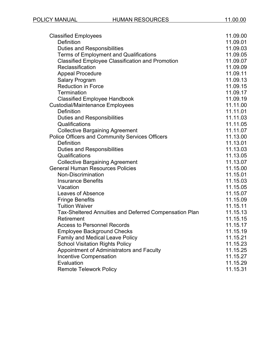| <b>Classified Employees</b>                             | 11.09.00 |
|---------------------------------------------------------|----------|
| <b>Definition</b>                                       | 11.09.01 |
| <b>Duties and Responsibilities</b>                      | 11.09.03 |
| <b>Terms of Employment and Qualifications</b>           | 11.09.05 |
| <b>Classified Employee Classification and Promotion</b> | 11.09.07 |
| Reclassification                                        | 11.09.09 |
| <b>Appeal Procedure</b>                                 | 11.09.11 |
| <b>Salary Program</b>                                   | 11.09.13 |
| <b>Reduction in Force</b>                               | 11.09.15 |
| Termination                                             | 11.09.17 |
| <b>Classified Employee Handbook</b>                     | 11.09.19 |
| <b>Custodial/Maintenance Employees</b>                  | 11.11.00 |
| <b>Definition</b>                                       | 11.11.01 |
| <b>Duties and Responsibilities</b>                      | 11.11.03 |
| Qualifications                                          | 11.11.05 |
| <b>Collective Bargaining Agreement</b>                  | 11.11.07 |
| <b>Police Officers and Community Services Officers</b>  | 11.13.00 |
| <b>Definition</b>                                       | 11.13.01 |
| <b>Duties and Responsibilities</b>                      | 11.13.03 |
| Qualifications                                          | 11.13.05 |
| <b>Collective Bargaining Agreement</b>                  | 11.13.07 |
| <b>General Human Resources Policies</b>                 | 11.15.00 |
| Non-Discrimination                                      | 11.15.01 |
| <b>Insurance Benefits</b>                               | 11.15.03 |
| Vacation                                                | 11.15.05 |
| Leaves of Absence                                       | 11.15.07 |
| <b>Fringe Benefits</b>                                  | 11.15.09 |
| <b>Tuition Waiver</b>                                   | 11.15.11 |
| Tax-Sheltered Annuities and Deferred Compensation Plan  | 11.15.13 |
| Retirement                                              | 11.15.15 |
| <b>Access to Personnel Records</b>                      | 11.15.17 |
| <b>Employee Background Checks</b>                       | 11.15.19 |
| <b>Family and Medical Leave Policy</b>                  | 11.15.21 |
| <b>School Visitation Rights Policy</b>                  | 11.15.23 |
| Appointment of Administrators and Faculty               | 11.15.25 |
| <b>Incentive Compensation</b>                           | 11.15.27 |
| Evaluation                                              | 11.15.29 |
| <b>Remote Telework Policy</b>                           | 11.15.31 |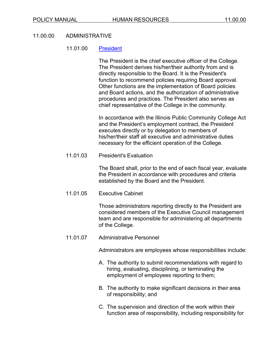#### 11.00.00 ADMINISTRATIVE

#### 11.01.00 [President](https://www.harpercollege.edu/leadership/president/index.php)

The President is the chief executive officer of the College. The President derives his/her/their authority from and is directly responsible to the Board. It is the President's function to recommend policies requiring Board approval. Other functions are the implementation of Board policies and Board actions, and the authorization of administrative procedures and practices. The President also serves as chief representative of the College in the community.

In accordance with the Illinois Public Community College Act and the President's employment contract, the President executes directly or by delegation to members of his/her/their staff all executive and administrative duties necessary for the efficient operation of the College.

11.01.03 President's Evaluation

The Board shall, prior to the end of each fiscal year, evaluate the President in accordance with procedures and criteria established by the Board and the President.

11.01.05 Executive Cabinet

Those administrators reporting directly to the President are considered members of the Executive Council management team and are responsible for administering all departments of the College.

11.01.07 Administrative Personnel

Administrators are employees whose responsibilities include:

- A. The authority to submit recommendations with regard to hiring, evaluating, disciplining, or terminating the employment of employees reporting to them;
- B. The authority to make significant decisions in their area of responsibility; and
- C. The supervision and direction of the work within their function area of responsibility, including responsibility for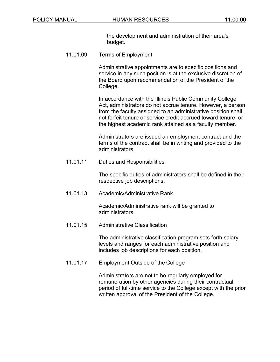the development and administration of their area's budget.

11.01.09 Terms of Employment

Administrative appointments are to specific positions and service in any such position is at the exclusive discretion of the Board upon recommendation of the President of the College.

In accordance with the Illinois Public Community College Act, administrators do not accrue tenure. However, a person from the faculty assigned to an administrative position shall not forfeit tenure or service credit accrued toward tenure, or the highest academic rank attained as a faculty member.

Administrators are issued an employment contract and the terms of the contract shall be in writing and provided to the administrators.

11.01.11 Duties and Responsibilities

The specific duties of administrators shall be defined in their respective job descriptions.

11.01.13 Academic/Administrative Rank

Academic/Administrative rank will be granted to administrators.

11.01.15 Administrative Classification

The administrative classification program sets forth salary levels and ranges for each administrative position and includes job descriptions for each position.

11.01.17 Employment Outside of the College

Administrators are not to be regularly employed for remuneration by other agencies during their contractual period of full-time service to the College except with the prior written approval of the President of the College.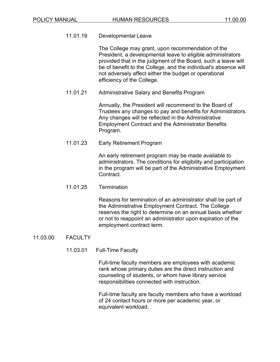11.01.19 Developmental Leave

The College may grant, upon recommendation of the President, a developmental leave to eligible administrators provided that in the judgment of the Board, such a leave will be of benefit to the College, and the individual's absence will not adversely affect either the budget or operational efficiency of the College.

11.01.21 Administrative Salary and Benefits Program

Annually, the President will recommend to the Board of Trustees any changes to pay and benefits for Administrators. Any changes will be reflected in the Administrative Employment Contract and the Administrator Benefits Program.

11.01.23 Early Retirement Program

An early retirement program may be made available to administrators. The conditions for eligibility and participation in the program will be part of the Administrative Employment Contract.

11.01.25 Termination

Reasons for termination of an administrator shall be part of the Administrative Employment Contract. The College reserves the right to determine on an annual basis whether or not to reappoint an administrator upon expiration of the employment contract term.

11.03.00 FACULTY

#### 11.03.01 Full-Time Faculty

Full-time faculty members are employees with academic rank whose primary duties are the direct instruction and counseling of students, or whom have library service responsibilities connected with instruction.

Full-time faculty are faculty members who have a workload of 24 contact hours or more per academic year, or equivalent workload.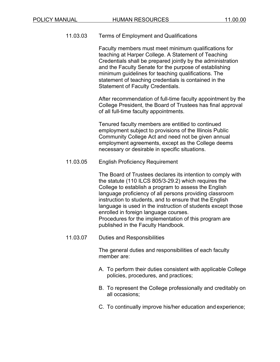11.03.03 Terms of Employment and Qualifications

Faculty members must meet minimum qualifications for teaching at Harper College. A Statement of Teaching Credentials shall be prepared jointly by the administration and the Faculty Senate for the purpose of establishing minimum guidelines for teaching qualifications. The statement of teaching credentials is contained in the Statement of Faculty Credentials.

After recommendation of full-time faculty appointment by the College President, the Board of Trustees has final approval of all full-time faculty appointments.

Tenured faculty members are entitled to continued employment subject to provisions of the Illinois Public Community College Act and need not be given annual employment agreements, except as the College deems necessary or desirable in specific situations.

11.03.05 English Proficiency Requirement

The Board of Trustees declares its intention to comply with the statute (110 ILCS 805/3-29.2) which requires the College to establish a program to assess the English language proficiency of all persons providing classroom instruction to students, and to ensure that the English language is used in the instruction of students except those enrolled in foreign language courses. Procedures for the implementation of this program are published in the Faculty Handbook.

11.03.07 Duties and Responsibilities

The general duties and responsibilities of each faculty member are:

- A. To perform their duties consistent with applicable College policies, procedures, and practices;
- B. To represent the College professionally and creditably on all occasions;
- C. To continually improve his/her education and experience;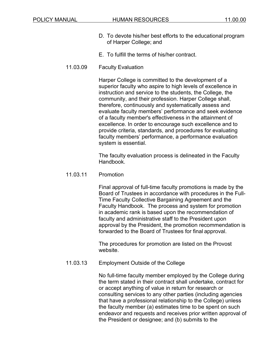- D. To devote his/her best efforts to the educational program of Harper College; and
- E. To fulfill the terms of his/her contract.
- 11.03.09 Faculty Evaluation

Harper College is committed to the development of a superior faculty who aspire to high levels of excellence in instruction and service to the students, the College, the community, and their profession. Harper College shall, therefore, continuously and systematically assess and evaluate faculty members' performance and seek evidence of a faculty member's effectiveness in the attainment of excellence. In order to encourage such excellence and to provide criteria, standards, and procedures for evaluating faculty members' performance, a performance evaluation system is essential.

The faculty evaluation process is delineated in the Faculty Handbook.

11.03.11 Promotion

Final approval of full-time faculty promotions is made by the Board of Trustees in accordance with procedures in the Full-Time Faculty Collective Bargaining Agreement and the Faculty Handbook. The process and system for promotion in academic rank is based upon the recommendation of faculty and administrative staff to the President upon approval by the President, the promotion recommendation is forwarded to the Board of Trustees for final approval.

The procedures for promotion are listed on the Provost website.

11.03.13 Employment Outside of the College

No full-time faculty member employed by the College during the term stated in their contract shall undertake, contract for or accept anything of value in return for research or consulting services to any other parties (including agencies that have a professional relationship to the College) unless the faculty member (a) estimates time to be spent on such endeavor and requests and receives prior written approval of the President or designee; and (b) submits to the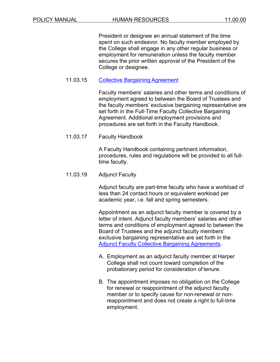President or designee an annual statement of the time spent on such endeavor. No faculty member employed by the College shall engage in any other regular business or employment for remuneration unless the faculty member secures the prior written approval of the President of the College or designee.

### 11.03.15 [Collective Bargaining](https://www.harpercollege.edu/about/directory/hr/policies/index.php) Agreement

Faculty members' salaries and other terms and conditions of employment agreed to between the Board of Trustees and the faculty members' exclusive bargaining representative are set forth in the Full-Time Faculty Collective Bargaining Agreement. Additional employment provisions and procedures are set forth in the Faculty Handbook.

11.03.17 Faculty Handbook

A Faculty Handbook containing pertinent information, procedures, rules and regulations will be provided to all fulltime faculty.

11.03.19 Adjunct Faculty

Adjunct faculty are part-time faculty who have a workload of less than 24 contact hours or equivalent workload per academic year, i.e. fall and spring semesters.

Appointment as an adjunct faculty member is covered by a letter of intent. Adjunct faculty members' salaries and other terms and conditions of employment agreed to between the Board of Trustees and the adjunct faculty members' exclusive bargaining representative are set forth in the [Adjunct Faculty Collective Bargaining Agreements.](https://www.harpercollege.edu/about/directory/hr/policies/index.php)

- A. Employment as an adjunct faculty member at Harper College shall not count toward completion of the probationary period for consideration of tenure.
- B. The appointment imposes no obligation on the College for renewal or reappointment of the adjunct faculty member or to specify cause for non-renewal or nonreappointment and does not create a right to full-time employment.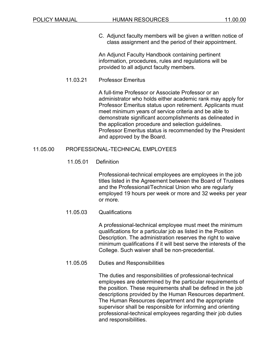C. Adjunct faculty members will be given a written notice of class assignment and the period of their appointment.

An Adjunct Faculty Handbook containing pertinent information, procedures, rules and regulations will be provided to all adjunct faculty members.

### 11.03.21 Professor Emeritus

A full-time Professor or Associate Professor or an administrator who holds either academic rank may apply for Professor Emeritus status upon retirement. Applicants must meet minimum years of service criteria and be able to demonstrate significant accomplishments as delineated in the application procedure and selection guidelines. Professor Emeritus status is recommended by the President and approved by the Board.

### 11.05.00 PROFESSIONAL-TECHNICAL EMPLOYEES

### 11.05.01 Definition

Professional-technical employees are employees in the job titles listed in the Agreement between the Board of Trustees and the Professional/Technical Union who are regularly employed 19 hours per week or more and 32 weeks per year or more.

### 11.05.03 Qualifications

A professional-technical employee must meet the minimum qualifications for a particular job as listed in the Position Description. The administration reserves the right to waive minimum qualifications if it will best serve the interests of the College. Such waiver shall be non-precedential.

#### 11.05.05 Duties and Responsibilities

The duties and responsibilities of professional-technical employees are determined by the particular requirements of the position. These requirements shall be defined in the job descriptions provided by the Human Resources department. The Human Resources department and the appropriate supervisor shall be responsible for informing and orienting professional-technical employees regarding their job duties and responsibilities.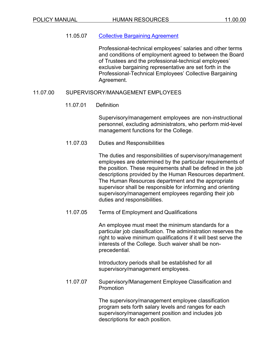### 11.05.07 [Collective Bargaining](https://www.harpercollege.edu/about/directory/hr/policies/index.php) Agreement

Professional-technical employees' salaries and other terms and conditions of employment agreed to between the Board of Trustees and the professional-technical employees' exclusive bargaining representative are set forth in the Professional-Technical Employees' Collective Bargaining Agreement.

### 11.07.00 SUPERVISORY/MANAGEMENT EMPLOYEES

### 11.07.01 Definition

Supervisory/management employees are non-instructional personnel, excluding administrators, who perform mid-level management functions for the College.

### 11.07.03 Duties and Responsibilities

The duties and responsibilities of supervisory/management employees are determined by the particular requirements of the position. These requirements shall be defined in the job descriptions provided by the Human Resources department. The Human Resources department and the appropriate supervisor shall be responsible for informing and orienting supervisory/management employees regarding their job duties and responsibilities.

11.07.05 Terms of Employment and Qualifications

An employee must meet the minimum standards for a particular job classification. The administration reserves the right to waive minimum qualifications if it will best serve the interests of the College. Such waiver shall be nonprecedential.

Introductory periods shall be established for all supervisory/management employees.

11.07.07 Supervisory/Management Employee Classification and Promotion

> The supervisory/management employee classification program sets forth salary levels and ranges for each supervisory/management position and includes job descriptions for each position.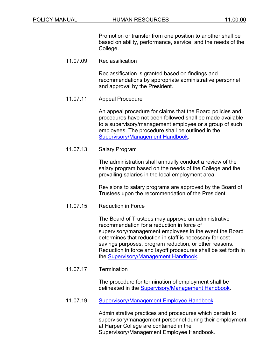Promotion or transfer from one position to another shall be based on ability, performance, service, and the needs of the College.

11.07.09 Reclassification

Reclassification is granted based on findings and recommendations by appropriate administrative personnel and approval by the President.

11.07.11 Appeal Procedure

An appeal procedure for claims that the Board policies and procedures have not been followed shall be made available to a supervisory/management employee or a group of such employees. The procedure shall be outlined in the [Supervisory/Management Handbook.](https://www.harpercollege.edu/about/directory/hr/policies/index.php)

11.07.13 Salary Program

The administration shall annually conduct a review of the salary program based on the needs of the College and the prevailing salaries in the local employment area.

Revisions to salary programs are approved by the Board of Trustees upon the recommendation of the President.

11.07.15 Reduction in Force

The Board of Trustees may approve an administrative recommendation for a reduction in force of supervisory/management employees in the event the Board determines that reduction in staff is necessary for cost savings purposes, program reduction, or other reasons. Reduction in force and layoff procedures shall be set forth in the [Supervisory/Management Handbook.](https://www.harpercollege.edu/about/directory/hr/policies/index.php)

11.07.17 Termination

The procedure for termination of employment shall be delineated in the [Supervisory/Management Handbook.](https://www.harpercollege.edu/about/directory/hr/policies/index.php)

11.07.19 [Supervisory/Management Employee](https://www.harpercollege.edu/about/directory/hr/policies/index.php) Handbook

Administrative practices and procedures which pertain to supervisory/management personnel during their employment at Harper College are contained in the Supervisory/Management Employee Handbook.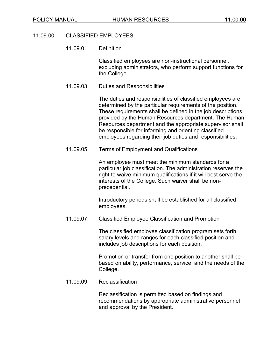#### 11.09.00 CLASSIFIED EMPLOYEES

#### 11.09.01 Definition

Classified employees are non-instructional personnel, excluding administrators, who perform support functions for the College.

11.09.03 Duties and Responsibilities

The duties and responsibilities of classified employees are determined by the particular requirements of the position. These requirements shall be defined in the job descriptions provided by the Human Resources department. The Human Resources department and the appropriate supervisor shall be responsible for informing and orienting classified employees regarding their job duties and responsibilities.

11.09.05 Terms of Employment and Qualifications

An employee must meet the minimum standards for a particular job classification. The administration reserves the right to waive minimum qualifications if it will best serve the interests of the College. Such waiver shall be nonprecedential.

Introductory periods shall be established for all classified employees.

11.09.07 Classified Employee Classification and Promotion

The classified employee classification program sets forth salary levels and ranges for each classified position and includes job descriptions for each position.

Promotion or transfer from one position to another shall be based on ability, performance, service, and the needs of the College.

11.09.09 Reclassification

Reclassification is permitted based on findings and recommendations by appropriate administrative personnel and approval by the President.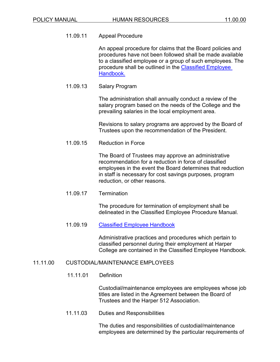# 11.09.11 Appeal Procedure

An appeal procedure for claims that the Board policies and procedures have not been followed shall be made available to a classified employee or a group of such employees. The procedure shall be outlined in the [Classified Employee](https://www.harpercollege.edu/about/directory/hr/policies/index.php)  [Handbook.](https://www.harpercollege.edu/about/directory/hr/policies/index.php)

# 11.09.13 Salary Program

The administration shall annually conduct a review of the salary program based on the needs of the College and the prevailing salaries in the local employment area.

Revisions to salary programs are approved by the Board of Trustees upon the recommendation of the President.

11.09.15 Reduction in Force

The Board of Trustees may approve an administrative recommendation for a reduction in force of classified employees in the event the Board determines that reduction in staff is necessary for cost savings purposes, program reduction, or other reasons.

11.09.17 Termination

The procedure for termination of employment shall be delineated in the Classified Employee Procedure Manual.

### 11.09.19 [Classified Employee](https://www.harpercollege.edu/about/directory/hr/policies/index.php) Handbook

Administrative practices and procedures which pertain to classified personnel during their employment at Harper College are contained in the Classified Employee Handbook.

### 11.11.00 CUSTODIAL/MAINTENANCE EMPLOYEES

11.11.01 Definition

Custodial/maintenance employees are employees whose job titles are listed in the Agreement between the Board of Trustees and the Harper 512 Association.

11.11.03 Duties and Responsibilities

The duties and responsibilities of custodial/maintenance employees are determined by the particular requirements of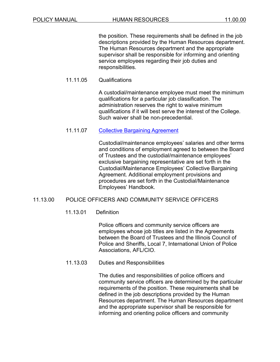the position. These requirements shall be defined in the job descriptions provided by the Human Resources department. The Human Resources department and the appropriate supervisor shall be responsible for informing and orienting service employees regarding their job duties and responsibilities.

# 11.11.05 Qualifications

A custodial/maintenance employee must meet the minimum qualifications for a particular job classification. The administration reserves the right to waive minimum qualifications if it will best serve the interest of the College. Such waiver shall be non-precedential.

# 11.11.07 [Collective Bargaining](https://www.harpercollege.edu/about/directory/hr/policies/index.php) Agreement

Custodial/maintenance employees' salaries and other terms and conditions of employment agreed to between the Board of Trustees and the custodial/maintenance employees' exclusive bargaining representative are set forth in the Custodial/Maintenance Employees' Collective Bargaining Agreement. Additional employment provisions and procedures are set forth in the Custodial/Maintenance Employees' Handbook.

# 11.13.00 POLICE OFFICERS AND COMMUNITY SERVICE OFFICERS

### 11.13.01 Definition

Police officers and community service officers are employees whose job titles are listed in the Agreements between the Board of Trustees and the Illinois Council of Police and Sheriffs, Local 7, International Union of Police Associations, AFL/CIO.

### 11.13.03 Duties and Responsibilities

The duties and responsibilities of police officers and community service officers are determined by the particular requirements of the position. These requirements shall be defined in the job descriptions provided by the Human Resources department. The Human Resources department and the appropriate supervisor shall be responsible for informing and orienting police officers and community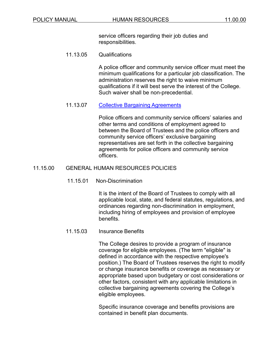service officers regarding their job duties and responsibilities.

11.13.05 Qualifications

A police officer and community service officer must meet the minimum qualifications for a particular job classification. The administration reserves the right to waive minimum qualifications if it will best serve the interest of the College. Such waiver shall be non-precedential.

11.13.07 [Collective Bargaining](https://www.harpercollege.edu/about/directory/hr/policies/index.php) Agreements

Police officers and community service officers' salaries and other terms and conditions of employment agreed to between the Board of Trustees and the police officers and community service officers' exclusive bargaining representatives are set forth in the collective bargaining agreements for police officers and community service officers.

### 11.15.00 GENERAL HUMAN RESOURCES POLICIES

11.15.01 Non-Discrimination

It is the intent of the Board of Trustees to comply with all applicable local, state, and federal statutes, regulations, and ordinances regarding non-discrimination in employment, including hiring of employees and provision of employee benefits.

11.15.03 Insurance Benefits

The College desires to provide a program of insurance coverage for eligible employees. (The term "eligible" is defined in accordance with the respective employee's position.) The Board of Trustees reserves the right to modify or change insurance benefits or coverage as necessary or appropriate based upon budgetary or cost considerations or other factors, consistent with any applicable limitations in collective bargaining agreements covering the College's eligible employees.

Specific insurance coverage and benefits provisions are contained in benefit plan documents.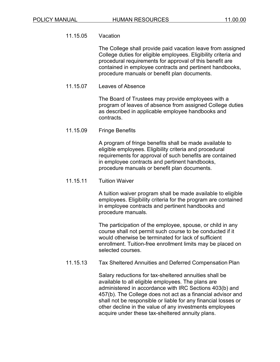#### 11.15.05 Vacation

The College shall provide paid vacation leave from assigned College duties for eligible employees. Eligibility criteria and procedural requirements for approval of this benefit are contained in employee contracts and pertinent handbooks, procedure manuals or benefit plan documents.

11.15.07 Leaves of Absence

> The Board of Trustees may provide employees with a program of leaves of absence from assigned College duties as described in applicable employee handbooks and contracts.

11.15.09 Fringe Benefits

> A program of fringe benefits shall be made available to eligible employees. Eligibility criteria and procedural requirements for approval of such benefits are contained in employee contracts and pertinent handbooks, procedure manuals or benefit plan documents.

11.15.11 Tuition Waiver

> A tuition waiver program shall be made available to eligible employees. Eligibility criteria for the program are contained in employee contracts and pertinent handbooks and procedure manuals.

> The participation of the employee, spouse, or child in any course shall not permit such course to be conducted if it would otherwise be terminated for lack of sufficient enrollment. Tuition-free enrollment limits may be placed on selected courses.

11.15.13 Tax Sheltered Annuities and Deferred Compensation Plan

> Salary reductions for tax-sheltered annuities shall be available to all eligible employees. The plans are administered in accordance with IRC Sections 403(b) and 457(b). The College does not act as a financial advisor and shall not be responsible or liable for any financial losses or other decline in the value of any investments employees acquire under these tax-sheltered annuity plans.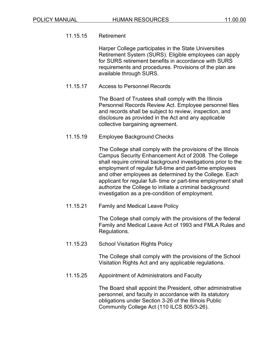# 11.15.15 Retirement

Harper College participates in the State Universities Retirement System (SURS). Eligible employees can apply for SURS retirement benefits in accordance with SURS requirements and procedures. Provisions of the plan are available through SURS.

11.15.17 Access to Personnel Records

The Board of Trustees shall comply with the Illinois Personnel Records Review Act. Employee personnel files and records shall be subject to review, inspection, and disclosure as provided in the Act and any applicable collective bargaining agreement.

11.15.19 Employee Background Checks

The College shall comply with the provisions of the Illinois Campus Security Enhancement Act of 2008. The College shall require criminal background investigations prior to the employment of regular full-time and part-time employees and other employees as determined by the College. Each applicant for regular full- time or part-time employment shall authorize the College to initiate a criminal background investigation as a pre-condition of employment.

11.15.21 Family and Medical Leave Policy

The College shall comply with the provisions of the federal Family and Medical Leave Act of 1993 and FMLA Rules and Regulations.

11.15.23 School Visitation Rights Policy

The College shall comply with the provisions of the School Visitation Rights Act and any applicable regulations.

11.15.25 Appointment of Administrators and Faculty

The Board shall appoint the President, other administrative personnel, and faculty in accordance with its statutory obligations under Section 3-26 of the Illinois Public Community College Act (110 ILCS 805/3-26).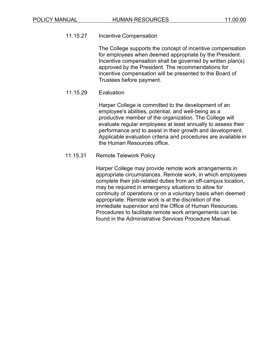# 11.15.27 Incentive Compensation

The College supports the concept of incentive compensation for employees when deemed appropriate by the President. Incentive compensation shall be governed by written plan(s) approved by the President. The recommendations for incentive compensation will be presented to the Board of Trustees before payment.

# 11.15.29 Evaluation

Harper College is committed to the development of an employee's abilities, potential, and well-being as a productive member of the organization. The College will evaluate regular employees at least annually to assess their performance and to assist in their growth and development. Applicable evaluation criteria and procedures are available in the Human Resources office.

# 11.15.31 Remote Telework Policy

Harper College may provide remote work arrangements in appropriate circumstances. Remote work, in which employees complete their job-related duties from an off-campus location, may be required in emergency situations to allow for continuity of operations or on a voluntary basis when deemed appropriate. Remote work is at the discretion of the immediate supervisor and the Office of Human Resources. Procedures to facilitate remote work arrangements can be found in the Administrative Services Procedure Manual.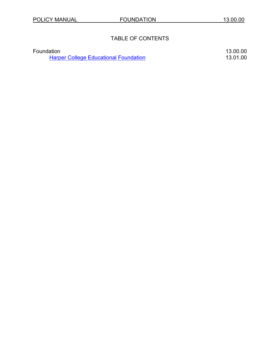# TABLE OF CONTENTS

| Foundation                                   | 13.00.00 |
|----------------------------------------------|----------|
| <b>Harper College Educational Foundation</b> | 13.01.00 |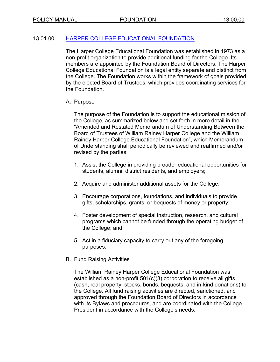# 13.01.00 [HARPER COLLEGE EDUCATIONAL FOUNDATION](https://www.harpercollege.edu/foundation/index.php)

The Harper College Educational Foundation was established in 1973 as a non-profit organization to provide additional funding for the College. Its members are appointed by the Foundation Board of Directors. The Harper College Educational Foundation is a legal entity separate and distinct from the College. The Foundation works within the framework of goals provided by the elected Board of Trustees, which provides coordinating services for the Foundation.

# A. Purpose

The purpose of the Foundation is to support the educational mission of the College, as summarized below and set forth in more detail in the "Amended and Restated Memorandum of Understanding Between the Board of Trustees of William Rainey Harper College and the William Rainey Harper College Educational Foundation", which Memorandum of Understanding shall periodically be reviewed and reaffirmed and/or revised by the parties:

- 1. Assist the College in providing broader educational opportunities for students, alumni, district residents, and employers;
- 2. Acquire and administer additional assets for the College;
- 3. Encourage corporations, foundations, and individuals to provide gifts, scholarships, grants, or bequests of money or property;
- 4. Foster development of special instruction, research, and cultural programs which cannot be funded through the operating budget of the College; and
- 5. Act in a fiduciary capacity to carry out any of the foregoing purposes.
- B. Fund Raising Activities

The William Rainey Harper College Educational Foundation was established as a non-profit 501(c)(3) corporation to receive all gifts (cash, real property, stocks, bonds, bequests, and in-kind donations) to the College. All fund raising activities are directed, sanctioned, and approved through the Foundation Board of Directors in accordance with its Bylaws and procedures, and are coordinated with the College President in accordance with the College's needs.